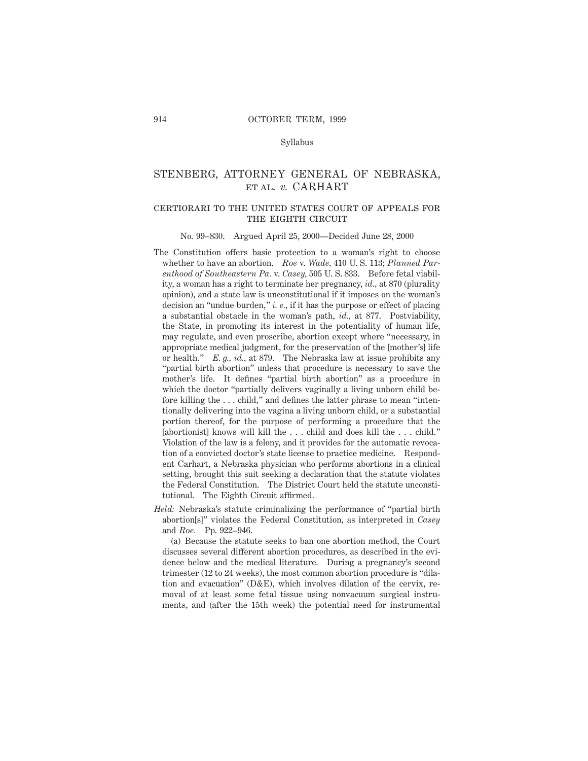## STENBERG, ATTORNEY GENERAL OF NEBRASKA, et al. *v.* CARHART

### certiorari to the united states court of appeals forthe eighth circuit

#### No. 99–830. Argued April 25, 2000—Decided June 28, 2000

- The Constitution offers basic protection to a woman's right to choose whether to have an abortion. *Roe* v. *Wade,* 410 U. S. 113; *Planned Parenthood of Southeastern Pa.* v. *Casey,* 505 U. S. 833. Before fetal viability, a woman has a right to terminate her pregnancy, *id.,* at 870 (plurality opinion), and a state law is unconstitutional if it imposes on the woman's decision an "undue burden," *i. e.,* if it has the purpose or effect of placing a substantial obstacle in the woman's path, *id.,* at 877. Postviability, the State, in promoting its interest in the potentiality of human life, may regulate, and even proscribe, abortion except where "necessary, in appropriate medical judgment, for the preservation of the [mother's] life or health." *E. g., id.,* at 879. The Nebraska law at issue prohibits any "partial birth abortion" unless that procedure is necessary to save the mother's life. It defines "partial birth abortion" as a procedure in which the doctor "partially delivers vaginally a living unborn child before killing the . . . child," and defines the latter phrase to mean "intentionally delivering into the vagina a living unborn child, or a substantial portion thereof, for the purpose of performing a procedure that the [abortionist] knows will kill the . . . child and does kill the . . . child." Violation of the law is a felony, and it provides for the automatic revocation of a convicted doctor's state license to practice medicine. Respondent Carhart, a Nebraska physician who performs abortions in a clinical setting, brought this suit seeking a declaration that the statute violates the Federal Constitution. The District Court held the statute unconstitutional. The Eighth Circuit affirmed.
- *Held:* Nebraska's statute criminalizing the performance of "partial birth abortion[s]" violates the Federal Constitution, as interpreted in *Casey* and *Roe.* Pp. 922–946.

(a) Because the statute seeks to ban one abortion method, the Court discusses several different abortion procedures, as described in the evidence below and the medical literature. During a pregnancy's second trimester (12 to 24 weeks), the most common abortion procedure is "dilation and evacuation" (D&E), which involves dilation of the cervix, removal of at least some fetal tissue using nonvacuum surgical instruments, and (after the 15th week) the potential need for instrumental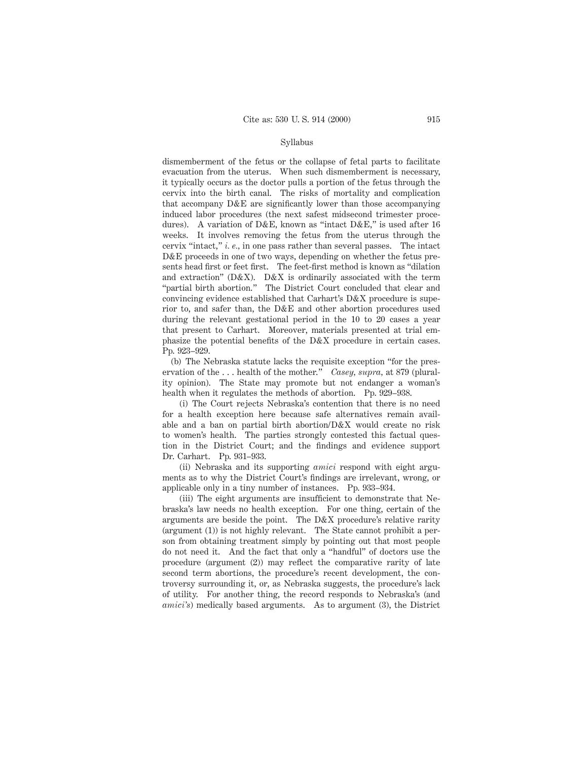dismemberment of the fetus or the collapse of fetal parts to facilitate evacuation from the uterus. When such dismemberment is necessary, it typically occurs as the doctor pulls a portion of the fetus through the cervix into the birth canal. The risks of mortality and complication that accompany D&E are significantly lower than those accompanying induced labor procedures (the next safest midsecond trimester procedures). A variation of D&E, known as "intact D&E," is used after 16 weeks. It involves removing the fetus from the uterus through the cervix "intact," *i. e.,* in one pass rather than several passes. The intact D&E proceeds in one of two ways, depending on whether the fetus presents head first or feet first. The feet-first method is known as "dilation and extraction" (D&X). D&X is ordinarily associated with the term "partial birth abortion." The District Court concluded that clear and convincing evidence established that Carhart's D&X procedure is superior to, and safer than, the D&E and other abortion procedures used during the relevant gestational period in the 10 to 20 cases a year that present to Carhart. Moreover, materials presented at trial emphasize the potential benefits of the D&X procedure in certain cases. Pp. 923–929.

(b) The Nebraska statute lacks the requisite exception "for the preservation of the . . . health of the mother." *Casey, supra,* at 879 (plurality opinion). The State may promote but not endanger a woman's health when it regulates the methods of abortion. Pp. 929–938.

(i) The Court rejects Nebraska's contention that there is no need for a health exception here because safe alternatives remain available and a ban on partial birth abortion/D&X would create no risk to women's health. The parties strongly contested this factual question in the District Court; and the findings and evidence support Dr. Carhart. Pp. 931–933.

(ii) Nebraska and its supporting *amici* respond with eight arguments as to why the District Court's findings are irrelevant, wrong, or applicable only in a tiny number of instances. Pp. 933–934.

(iii) The eight arguments are insufficient to demonstrate that Nebraska's law needs no health exception. For one thing, certain of the arguments are beside the point. The D&X procedure's relative rarity (argument (1)) is not highly relevant. The State cannot prohibit a person from obtaining treatment simply by pointing out that most people do not need it. And the fact that only a "handful" of doctors use the procedure (argument (2)) may reflect the comparative rarity of late second term abortions, the procedure's recent development, the controversy surrounding it, or, as Nebraska suggests, the procedure's lack of utility. For another thing, the record responds to Nebraska's (and *amici's*) medically based arguments. As to argument (3), the District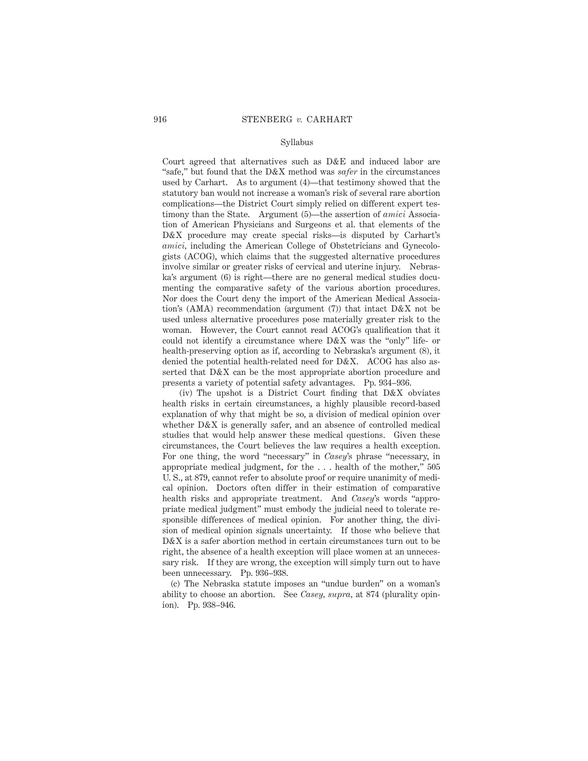Court agreed that alternatives such as D&E and induced labor are "safe," but found that the D&X method was *safer* in the circumstances used by Carhart. As to argument (4)—that testimony showed that the statutory ban would not increase a woman's risk of several rare abortion complications—the District Court simply relied on different expert testimony than the State. Argument (5)—the assertion of *amici* Association of American Physicians and Surgeons et al. that elements of the D&X procedure may create special risks—is disputed by Carhart's *amici,* including the American College of Obstetricians and Gynecologists (ACOG), which claims that the suggested alternative procedures involve similar or greater risks of cervical and uterine injury. Nebraska's argument (6) is right—there are no general medical studies documenting the comparative safety of the various abortion procedures. Nor does the Court deny the import of the American Medical Association's (AMA) recommendation (argument  $(7)$ ) that intact D&X not be used unless alternative procedures pose materially greater risk to the woman. However, the Court cannot read ACOG's qualification that it could not identify a circumstance where D&X was the "only" life- or health-preserving option as if, according to Nebraska's argument (8), it denied the potential health-related need for D&X. ACOG has also asserted that D&X can be the most appropriate abortion procedure and presents a variety of potential safety advantages. Pp. 934–936.

(iv) The upshot is a District Court finding that D&X obviates health risks in certain circumstances, a highly plausible record-based explanation of why that might be so, a division of medical opinion over whether D&X is generally safer, and an absence of controlled medical studies that would help answer these medical questions. Given these circumstances, the Court believes the law requires a health exception. For one thing, the word "necessary" in *Casey*'s phrase "necessary, in appropriate medical judgment, for the . . . health of the mother," 505 U. S., at 879, cannot refer to absolute proof or require unanimity of medical opinion. Doctors often differ in their estimation of comparative health risks and appropriate treatment. And *Casey*'s words "appropriate medical judgment" must embody the judicial need to tolerate responsible differences of medical opinion. For another thing, the division of medical opinion signals uncertainty. If those who believe that D&X is a safer abortion method in certain circumstances turn out to be right, the absence of a health exception will place women at an unnecessary risk. If they are wrong, the exception will simply turn out to have been unnecessary. Pp. 936–938.

(c) The Nebraska statute imposes an "undue burden" on a woman's ability to choose an abortion. See *Casey, supra,* at 874 (plurality opinion). Pp. 938–946.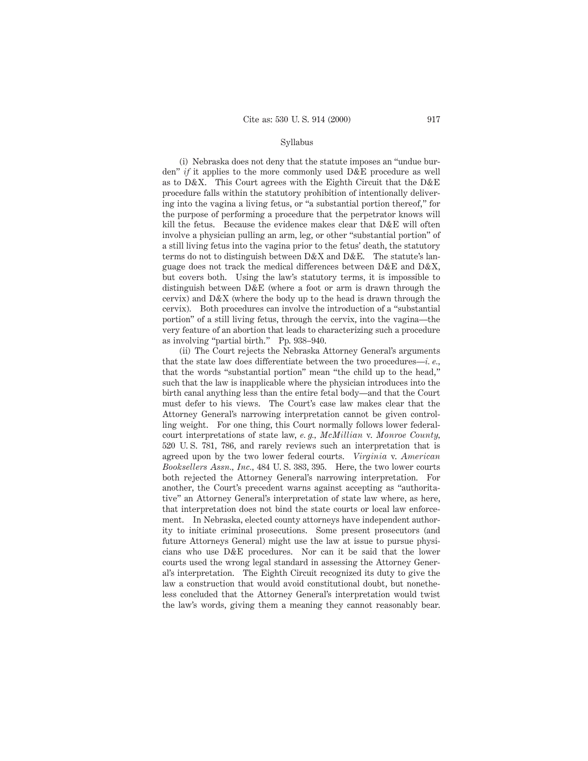(i) Nebraska does not deny that the statute imposes an "undue burden" *if* it applies to the more commonly used D&E procedure as well as to D&X. This Court agrees with the Eighth Circuit that the D&E procedure falls within the statutory prohibition of intentionally delivering into the vagina a living fetus, or "a substantial portion thereof," for the purpose of performing a procedure that the perpetrator knows will kill the fetus. Because the evidence makes clear that D&E will often involve a physician pulling an arm, leg, or other "substantial portion" of a still living fetus into the vagina prior to the fetus' death, the statutory terms do not to distinguish between D&X and D&E. The statute's language does not track the medical differences between D&E and D&X, but covers both. Using the law's statutory terms, it is impossible to distinguish between D&E (where a foot or arm is drawn through the cervix) and D&X (where the body up to the head is drawn through the cervix). Both procedures can involve the introduction of a "substantial portion" of a still living fetus, through the cervix, into the vagina—the very feature of an abortion that leads to characterizing such a procedure as involving "partial birth." Pp. 938–940.

(ii) The Court rejects the Nebraska Attorney General's arguments that the state law does differentiate between the two procedures—*i. e.,* that the words "substantial portion" mean "the child up to the head," such that the law is inapplicable where the physician introduces into the birth canal anything less than the entire fetal body—and that the Court must defer to his views. The Court's case law makes clear that the Attorney General's narrowing interpretation cannot be given controlling weight. For one thing, this Court normally follows lower federalcourt interpretations of state law, *e. g., McMillian* v. *Monroe County,* 520 U. S. 781, 786, and rarely reviews such an interpretation that is agreed upon by the two lower federal courts. *Virginia* v. *American Booksellers Assn., Inc.,* 484 U. S. 383, 395. Here, the two lower courts both rejected the Attorney General's narrowing interpretation. For another, the Court's precedent warns against accepting as "authoritative" an Attorney General's interpretation of state law where, as here, that interpretation does not bind the state courts or local law enforcement. In Nebraska, elected county attorneys have independent authority to initiate criminal prosecutions. Some present prosecutors (and future Attorneys General) might use the law at issue to pursue physicians who use D&E procedures. Nor can it be said that the lower courts used the wrong legal standard in assessing the Attorney General's interpretation. The Eighth Circuit recognized its duty to give the law a construction that would avoid constitutional doubt, but nonetheless concluded that the Attorney General's interpretation would twist the law's words, giving them a meaning they cannot reasonably bear.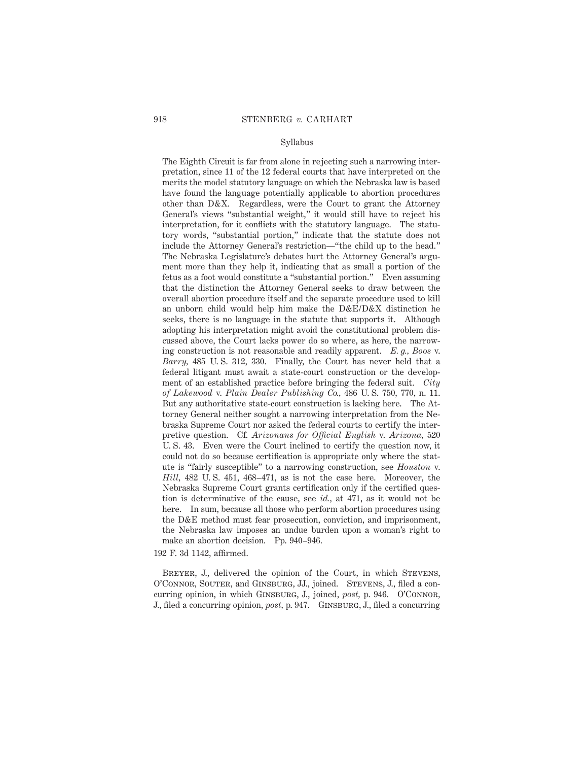The Eighth Circuit is far from alone in rejecting such a narrowing interpretation, since 11 of the 12 federal courts that have interpreted on the merits the model statutory language on which the Nebraska law is based have found the language potentially applicable to abortion procedures other than D&X. Regardless, were the Court to grant the Attorney General's views "substantial weight," it would still have to reject his interpretation, for it conflicts with the statutory language. The statutory words, "substantial portion," indicate that the statute does not include the Attorney General's restriction—"the child up to the head." The Nebraska Legislature's debates hurt the Attorney General's argument more than they help it, indicating that as small a portion of the fetus as a foot would constitute a "substantial portion." Even assuming that the distinction the Attorney General seeks to draw between the overall abortion procedure itself and the separate procedure used to kill an unborn child would help him make the D&E/D&X distinction he seeks, there is no language in the statute that supports it. Although adopting his interpretation might avoid the constitutional problem discussed above, the Court lacks power do so where, as here, the narrowing construction is not reasonable and readily apparent. *E. g., Boos* v. *Barry,* 485 U. S. 312, 330. Finally, the Court has never held that a federal litigant must await a state-court construction or the development of an established practice before bringing the federal suit. *City of Lakewood* v. *Plain Dealer Publishing Co.,* 486 U. S. 750, 770, n. 11. But any authoritative state-court construction is lacking here. The Attorney General neither sought a narrowing interpretation from the Nebraska Supreme Court nor asked the federal courts to certify the interpretive question. Cf. *Arizonans for Official English* v. *Arizona,* 520 U. S. 43. Even were the Court inclined to certify the question now, it could not do so because certification is appropriate only where the statute is "fairly susceptible" to a narrowing construction, see *Houston* v. *Hill,* 482 U. S. 451, 468–471, as is not the case here. Moreover, the Nebraska Supreme Court grants certification only if the certified question is determinative of the cause, see *id.,* at 471, as it would not be here. In sum, because all those who perform abortion procedures using the D&E method must fear prosecution, conviction, and imprisonment, the Nebraska law imposes an undue burden upon a woman's right to make an abortion decision. Pp. 940–946.

192 F. 3d 1142, affirmed.

BREYER, J., delivered the opinion of the Court, in which STEVENS, O'CONNOR, SOUTER, and GINSBURG, JJ., joined. STEVENS, J., filed a concurring opinion, in which Ginsburg, J., joined, *post,* p. 946. O'Connor, J., filed a concurring opinion, *post,* p. 947. Ginsburg, J., filed a concurring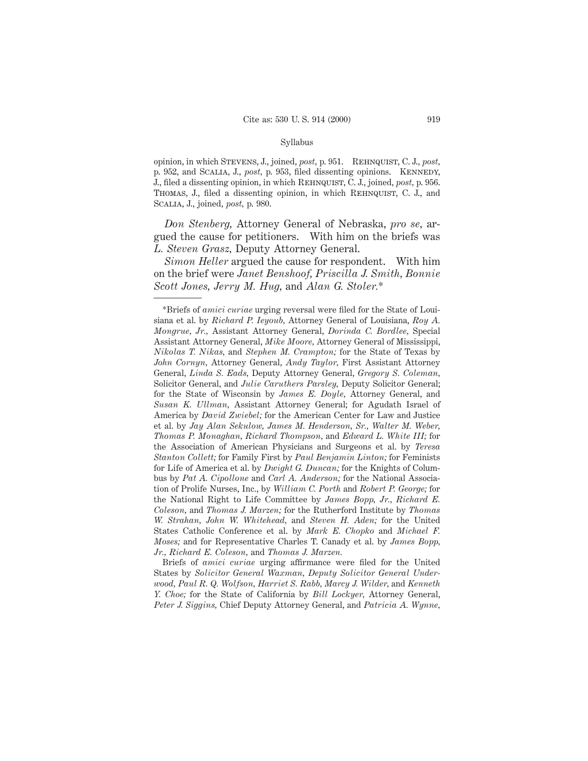opinion, in which Stevens, J., joined, *post,* p. 951. Rehnquist, C. J., *post,* p. 952, and Scalia, J., *post,* p. 953, filed dissenting opinions. Kennedy, J., filed a dissenting opinion, in which Rehnquist, C. J., joined, *post,* p. 956. THOMAS, J., filed a dissenting opinion, in which REHNQUIST, C. J., and Scalia, J., joined, *post,* p. 980.

*Don Stenberg,* Attorney General of Nebraska, *pro se,* argued the cause for petitioners. With him on the briefs was *L. Steven Grasz,* Deputy Attorney General.

*Simon Heller* argued the cause for respondent. With him on the brief were *Janet Benshoof, Priscilla J. Smith, Bonnie Scott Jones, Jerry M. Hug,* and *Alan G. Stoler.*\*

Briefs of *amici curiae* urging affirmance were filed for the United States by *Solicitor General Waxman, Deputy Solicitor General Underwood, Paul R. Q. Wolfson, Harriet S. Rabb, Marcy J. Wilder,* and *Kenneth Y. Choe;* for the State of California by *Bill Lockyer,* Attorney General, *Peter J. Siggins,* Chief Deputy Attorney General, and *Patricia A. Wynne,*

<sup>\*</sup>Briefs of *amici curiae* urging reversal were filed for the State of Louisiana et al. by *Richard P. Ieyoub,* Attorney General of Louisiana, *Roy A. Mongrue, Jr.,* Assistant Attorney General, *Dorinda C. Bordlee,* Special Assistant Attorney General, *Mike Moore,* Attorney General of Mississippi, *Nikolas T. Nikas,* and *Stephen M. Crampton;* for the State of Texas by *John Cornyn,* Attorney General, *Andy Taylor,* First Assistant Attorney General, *Linda S. Eads,* Deputy Attorney General, *Gregory S. Coleman,* Solicitor General, and *Julie Caruthers Parsley,* Deputy Solicitor General; for the State of Wisconsin by *James E. Doyle,* Attorney General, and *Susan K. Ullman,* Assistant Attorney General; for Agudath Israel of America by *David Zwiebel;* for the American Center for Law and Justice et al. by *Jay Alan Sekulow, James M. Henderson, Sr., Walter M. Weber, Thomas P. Monaghan, Richard Thompson,* and *Edward L. White III;* for the Association of American Physicians and Surgeons et al. by *Teresa Stanton Collett;* for Family First by *Paul Benjamin Linton;* for Feminists for Life of America et al. by *Dwight G. Duncan;* for the Knights of Columbus by *Pat A. Cipollone* and *Carl A. Anderson;* for the National Association of Prolife Nurses, Inc., by *William C. Porth* and *Robert P. George;* for the National Right to Life Committee by *James Bopp, Jr., Richard E. Coleson,* and *Thomas J. Marzen;* for the Rutherford Institute by *Thomas W. Strahan, John W. Whitehead,* and *Steven H. Aden;* for the United States Catholic Conference et al. by *Mark E. Chopko* and *Michael F. Moses;* and for Representative Charles T. Canady et al. by *James Bopp, Jr., Richard E. Coleson,* and *Thomas J. Marzen.*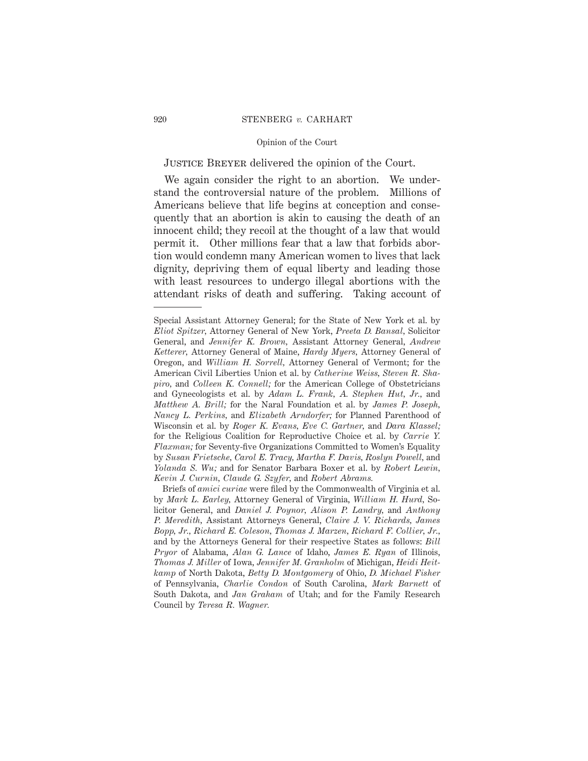#### 920 STENBERG *v.* CARHART

#### Opinion of the Court

# Justice Breyer delivered the opinion of the Court.

We again consider the right to an abortion. We understand the controversial nature of the problem. Millions of Americans believe that life begins at conception and consequently that an abortion is akin to causing the death of an innocent child; they recoil at the thought of a law that would permit it. Other millions fear that a law that forbids abortion would condemn many American women to lives that lack dignity, depriving them of equal liberty and leading those with least resources to undergo illegal abortions with the attendant risks of death and suffering. Taking account of

Special Assistant Attorney General; for the State of New York et al. by *Eliot Spitzer,* Attorney General of New York, *Preeta D. Bansal,* Solicitor General, and *Jennifer K. Brown,* Assistant Attorney General, *Andrew Ketterer,* Attorney General of Maine, *Hardy Myers,* Attorney General of Oregon, and *William H. Sorrell,* Attorney General of Vermont; for the American Civil Liberties Union et al. by *Catherine Weiss, Steven R. Shapiro,* and *Colleen K. Connell;* for the American College of Obstetricians and Gynecologists et al. by *Adam L. Frank, A. Stephen Hut, Jr.,* and *Matthew A. Brill;* for the Naral Foundation et al. by *James P. Joseph, Nancy L. Perkins,* and *Elizabeth Arndorfer;* for Planned Parenthood of Wisconsin et al. by *Roger K. Evans, Eve C. Gartner,* and *Dara Klassel;* for the Religious Coalition for Reproductive Choice et al. by *Carrie Y. Flaxman;* for Seventy-five Organizations Committed to Women's Equality by *Susan Frietsche, Carol E. Tracy, Martha F. Davis, Roslyn Powell,* and *Yolanda S. Wu;* and for Senator Barbara Boxer et al. by *Robert Lewin, Kevin J. Curnin, Claude G. Szyfer,* and *Robert Abrams.*

Briefs of *amici curiae* were filed by the Commonwealth of Virginia et al. by *Mark L. Earley,* Attorney General of Virginia, *William H. Hurd,* Solicitor General, and *Daniel J. Poynor, Alison P. Landry,* and *Anthony P. Meredith,* Assistant Attorneys General, *Claire J. V. Richards, James Bopp, Jr., Richard E. Coleson, Thomas J. Marzen, Richard F. Collier, Jr.,* and by the Attorneys General for their respective States as follows: *Bill Pryor* of Alabama, *Alan G. Lance* of Idaho, *James E. Ryan* of Illinois, *Thomas J. Miller* of Iowa, *Jennifer M. Granholm* of Michigan, *Heidi Heitkamp* of North Dakota, *Betty D. Montgomery* of Ohio, *D. Michael Fisher* of Pennsylvania, *Charlie Condon* of South Carolina, *Mark Barnett* of South Dakota, and *Jan Graham* of Utah; and for the Family Research Council by *Teresa R. Wagner.*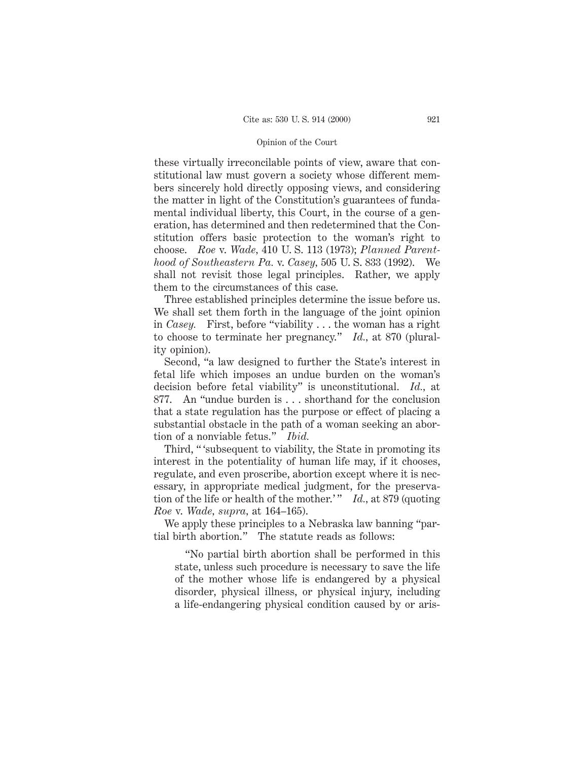these virtually irreconcilable points of view, aware that constitutional law must govern a society whose different members sincerely hold directly opposing views, and considering the matter in light of the Constitution's guarantees of fundamental individual liberty, this Court, in the course of a generation, has determined and then redetermined that the Constitution offers basic protection to the woman's right to choose. *Roe* v. *Wade,* 410 U. S. 113 (1973); *Planned Parenthood of Southeastern Pa.* v. *Casey,* 505 U. S. 833 (1992). We shall not revisit those legal principles. Rather, we apply them to the circumstances of this case.

Three established principles determine the issue before us. We shall set them forth in the language of the joint opinion in *Casey.* First, before "viability . . . the woman has a right to choose to terminate her pregnancy." *Id.,* at 870 (plurality opinion).

Second, "a law designed to further the State's interest in fetal life which imposes an undue burden on the woman's decision before fetal viability" is unconstitutional. *Id.,* at 877. An "undue burden is... shorthand for the conclusion that a state regulation has the purpose or effect of placing a substantial obstacle in the path of a woman seeking an abortion of a nonviable fetus." *Ibid.*

Third, " 'subsequent to viability, the State in promoting its interest in the potentiality of human life may, if it chooses, regulate, and even proscribe, abortion except where it is necessary, in appropriate medical judgment, for the preservation of the life or health of the mother.'" *Id.*, at 879 (quoting *Roe* v. *Wade, supra,* at 164–165).

We apply these principles to a Nebraska law banning "partial birth abortion." The statute reads as follows:

"No partial birth abortion shall be performed in this state, unless such procedure is necessary to save the life of the mother whose life is endangered by a physical disorder, physical illness, or physical injury, including a life-endangering physical condition caused by or aris-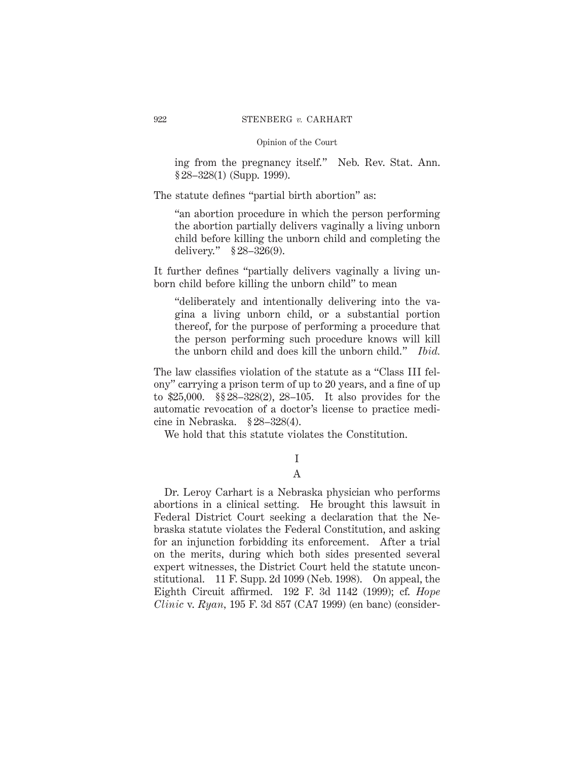ing from the pregnancy itself." Neb. Rev. Stat. Ann. § 28–328(1) (Supp. 1999).

The statute defines "partial birth abortion" as:

"an abortion procedure in which the person performing the abortion partially delivers vaginally a living unborn child before killing the unborn child and completing the delivery." § 28–326(9).

It further defines "partially delivers vaginally a living unborn child before killing the unborn child" to mean

"deliberately and intentionally delivering into the vagina a living unborn child, or a substantial portion thereof, for the purpose of performing a procedure that the person performing such procedure knows will kill the unborn child and does kill the unborn child." *Ibid.*

The law classifies violation of the statute as a "Class III felony" carrying a prison term of up to 20 years, and a fine of up to \$25,000. §§ 28–328(2), 28–105. It also provides for the automatic revocation of a doctor's license to practice medicine in Nebraska. § 28–328(4).

We hold that this statute violates the Constitution.

## I A

Dr. Leroy Carhart is a Nebraska physician who performs abortions in a clinical setting. He brought this lawsuit in Federal District Court seeking a declaration that the Nebraska statute violates the Federal Constitution, and asking for an injunction forbidding its enforcement. After a trial on the merits, during which both sides presented several expert witnesses, the District Court held the statute unconstitutional. 11 F. Supp. 2d 1099 (Neb. 1998). On appeal, the Eighth Circuit affirmed. 192 F. 3d 1142 (1999); cf. *Hope Clinic* v. *Ryan,* 195 F. 3d 857 (CA7 1999) (en banc) (consider-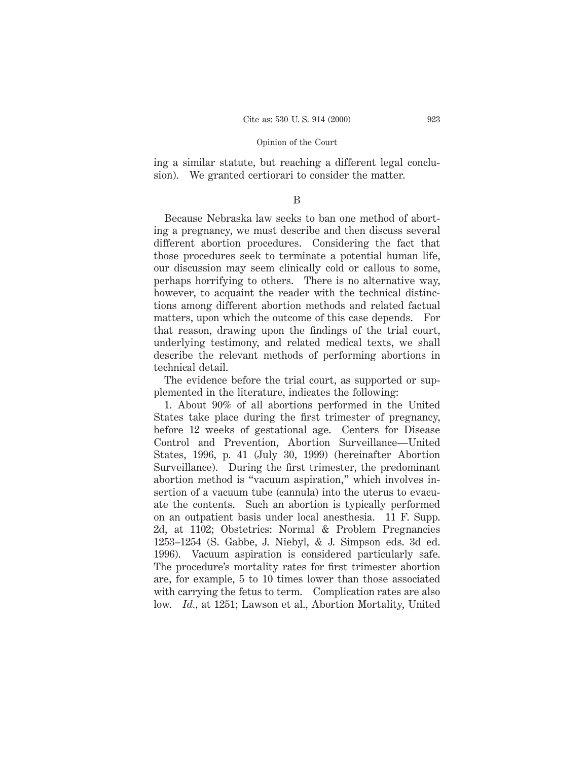ing a similar statute, but reaching a different legal conclusion). We granted certiorari to consider the matter.

## B

Because Nebraska law seeks to ban one method of aborting a pregnancy, we must describe and then discuss several different abortion procedures. Considering the fact that those procedures seek to terminate a potential human life, our discussion may seem clinically cold or callous to some, perhaps horrifying to others. There is no alternative way, however, to acquaint the reader with the technical distinctions among different abortion methods and related factual matters, upon which the outcome of this case depends. For that reason, drawing upon the findings of the trial court, underlying testimony, and related medical texts, we shall describe the relevant methods of performing abortions in technical detail.

The evidence before the trial court, as supported or supplemented in the literature, indicates the following:

1. About 90% of all abortions performed in the United States take place during the first trimester of pregnancy, before 12 weeks of gestational age. Centers for Disease Control and Prevention, Abortion Surveillance—United States, 1996, p. 41 (July 30, 1999) (hereinafter Abortion Surveillance). During the first trimester, the predominant abortion method is "vacuum aspiration," which involves insertion of a vacuum tube (cannula) into the uterus to evacuate the contents. Such an abortion is typically performed on an outpatient basis under local anesthesia. 11 F. Supp. 2d, at 1102; Obstetrics: Normal & Problem Pregnancies 1253–1254 (S. Gabbe, J. Niebyl, & J. Simpson eds. 3d ed. 1996). Vacuum aspiration is considered particularly safe. The procedure's mortality rates for first trimester abortion are, for example, 5 to 10 times lower than those associated with carrying the fetus to term. Complication rates are also low. *Id.,* at 1251; Lawson et al., Abortion Mortality, United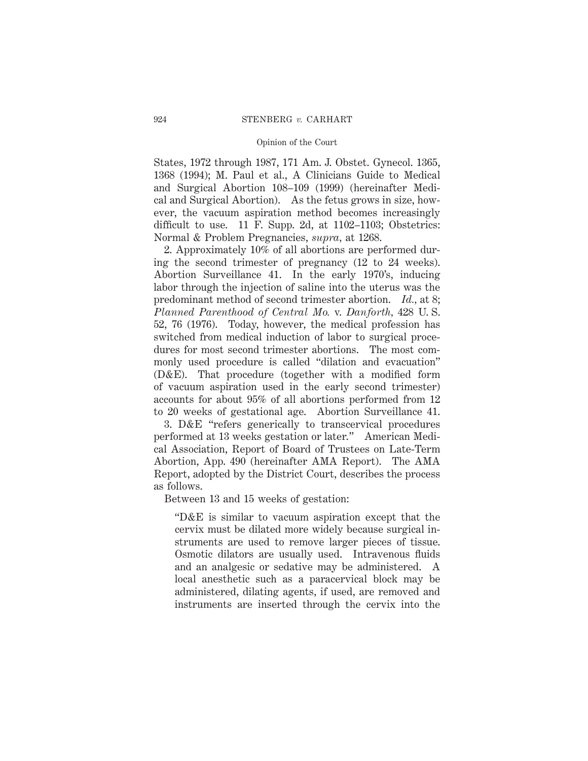States, 1972 through 1987, 171 Am. J. Obstet. Gynecol. 1365, 1368 (1994); M. Paul et al., A Clinicians Guide to Medical and Surgical Abortion 108–109 (1999) (hereinafter Medical and Surgical Abortion). As the fetus grows in size, however, the vacuum aspiration method becomes increasingly difficult to use. 11 F. Supp. 2d, at 1102–1103; Obstetrics: Normal & Problem Pregnancies, *supra,* at 1268.

2. Approximately 10% of all abortions are performed during the second trimester of pregnancy (12 to 24 weeks). Abortion Surveillance 41. In the early 1970's, inducing labor through the injection of saline into the uterus was the predominant method of second trimester abortion. *Id.,* at 8; *Planned Parenthood of Central Mo.* v. *Danforth,* 428 U. S. 52, 76 (1976). Today, however, the medical profession has switched from medical induction of labor to surgical procedures for most second trimester abortions. The most commonly used procedure is called "dilation and evacuation" (D&E). That procedure (together with a modified form of vacuum aspiration used in the early second trimester) accounts for about 95% of all abortions performed from 12 to 20 weeks of gestational age. Abortion Surveillance 41.

3. D&E "refers generically to transcervical procedures performed at 13 weeks gestation or later." American Medical Association, Report of Board of Trustees on Late-Term Abortion, App. 490 (hereinafter AMA Report). The AMA Report, adopted by the District Court, describes the process as follows.

Between 13 and 15 weeks of gestation:

"D&E is similar to vacuum aspiration except that the cervix must be dilated more widely because surgical instruments are used to remove larger pieces of tissue. Osmotic dilators are usually used. Intravenous fluids and an analgesic or sedative may be administered. A local anesthetic such as a paracervical block may be administered, dilating agents, if used, are removed and instruments are inserted through the cervix into the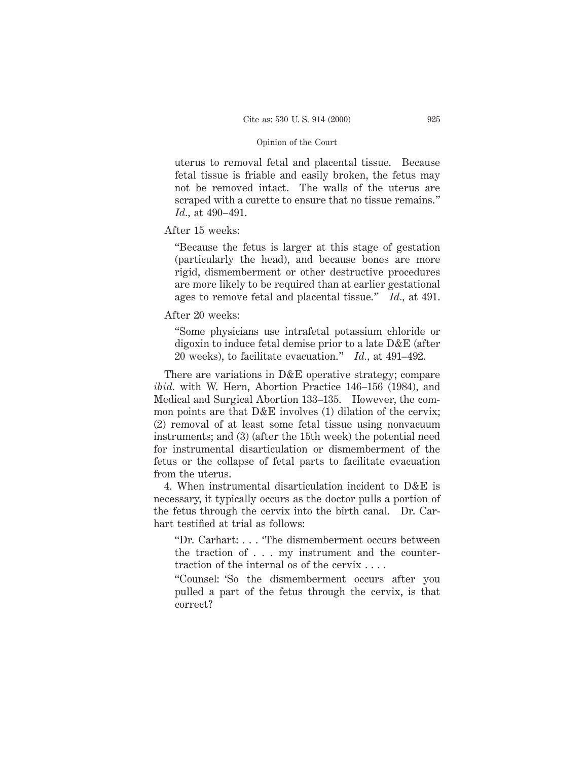uterus to removal fetal and placental tissue. Because fetal tissue is friable and easily broken, the fetus may not be removed intact. The walls of the uterus are scraped with a curette to ensure that no tissue remains." *Id.,* at 490–491.

## After 15 weeks:

"Because the fetus is larger at this stage of gestation (particularly the head), and because bones are more rigid, dismemberment or other destructive procedures are more likely to be required than at earlier gestational ages to remove fetal and placental tissue." *Id.,* at 491.

## After 20 weeks:

"Some physicians use intrafetal potassium chloride or digoxin to induce fetal demise prior to a late D&E (after 20 weeks), to facilitate evacuation." *Id.,* at 491–492.

There are variations in D&E operative strategy; compare *ibid.* with W. Hern, Abortion Practice 146–156 (1984), and Medical and Surgical Abortion 133–135. However, the common points are that  $D&E$  involves (1) dilation of the cervix; (2) removal of at least some fetal tissue using nonvacuum instruments; and (3) (after the 15th week) the potential need for instrumental disarticulation or dismemberment of the fetus or the collapse of fetal parts to facilitate evacuation from the uterus.

4. When instrumental disarticulation incident to D&E is necessary, it typically occurs as the doctor pulls a portion of the fetus through the cervix into the birth canal. Dr. Carhart testified at trial as follows:

"Dr. Carhart: . . . 'The dismemberment occurs between the traction of . . . my instrument and the countertraction of the internal os of the cervix ....

"Counsel: 'So the dismemberment occurs after you pulled a part of the fetus through the cervix, is that correct?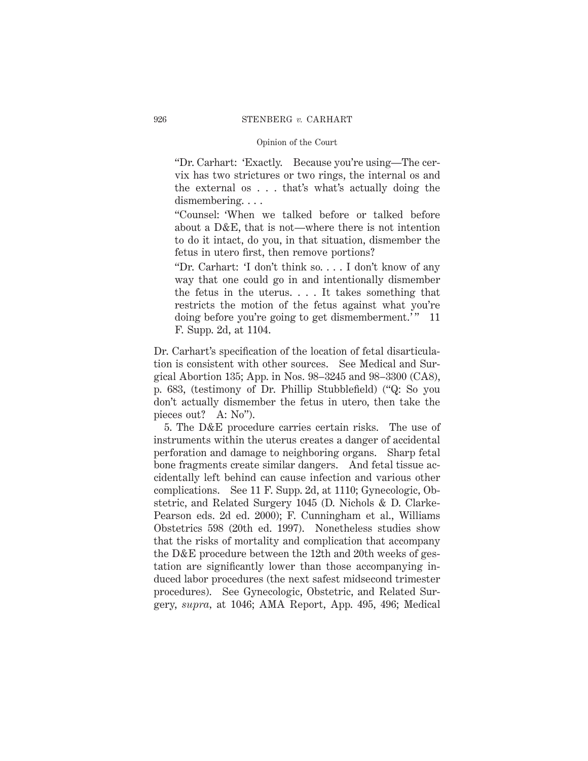"Dr. Carhart: 'Exactly. Because you're using—The cervix has two strictures or two rings, the internal os and the external os . . . that's what's actually doing the dismembering....

"Counsel: 'When we talked before or talked before about a D&E, that is not—where there is not intention to do it intact, do you, in that situation, dismember the fetus in utero first, then remove portions?

"Dr. Carhart: 'I don't think so. . . . I don't know of any way that one could go in and intentionally dismember the fetus in the uterus. . . . It takes something that restricts the motion of the fetus against what you're doing before you're going to get dismemberment.'" 11 F. Supp. 2d, at 1104.

Dr. Carhart's specification of the location of fetal disarticulation is consistent with other sources. See Medical and Surgical Abortion 135; App. in Nos. 98–3245 and 98–3300 (CA8), p. 683, (testimony of Dr. Phillip Stubblefield) ("Q: So you don't actually dismember the fetus in utero, then take the pieces out? A: No").

5. The D&E procedure carries certain risks. The use of instruments within the uterus creates a danger of accidental perforation and damage to neighboring organs. Sharp fetal bone fragments create similar dangers. And fetal tissue accidentally left behind can cause infection and various other complications. See 11 F. Supp. 2d, at 1110; Gynecologic, Obstetric, and Related Surgery 1045 (D. Nichols & D. Clarke-Pearson eds. 2d ed. 2000); F. Cunningham et al., Williams Obstetrics 598 (20th ed. 1997). Nonetheless studies show that the risks of mortality and complication that accompany the D&E procedure between the 12th and 20th weeks of gestation are significantly lower than those accompanying induced labor procedures (the next safest midsecond trimester procedures). See Gynecologic, Obstetric, and Related Surgery, *supra,* at 1046; AMA Report, App. 495, 496; Medical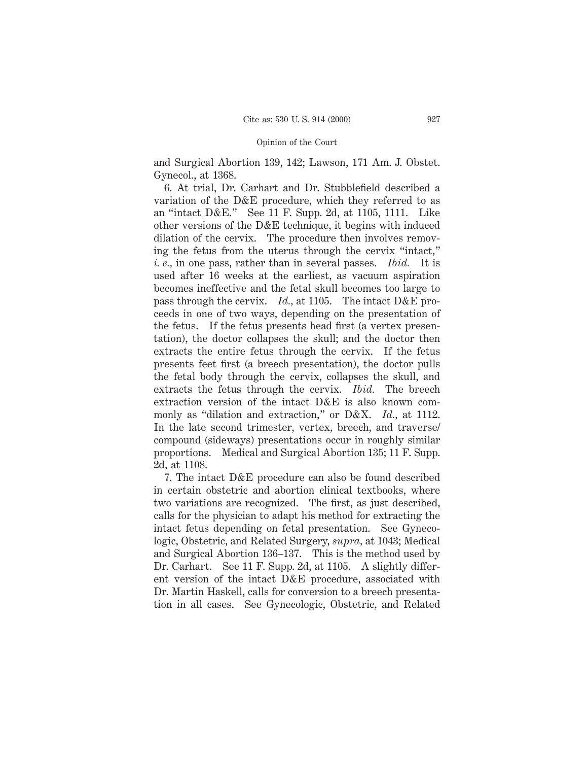and Surgical Abortion 139, 142; Lawson, 171 Am. J. Obstet. Gynecol., at 1368.

6. At trial, Dr. Carhart and Dr. Stubblefield described a variation of the D&E procedure, which they referred to as an "intact D&E." See 11 F. Supp. 2d, at 1105, 1111. Like other versions of the D&E technique, it begins with induced dilation of the cervix. The procedure then involves removing the fetus from the uterus through the cervix "intact," *i. e.,* in one pass, rather than in several passes. *Ibid.* It is used after 16 weeks at the earliest, as vacuum aspiration becomes ineffective and the fetal skull becomes too large to pass through the cervix. *Id.,* at 1105. The intact D&E proceeds in one of two ways, depending on the presentation of the fetus. If the fetus presents head first (a vertex presentation), the doctor collapses the skull; and the doctor then extracts the entire fetus through the cervix. If the fetus presents feet first (a breech presentation), the doctor pulls the fetal body through the cervix, collapses the skull, and extracts the fetus through the cervix. *Ibid.* The breech extraction version of the intact D&E is also known commonly as "dilation and extraction," or D&X. *Id.,* at 1112. In the late second trimester, vertex, breech, and traverse/ compound (sideways) presentations occur in roughly similar proportions. Medical and Surgical Abortion 135; 11 F. Supp. 2d, at 1108.

7. The intact D&E procedure can also be found described in certain obstetric and abortion clinical textbooks, where two variations are recognized. The first, as just described, calls for the physician to adapt his method for extracting the intact fetus depending on fetal presentation. See Gynecologic, Obstetric, and Related Surgery, *supra,* at 1043; Medical and Surgical Abortion 136–137. This is the method used by Dr. Carhart. See 11 F. Supp. 2d, at 1105. A slightly different version of the intact D&E procedure, associated with Dr. Martin Haskell, calls for conversion to a breech presentation in all cases. See Gynecologic, Obstetric, and Related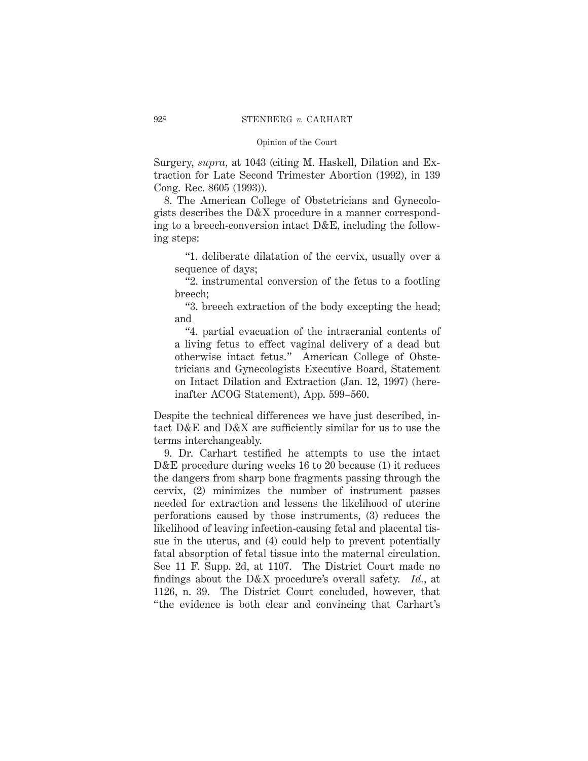Surgery, *supra,* at 1043 (citing M. Haskell, Dilation and Extraction for Late Second Trimester Abortion (1992), in 139 Cong. Rec. 8605 (1993)).

8. The American College of Obstetricians and Gynecologists describes the D&X procedure in a manner corresponding to a breech-conversion intact D&E, including the following steps:

"1. deliberate dilatation of the cervix, usually over a sequence of days;

"2. instrumental conversion of the fetus to a footling breech;

"3. breech extraction of the body excepting the head; and

"4. partial evacuation of the intracranial contents of a living fetus to effect vaginal delivery of a dead but otherwise intact fetus." American College of Obstetricians and Gynecologists Executive Board, Statement on Intact Dilation and Extraction (Jan. 12, 1997) (hereinafter ACOG Statement), App. 599–560.

Despite the technical differences we have just described, intact D&E and D&X are sufficiently similar for us to use the terms interchangeably.

9. Dr. Carhart testified he attempts to use the intact D&E procedure during weeks 16 to 20 because (1) it reduces the dangers from sharp bone fragments passing through the cervix, (2) minimizes the number of instrument passes needed for extraction and lessens the likelihood of uterine perforations caused by those instruments, (3) reduces the likelihood of leaving infection-causing fetal and placental tissue in the uterus, and (4) could help to prevent potentially fatal absorption of fetal tissue into the maternal circulation. See 11 F. Supp. 2d, at 1107. The District Court made no findings about the D&X procedure's overall safety. *Id.*, at 1126, n. 39. The District Court concluded, however, that "the evidence is both clear and convincing that Carhart's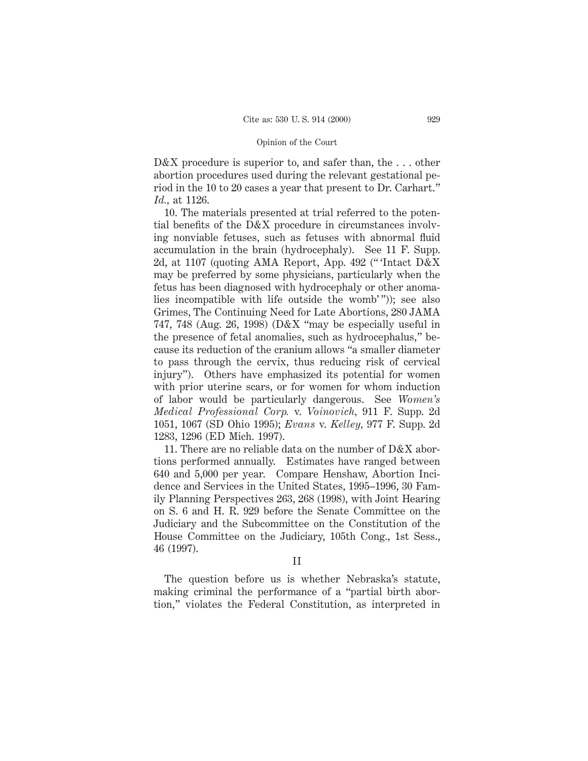D&X procedure is superior to, and safer than, the ... other abortion procedures used during the relevant gestational period in the 10 to 20 cases a year that present to Dr. Carhart." *Id.,* at 1126.

10. The materials presented at trial referred to the potential benefits of the D&X procedure in circumstances involving nonviable fetuses, such as fetuses with abnormal fluid accumulation in the brain (hydrocephaly). See 11 F. Supp. 2d, at 1107 (quoting AMA Report, App. 492 (" 'Intact D&X may be preferred by some physicians, particularly when the fetus has been diagnosed with hydrocephaly or other anomalies incompatible with life outside the womb' ")); see also Grimes, The Continuing Need for Late Abortions, 280 JAMA 747, 748 (Aug. 26, 1998) (D&X "may be especially useful in the presence of fetal anomalies, such as hydrocephalus," because its reduction of the cranium allows "a smaller diameter to pass through the cervix, thus reducing risk of cervical injury"). Others have emphasized its potential for women with prior uterine scars, or for women for whom induction of labor would be particularly dangerous. See *Women's Medical Professional Corp.* v. *Voinovich,* 911 F. Supp. 2d 1051, 1067 (SD Ohio 1995); *Evans* v. *Kelley,* 977 F. Supp. 2d 1283, 1296 (ED Mich. 1997).

11. There are no reliable data on the number of D&X abortions performed annually. Estimates have ranged between 640 and 5,000 per year. Compare Henshaw, Abortion Incidence and Services in the United States, 1995–1996, 30 Family Planning Perspectives 263, 268 (1998), with Joint Hearing on S. 6 and H. R. 929 before the Senate Committee on the Judiciary and the Subcommittee on the Constitution of the House Committee on the Judiciary, 105th Cong., 1st Sess., 46 (1997).

## II

The question before us is whether Nebraska's statute, making criminal the performance of a "partial birth abortion," violates the Federal Constitution, as interpreted in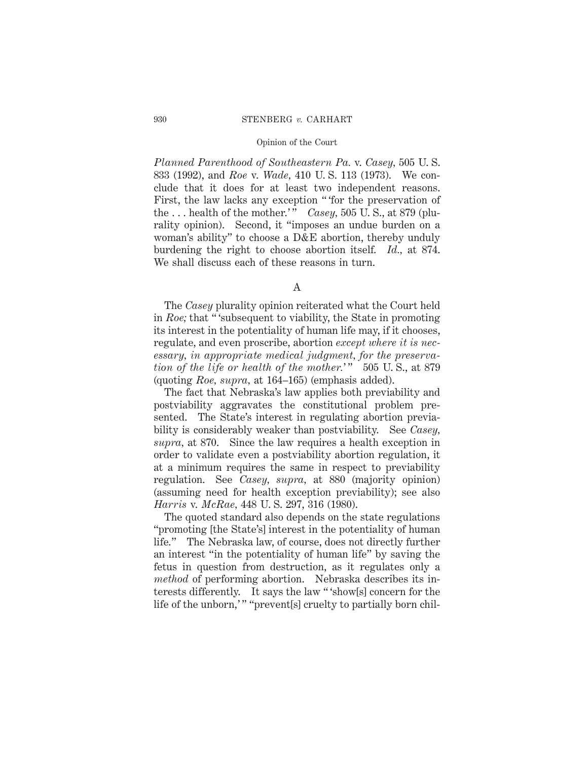*Planned Parenthood of Southeastern Pa.* v. *Casey,* 505 U. S. 833 (1992), and *Roe* v. *Wade,* 410 U. S. 113 (1973). We conclude that it does for at least two independent reasons. First, the law lacks any exception " 'for the preservation of the ... health of the mother.'"  $Casey$ , 505 U.S., at 879 (plurality opinion). Second, it "imposes an undue burden on a woman's ability" to choose a D&E abortion, thereby unduly burdening the right to choose abortion itself. *Id.,* at 874. We shall discuss each of these reasons in turn.

A

The *Casey* plurality opinion reiterated what the Court held in *Roe;* that " 'subsequent to viability, the State in promoting its interest in the potentiality of human life may, if it chooses, regulate, and even proscribe, abortion *except where it is necessary, in appropriate medical judgment, for the preservation of the life or health of the mother.*' " 505 U. S., at 879 (quoting *Roe, supra,* at 164–165) (emphasis added).

The fact that Nebraska's law applies both previability and postviability aggravates the constitutional problem presented. The State's interest in regulating abortion previability is considerably weaker than postviability. See *Casey, supra,* at 870. Since the law requires a health exception in order to validate even a postviability abortion regulation, it at a minimum requires the same in respect to previability regulation. See *Casey, supra,* at 880 (majority opinion) (assuming need for health exception previability); see also *Harris* v. *McRae,* 448 U. S. 297, 316 (1980).

The quoted standard also depends on the state regulations "promoting [the State's] interest in the potentiality of human life." The Nebraska law, of course, does not directly further an interest "in the potentiality of human life" by saving the fetus in question from destruction, as it regulates only a *method* of performing abortion. Nebraska describes its interests differently. It says the law " 'show[s] concern for the life of the unborn," "prevent<sup>[s]</sup> cruelty to partially born chil-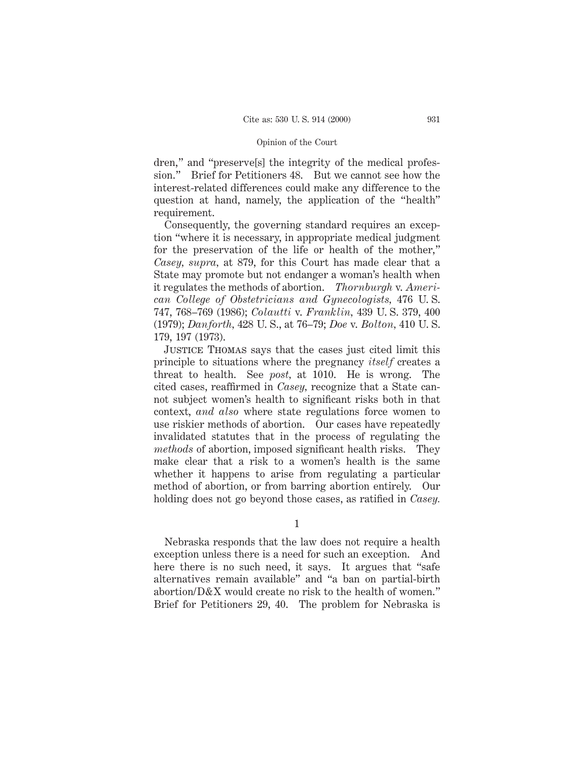dren," and "preserve[s] the integrity of the medical profession." Brief for Petitioners 48. But we cannot see how the interest-related differences could make any difference to the question at hand, namely, the application of the "health" requirement.

Consequently, the governing standard requires an exception "where it is necessary, in appropriate medical judgment for the preservation of the life or health of the mother," *Casey, supra,* at 879, for this Court has made clear that a State may promote but not endanger a woman's health when it regulates the methods of abortion. *Thornburgh* v. *American College of Obstetricians and Gynecologists,* 476 U. S. 747, 768–769 (1986); *Colautti* v. *Franklin,* 439 U. S. 379, 400 (1979); *Danforth,* 428 U. S., at 76–79; *Doe* v. *Bolton,* 410 U. S. 179, 197 (1973).

Justice Thomas says that the cases just cited limit this principle to situations where the pregnancy *itself* creates a threat to health. See *post,* at 1010. He is wrong. The cited cases, reaffirmed in *Casey,* recognize that a State cannot subject women's health to significant risks both in that context, *and also* where state regulations force women to use riskier methods of abortion. Our cases have repeatedly invalidated statutes that in the process of regulating the *methods* of abortion, imposed significant health risks. They make clear that a risk to a women's health is the same whether it happens to arise from regulating a particular method of abortion, or from barring abortion entirely. Our holding does not go beyond those cases, as ratified in *Casey.*

1

Nebraska responds that the law does not require a health exception unless there is a need for such an exception. And here there is no such need, it says. It argues that "safe" alternatives remain available" and "a ban on partial-birth abortion/D&X would create no risk to the health of women." Brief for Petitioners 29, 40. The problem for Nebraska is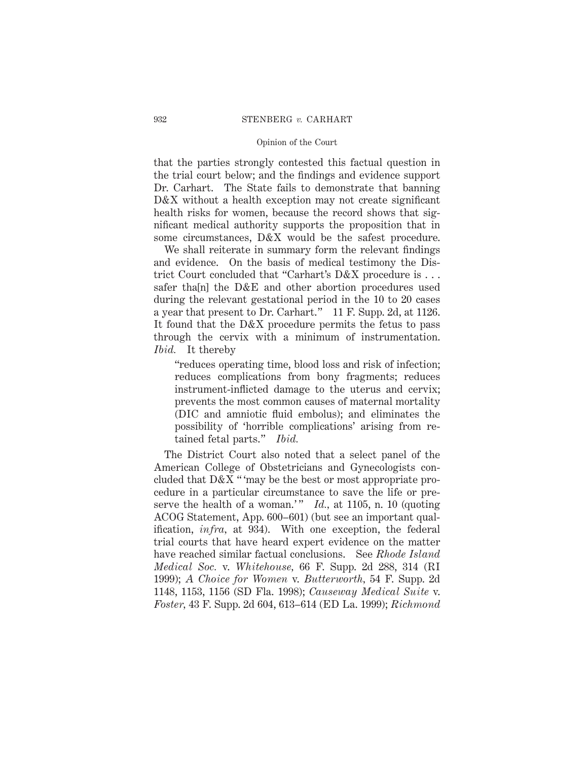that the parties strongly contested this factual question in the trial court below; and the findings and evidence support Dr. Carhart. The State fails to demonstrate that banning D&X without a health exception may not create significant health risks for women, because the record shows that significant medical authority supports the proposition that in some circumstances, D&X would be the safest procedure.

We shall reiterate in summary form the relevant findings and evidence. On the basis of medical testimony the District Court concluded that "Carhart's D&X procedure is . . . safer tha[n] the D&E and other abortion procedures used during the relevant gestational period in the 10 to 20 cases a year that present to Dr. Carhart." 11 F. Supp. 2d, at 1126. It found that the D&X procedure permits the fetus to pass through the cervix with a minimum of instrumentation. *Ibid.* It thereby

"reduces operating time, blood loss and risk of infection; reduces complications from bony fragments; reduces instrument-inflicted damage to the uterus and cervix; prevents the most common causes of maternal mortality (DIC and amniotic fluid embolus); and eliminates the possibility of 'horrible complications' arising from retained fetal parts." *Ibid.*

The District Court also noted that a select panel of the American College of Obstetricians and Gynecologists concluded that D&X " 'may be the best or most appropriate procedure in a particular circumstance to save the life or preserve the health of a woman.'" *Id.*, at 1105, n. 10 (quoting ACOG Statement, App. 600–601) (but see an important qualification, *infra,* at 934). With one exception, the federal trial courts that have heard expert evidence on the matter have reached similar factual conclusions. See *Rhode Island Medical Soc.* v. *Whitehouse,* 66 F. Supp. 2d 288, 314 (RI 1999); *A Choice for Women* v. *Butterworth,* 54 F. Supp. 2d 1148, 1153, 1156 (SD Fla. 1998); *Causeway Medical Suite* v. *Foster,* 43 F. Supp. 2d 604, 613–614 (ED La. 1999); *Richmond*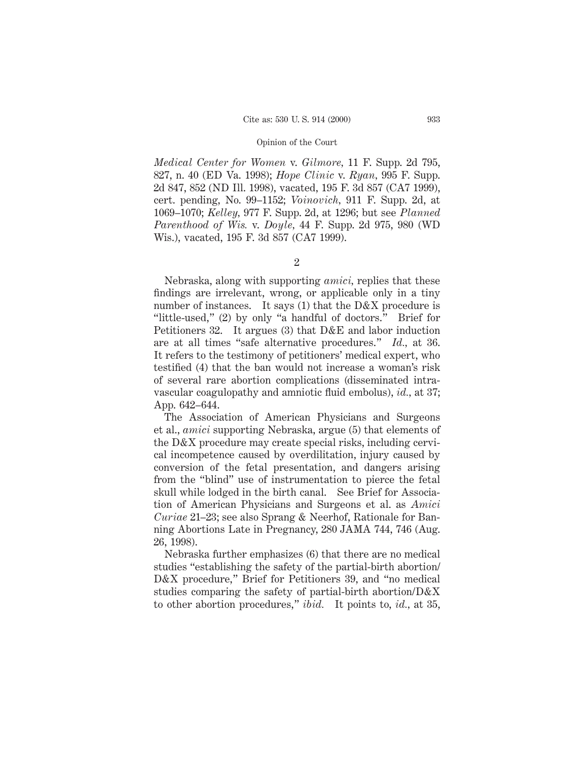*Medical Center for Women* v. *Gilmore,* 11 F. Supp. 2d 795, 827, n. 40 (ED Va. 1998); *Hope Clinic* v. *Ryan,* 995 F. Supp. 2d 847, 852 (ND Ill. 1998), vacated, 195 F. 3d 857 (CA7 1999), cert. pending, No. 99–1152; *Voinovich,* 911 F. Supp. 2d, at 1069–1070; *Kelley,* 977 F. Supp. 2d, at 1296; but see *Planned Parenthood of Wis.* v. *Doyle,* 44 F. Supp. 2d 975, 980 (WD Wis.), vacated, 195 F. 3d 857 (CA7 1999).

Nebraska, along with supporting *amici,* replies that these findings are irrelevant, wrong, or applicable only in a tiny number of instances. It says (1) that the D&X procedure is "little-used," (2) by only "a handful of doctors." Brief for Petitioners 32. It argues (3) that D&E and labor induction are at all times "safe alternative procedures." *Id.,* at 36. It refers to the testimony of petitioners' medical expert, who testified (4) that the ban would not increase a woman's risk of several rare abortion complications (disseminated intravascular coagulopathy and amniotic fluid embolus), *id.,* at 37; App. 642–644.

The Association of American Physicians and Surgeons et al., *amici* supporting Nebraska, argue (5) that elements of the D&X procedure may create special risks, including cervical incompetence caused by overdilitation, injury caused by conversion of the fetal presentation, and dangers arising from the "blind" use of instrumentation to pierce the fetal skull while lodged in the birth canal. See Brief for Association of American Physicians and Surgeons et al. as *Amici Curiae* 21–23; see also Sprang & Neerhof, Rationale for Banning Abortions Late in Pregnancy, 280 JAMA 744, 746 (Aug. 26, 1998).

Nebraska further emphasizes (6) that there are no medical studies "establishing the safety of the partial-birth abortion/ D&X procedure," Brief for Petitioners 39, and "no medical studies comparing the safety of partial-birth abortion/D&X to other abortion procedures," *ibid.* It points to, *id.,* at 35,

<sup>2</sup>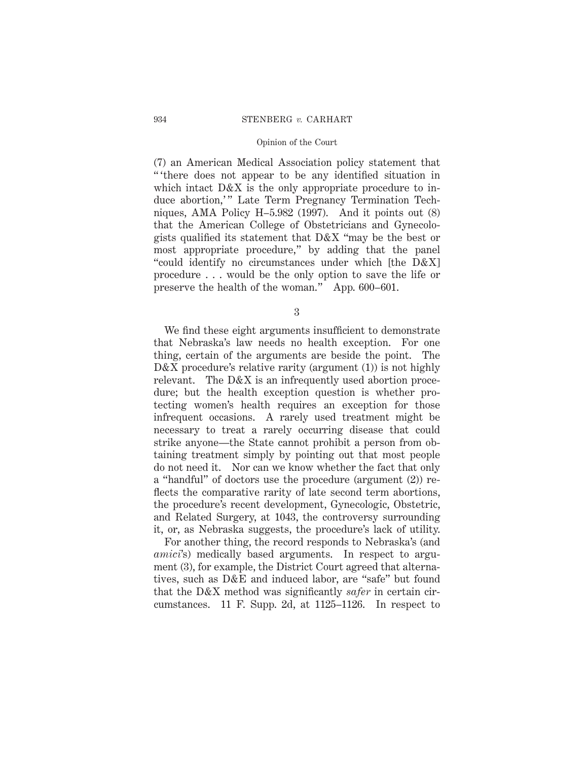(7) an American Medical Association policy statement that " 'there does not appear to be any identified situation in which intact  $D&X$  is the only appropriate procedure to induce abortion,'" Late Term Pregnancy Termination Techniques, AMA Policy H–5.982 (1997). And it points out (8) that the American College of Obstetricians and Gynecologists qualified its statement that D&X "may be the best or most appropriate procedure," by adding that the panel "could identify no circumstances under which [the D&X] procedure . . . would be the only option to save the life or preserve the health of the woman." App. 600–601.

3

We find these eight arguments insufficient to demonstrate that Nebraska's law needs no health exception. For one thing, certain of the arguments are beside the point. The D&X procedure's relative rarity (argument (1)) is not highly relevant. The D&X is an infrequently used abortion procedure; but the health exception question is whether protecting women's health requires an exception for those infrequent occasions. A rarely used treatment might be necessary to treat a rarely occurring disease that could strike anyone—the State cannot prohibit a person from obtaining treatment simply by pointing out that most people do not need it. Nor can we know whether the fact that only a "handful" of doctors use the procedure (argument (2)) reflects the comparative rarity of late second term abortions, the procedure's recent development, Gynecologic, Obstetric, and Related Surgery, at 1043, the controversy surrounding it, or, as Nebraska suggests, the procedure's lack of utility.

For another thing, the record responds to Nebraska's (and *amici*'s) medically based arguments. In respect to argument (3), for example, the District Court agreed that alternatives, such as D&E and induced labor, are "safe" but found that the D&X method was significantly *safer* in certain circumstances. 11 F. Supp. 2d, at 1125–1126. In respect to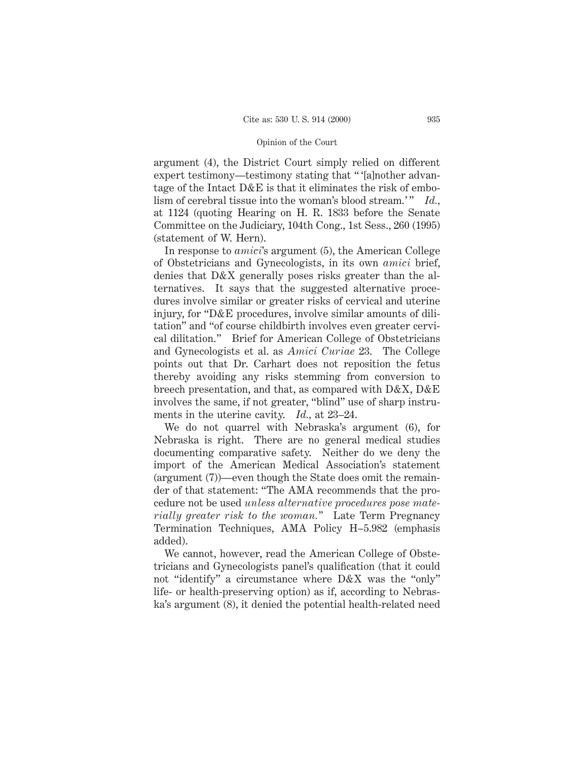argument (4), the District Court simply relied on different expert testimony—testimony stating that " '[a]nother advantage of the Intact D&E is that it eliminates the risk of embolism of cerebral tissue into the woman's blood stream.'" *Id.*, at 1124 (quoting Hearing on H. R. 1833 before the Senate Committee on the Judiciary, 104th Cong., 1st Sess., 260 (1995) (statement of W. Hern).

In response to *amici*'s argument (5), the American College of Obstetricians and Gynecologists, in its own *amici* brief, denies that D&X generally poses risks greater than the alternatives. It says that the suggested alternative procedures involve similar or greater risks of cervical and uterine injury, for "D&E procedures, involve similar amounts of dilitation" and "of course childbirth involves even greater cervical dilitation." Brief for American College of Obstetricians and Gynecologists et al. as *Amici Curiae* 23. The College points out that Dr. Carhart does not reposition the fetus thereby avoiding any risks stemming from conversion to breech presentation, and that, as compared with D&X, D&E involves the same, if not greater, "blind" use of sharp instruments in the uterine cavity. *Id.,* at 23–24.

We do not quarrel with Nebraska's argument (6), for Nebraska is right. There are no general medical studies documenting comparative safety. Neither do we deny the import of the American Medical Association's statement (argument (7))—even though the State does omit the remainder of that statement: "The AMA recommends that the procedure not be used *unless alternative procedures pose materially greater risk to the woman."* Late Term Pregnancy Termination Techniques, AMA Policy H–5.982 (emphasis added).

We cannot, however, read the American College of Obstetricians and Gynecologists panel's qualification (that it could not "identify" a circumstance where D&X was the "only" life- or health-preserving option) as if, according to Nebraska's argument (8), it denied the potential health-related need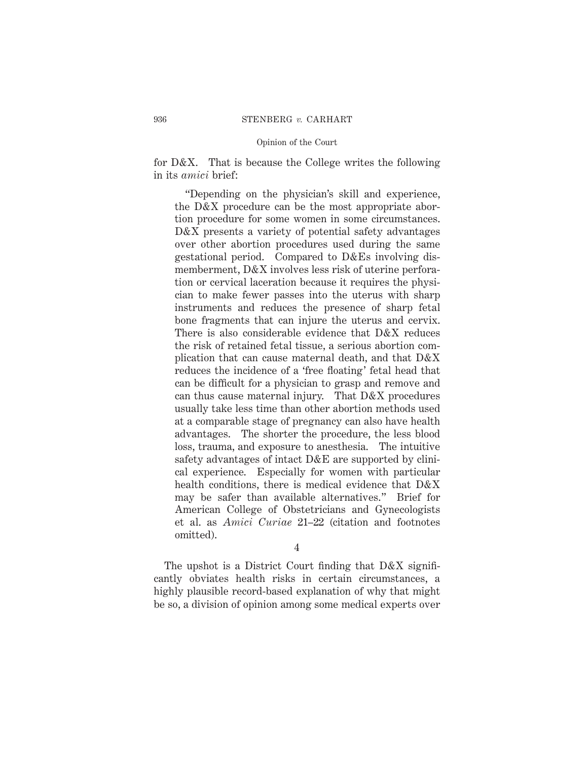for D&X. That is because the College writes the following in its *amici* brief:

"Depending on the physician's skill and experience, the D&X procedure can be the most appropriate abortion procedure for some women in some circumstances. D&X presents a variety of potential safety advantages over other abortion procedures used during the same gestational period. Compared to D&Es involving dismemberment, D&X involves less risk of uterine perforation or cervical laceration because it requires the physician to make fewer passes into the uterus with sharp instruments and reduces the presence of sharp fetal bone fragments that can injure the uterus and cervix. There is also considerable evidence that D&X reduces the risk of retained fetal tissue, a serious abortion complication that can cause maternal death, and that D&X reduces the incidence of a 'free floating' fetal head that can be difficult for a physician to grasp and remove and can thus cause maternal injury. That D&X procedures usually take less time than other abortion methods used at a comparable stage of pregnancy can also have health advantages. The shorter the procedure, the less blood loss, trauma, and exposure to anesthesia. The intuitive safety advantages of intact D&E are supported by clinical experience. Especially for women with particular health conditions, there is medical evidence that  $D\&X$ may be safer than available alternatives." Brief for American College of Obstetricians and Gynecologists et al. as *Amici Curiae* 21–22 (citation and footnotes omitted).

4

The upshot is a District Court finding that D&X significantly obviates health risks in certain circumstances, a highly plausible record-based explanation of why that might be so, a division of opinion among some medical experts over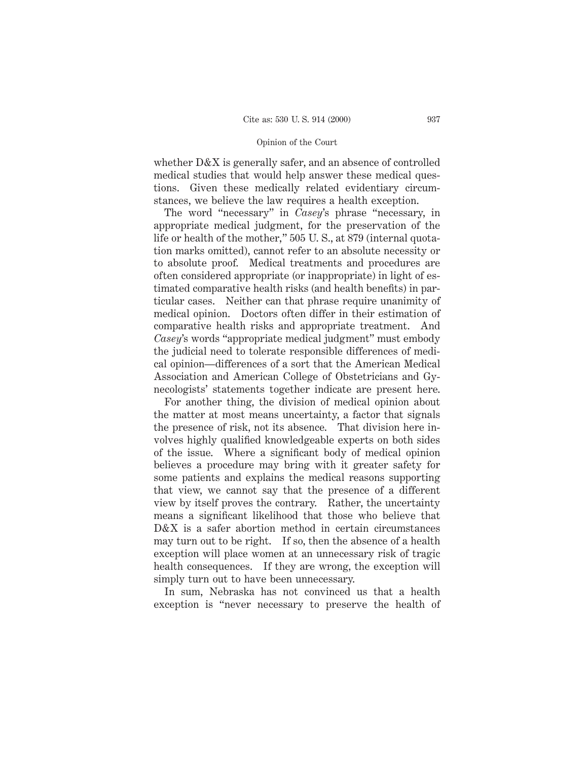whether  $D&X$  is generally safer, and an absence of controlled medical studies that would help answer these medical questions. Given these medically related evidentiary circumstances, we believe the law requires a health exception.

The word "necessary" in *Casey*'s phrase "necessary, in appropriate medical judgment, for the preservation of the life or health of the mother," 505 U. S., at 879 (internal quotation marks omitted), cannot refer to an absolute necessity or to absolute proof. Medical treatments and procedures are often considered appropriate (or inappropriate) in light of estimated comparative health risks (and health benefits) in particular cases. Neither can that phrase require unanimity of medical opinion. Doctors often differ in their estimation of comparative health risks and appropriate treatment. And *Casey*'s words "appropriate medical judgment" must embody the judicial need to tolerate responsible differences of medical opinion—differences of a sort that the American Medical Association and American College of Obstetricians and Gynecologists' statements together indicate are present here.

For another thing, the division of medical opinion about the matter at most means uncertainty, a factor that signals the presence of risk, not its absence. That division here involves highly qualified knowledgeable experts on both sides of the issue. Where a significant body of medical opinion believes a procedure may bring with it greater safety for some patients and explains the medical reasons supporting that view, we cannot say that the presence of a different view by itself proves the contrary. Rather, the uncertainty means a significant likelihood that those who believe that D&X is a safer abortion method in certain circumstances may turn out to be right. If so, then the absence of a health exception will place women at an unnecessary risk of tragic health consequences. If they are wrong, the exception will simply turn out to have been unnecessary.

In sum, Nebraska has not convinced us that a health exception is "never necessary to preserve the health of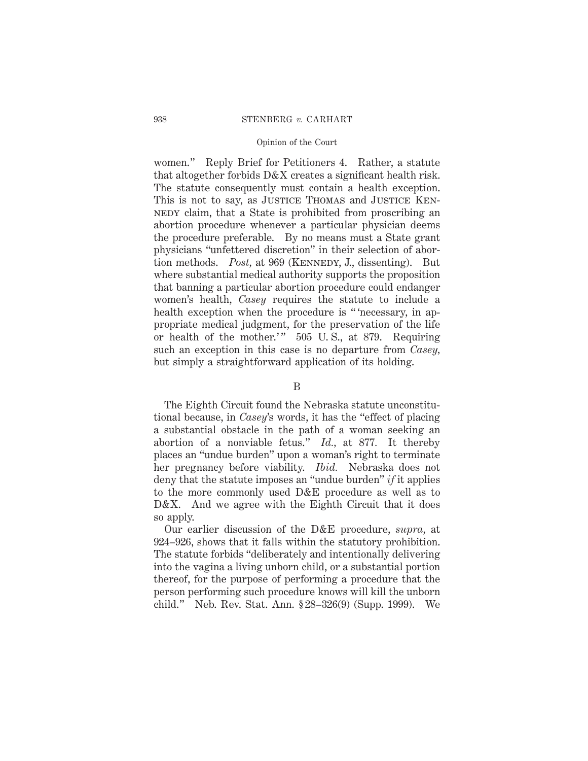#### 938 STENBERG *v.* CARHART

#### Opinion of the Court

women." Reply Brief for Petitioners 4. Rather, a statute that altogether forbids D&X creates a significant health risk. The statute consequently must contain a health exception. This is not to say, as JUSTICE THOMAS and JUSTICE KEN-NEDY claim, that a State is prohibited from proscribing an abortion procedure whenever a particular physician deems the procedure preferable. By no means must a State grant physicians "unfettered discretion" in their selection of abortion methods. *Post*, at 969 (KENNEDY, J., dissenting). But where substantial medical authority supports the proposition that banning a particular abortion procedure could endanger women's health, *Casey* requires the statute to include a health exception when the procedure is " 'necessary, in appropriate medical judgment, for the preservation of the life or health of the mother.'"  $505$  U.S., at 879. Requiring such an exception in this case is no departure from *Casey,* but simply a straightforward application of its holding.

## B

The Eighth Circuit found the Nebraska statute unconstitutional because, in *Casey*'s words, it has the "effect of placing a substantial obstacle in the path of a woman seeking an abortion of a nonviable fetus." *Id.,* at 877*.* It thereby places an "undue burden" upon a woman's right to terminate her pregnancy before viability. *Ibid.* Nebraska does not deny that the statute imposes an "undue burden" *if* it applies to the more commonly used D&E procedure as well as to D&X. And we agree with the Eighth Circuit that it does so apply.

Our earlier discussion of the D&E procedure, *supra,* at 924–926, shows that it falls within the statutory prohibition. The statute forbids "deliberately and intentionally delivering into the vagina a living unborn child, or a substantial portion thereof, for the purpose of performing a procedure that the person performing such procedure knows will kill the unborn child." Neb. Rev. Stat. Ann. § 28–326(9) (Supp. 1999). We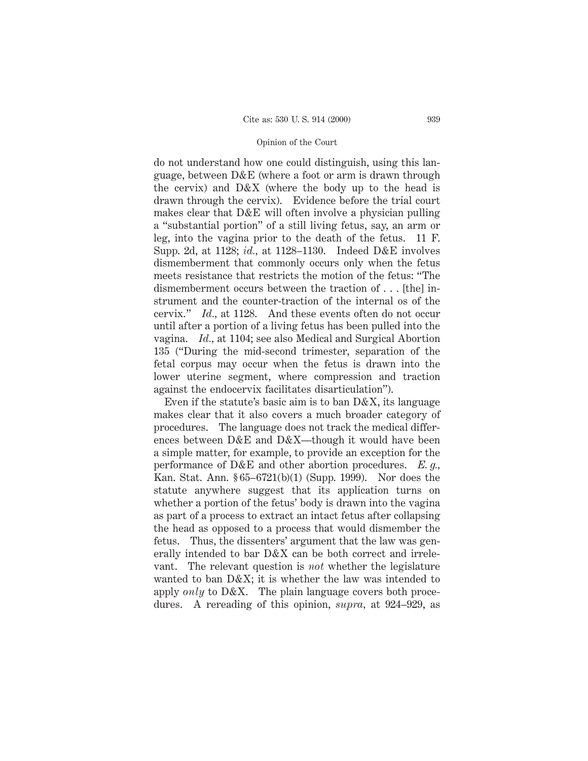do not understand how one could distinguish, using this language, between D&E (where a foot or arm is drawn through the cervix) and D&X (where the body up to the head is drawn through the cervix). Evidence before the trial court makes clear that D&E will often involve a physician pulling a "substantial portion" of a still living fetus, say, an arm or leg, into the vagina prior to the death of the fetus. 11 F. Supp. 2d, at 1128; *id.,* at 1128–1130. Indeed D&E involves dismemberment that commonly occurs only when the fetus meets resistance that restricts the motion of the fetus: "The dismemberment occurs between the traction of . . . [the] instrument and the counter-traction of the internal os of the cervix." *Id.,* at 1128. And these events often do not occur until after a portion of a living fetus has been pulled into the vagina. *Id.,* at 1104; see also Medical and Surgical Abortion 135 ("During the mid-second trimester, separation of the fetal corpus may occur when the fetus is drawn into the lower uterine segment, where compression and traction against the endocervix facilitates disarticulation").

Even if the statute's basic aim is to ban  $D\&X$ , its language makes clear that it also covers a much broader category of procedures. The language does not track the medical differences between D&E and D&X—though it would have been a simple matter, for example, to provide an exception for the performance of D&E and other abortion procedures. *E. g.,* Kan. Stat. Ann. § 65–6721(b)(1) (Supp. 1999). Nor does the statute anywhere suggest that its application turns on whether a portion of the fetus' body is drawn into the vagina as part of a process to extract an intact fetus after collapsing the head as opposed to a process that would dismember the fetus. Thus, the dissenters' argument that the law was generally intended to bar D&X can be both correct and irrelevant. The relevant question is *not* whether the legislature wanted to ban D&X; it is whether the law was intended to apply *only* to D&X. The plain language covers both procedures. A rereading of this opinion, *supra,* at 924–929, as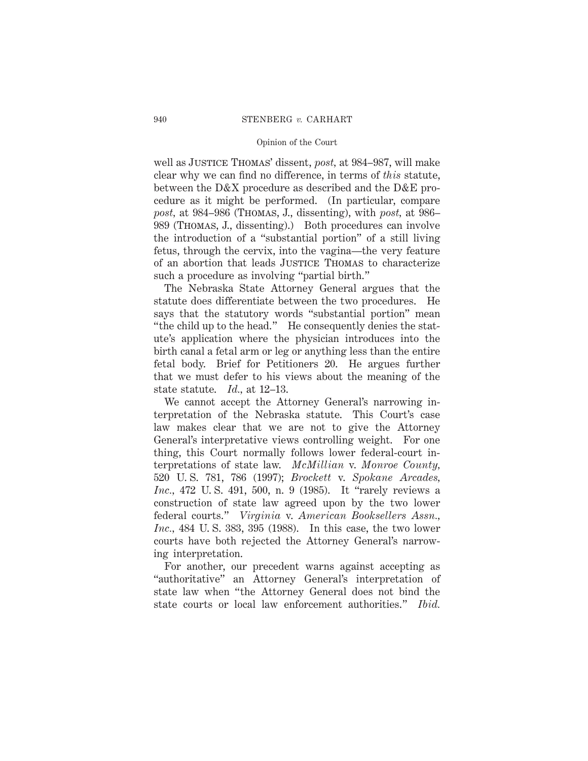well as Justice Thomas' dissent, *post,* at 984–987, will make clear why we can find no difference, in terms of *this* statute, between the D&X procedure as described and the D&E procedure as it might be performed. (In particular, compare *post,* at 984–986 (Thomas, J., dissenting), with *post,* at 986– 989 (Thomas, J., dissenting).) Both procedures can involve the introduction of a "substantial portion" of a still living fetus, through the cervix, into the vagina—the very feature of an abortion that leads Justice Thomas to characterize such a procedure as involving "partial birth."

The Nebraska State Attorney General argues that the statute does differentiate between the two procedures. He says that the statutory words "substantial portion" mean "the child up to the head." He consequently denies the statute's application where the physician introduces into the birth canal a fetal arm or leg or anything less than the entire fetal body. Brief for Petitioners 20. He argues further that we must defer to his views about the meaning of the state statute. *Id.,* at 12–13.

We cannot accept the Attorney General's narrowing interpretation of the Nebraska statute. This Court's case law makes clear that we are not to give the Attorney General's interpretative views controlling weight. For one thing, this Court normally follows lower federal-court interpretations of state law. *McMillian* v. *Monroe County,* 520 U. S. 781, 786 (1997); *Brockett* v. *Spokane Arcades, Inc.,* 472 U. S. 491, 500, n. 9 (1985). It "rarely reviews a construction of state law agreed upon by the two lower federal courts." *Virginia* v. *American Booksellers Assn., Inc.,* 484 U. S. 383, 395 (1988). In this case, the two lower courts have both rejected the Attorney General's narrowing interpretation.

For another, our precedent warns against accepting as "authoritative" an Attorney General's interpretation of state law when "the Attorney General does not bind the state courts or local law enforcement authorities." *Ibid.*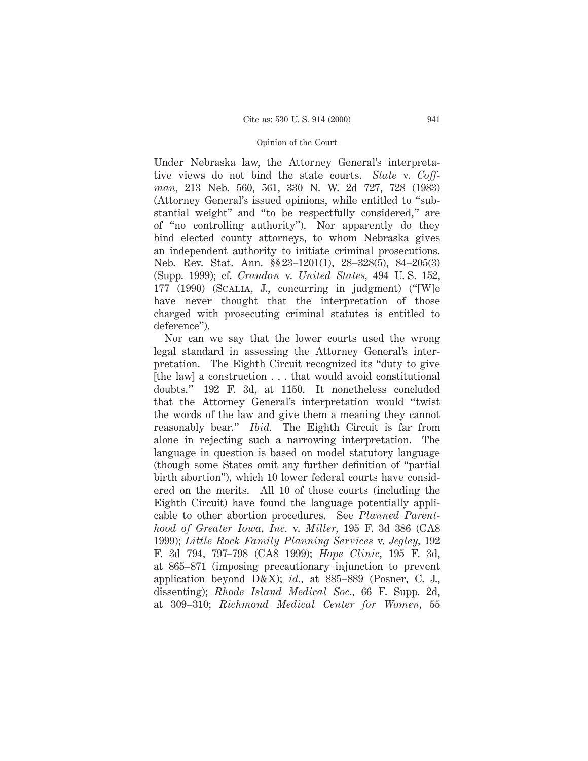Under Nebraska law, the Attorney General's interpretative views do not bind the state courts. *State* v. *Coffman,* 213 Neb. 560, 561, 330 N. W. 2d 727, 728 (1983) (Attorney General's issued opinions, while entitled to "substantial weight" and "to be respectfully considered," are of "no controlling authority"). Nor apparently do they bind elected county attorneys, to whom Nebraska gives an independent authority to initiate criminal prosecutions. Neb. Rev. Stat. Ann. §§ 23–1201(1), 28–328(5), 84–205(3) (Supp. 1999); cf. *Crandon* v. *United States,* 494 U. S. 152, 177 (1990) (Scalia, J., concurring in judgment) ("[W]e have never thought that the interpretation of those charged with prosecuting criminal statutes is entitled to deference").

Nor can we say that the lower courts used the wrong legal standard in assessing the Attorney General's interpretation. The Eighth Circuit recognized its "duty to give [the law] a construction... that would avoid constitutional doubts." 192 F. 3d, at 1150. It nonetheless concluded that the Attorney General's interpretation would "twist the words of the law and give them a meaning they cannot reasonably bear." *Ibid.* The Eighth Circuit is far from alone in rejecting such a narrowing interpretation. The language in question is based on model statutory language (though some States omit any further definition of "partial birth abortion"), which 10 lower federal courts have considered on the merits. All 10 of those courts (including the Eighth Circuit) have found the language potentially applicable to other abortion procedures. See *Planned Parenthood of Greater Iowa, Inc.* v. *Miller,* 195 F. 3d 386 (CA8 1999); *Little Rock Family Planning Services* v. *Jegley,* 192 F. 3d 794, 797–798 (CA8 1999); *Hope Clinic,* 195 F. 3d, at 865–871 (imposing precautionary injunction to prevent application beyond D&X); *id.,* at 885–889 (Posner, C. J., dissenting); *Rhode Island Medical Soc.,* 66 F. Supp. 2d, at 309–310; *Richmond Medical Center for Women,* 55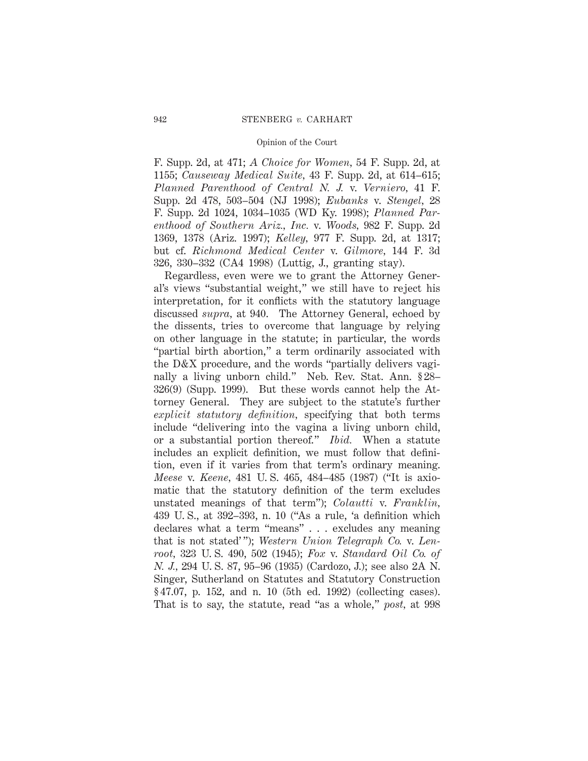F. Supp. 2d, at 471; *A Choice for Women,* 54 F. Supp. 2d, at 1155; *Causeway Medical Suite,* 43 F. Supp. 2d, at 614–615; *Planned Parenthood of Central N. J.* v. *Verniero,* 41 F. Supp. 2d 478, 503–504 (NJ 1998); *Eubanks* v. *Stengel,* 28 F. Supp. 2d 1024, 1034–1035 (WD Ky. 1998); *Planned Parenthood of Southern Ariz., Inc.* v. *Woods,* 982 F. Supp. 2d 1369, 1378 (Ariz. 1997); *Kelley,* 977 F. Supp. 2d, at 1317; but cf. *Richmond Medical Center* v. *Gilmore,* 144 F. 3d 326, 330–332 (CA4 1998) (Luttig, J., granting stay).

Regardless, even were we to grant the Attorney General's views "substantial weight," we still have to reject his interpretation, for it conflicts with the statutory language discussed *supra,* at 940. The Attorney General, echoed by the dissents, tries to overcome that language by relying on other language in the statute; in particular, the words "partial birth abortion," a term ordinarily associated with the D&X procedure, and the words "partially delivers vaginally a living unborn child." Neb. Rev. Stat. Ann. § 28– 326(9) (Supp. 1999). But these words cannot help the Attorney General. They are subject to the statute's further *explicit statutory definition,* specifying that both terms include "delivering into the vagina a living unborn child, or a substantial portion thereof." *Ibid.* When a statute includes an explicit definition, we must follow that definition, even if it varies from that term's ordinary meaning. *Meese* v. *Keene,* 481 U. S. 465, 484–485 (1987) ("It is axiomatic that the statutory definition of the term excludes unstated meanings of that term"); *Colautti* v. *Franklin,* 439 U. S., at 392–393, n. 10 ("As a rule, 'a definition which declares what a term "means" . . . excludes any meaning that is not stated' "); *Western Union Telegraph Co.* v. *Lenroot,* 323 U. S. 490, 502 (1945); *Fox* v. *Standard Oil Co. of N. J.,* 294 U. S. 87, 95–96 (1935) (Cardozo, J.); see also 2A N. Singer, Sutherland on Statutes and Statutory Construction § 47.07, p. 152, and n. 10 (5th ed. 1992) (collecting cases). That is to say, the statute, read "as a whole," *post,* at 998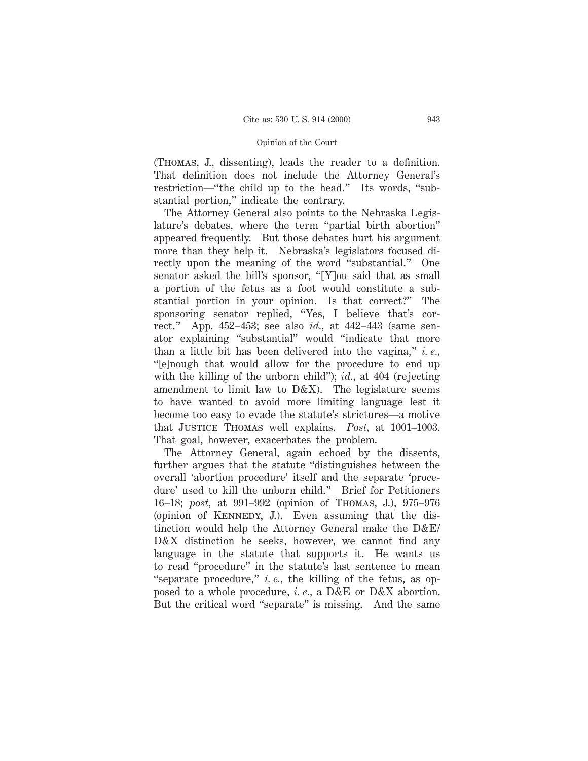(Thomas, J., dissenting), leads the reader to a definition. That definition does not include the Attorney General's restriction—"the child up to the head." Its words, "substantial portion," indicate the contrary.

The Attorney General also points to the Nebraska Legislature's debates, where the term "partial birth abortion" appeared frequently. But those debates hurt his argument more than they help it. Nebraska's legislators focused directly upon the meaning of the word "substantial." One senator asked the bill's sponsor, "[Y]ou said that as small a portion of the fetus as a foot would constitute a substantial portion in your opinion. Is that correct?" The sponsoring senator replied, "Yes, I believe that's correct." App. 452–453; see also *id.,* at 442–443 (same senator explaining "substantial" would "indicate that more than a little bit has been delivered into the vagina," *i. e.,* "[e]nough that would allow for the procedure to end up with the killing of the unborn child"); *id.,* at 404 (rejecting amendment to limit law to  $D\&X$ ). The legislature seems to have wanted to avoid more limiting language lest it become too easy to evade the statute's strictures—a motive that Justice Thomas well explains. *Post,* at 1001–1003. That goal, however, exacerbates the problem.

The Attorney General, again echoed by the dissents, further argues that the statute "distinguishes between the overall 'abortion procedure' itself and the separate 'procedure' used to kill the unborn child." Brief for Petitioners 16–18; *post,* at 991–992 (opinion of Thomas, J.), 975–976 (opinion of Kennedy, J.). Even assuming that the distinction would help the Attorney General make the D&E/ D&X distinction he seeks, however, we cannot find any language in the statute that supports it. He wants us to read "procedure" in the statute's last sentence to mean "separate procedure," *i. e.,* the killing of the fetus, as opposed to a whole procedure, *i. e.,* a D&E or D&X abortion. But the critical word "separate" is missing. And the same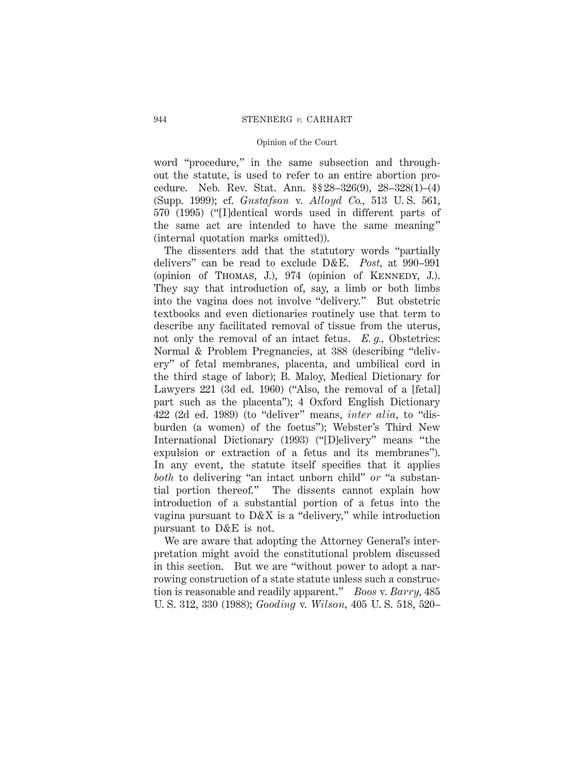word "procedure," in the same subsection and throughout the statute, is used to refer to an entire abortion procedure. Neb. Rev. Stat. Ann. §§ 28–326(9), 28–328(1)–(4) (Supp. 1999); cf. *Gustafson* v. *Alloyd Co.,* 513 U. S. 561, 570 (1995) ("[I]dentical words used in different parts of the same act are intended to have the same meaning" (internal quotation marks omitted)).

The dissenters add that the statutory words "partially delivers" can be read to exclude D&E. *Post,* at 990–991 (opinion of Thomas, J.), 974 (opinion of Kennedy, J.). They say that introduction of, say, a limb or both limbs into the vagina does not involve "delivery." But obstetric textbooks and even dictionaries routinely use that term to describe any facilitated removal of tissue from the uterus, not only the removal of an intact fetus. *E. g.,* Obstetrics: Normal & Problem Pregnancies, at 388 (describing "delivery" of fetal membranes, placenta, and umbilical cord in the third stage of labor); B. Maloy, Medical Dictionary for Lawyers 221 (3d ed. 1960) ("Also, the removal of a [fetal] part such as the placenta"); 4 Oxford English Dictionary 422 (2d ed. 1989) (to "deliver" means, *inter alia,* to "disburden (a women) of the foetus"); Webster's Third New International Dictionary (1993) ("[D]elivery" means "the expulsion or extraction of a fetus and its membranes"). In any event, the statute itself specifies that it applies *both* to delivering "an intact unborn child" *or* "a substantial portion thereof." The dissents cannot explain how introduction of a substantial portion of a fetus into the vagina pursuant to D&X is a "delivery," while introduction pursuant to D&E is not.

We are aware that adopting the Attorney General's interpretation might avoid the constitutional problem discussed in this section. But we are "without power to adopt a narrowing construction of a state statute unless such a construction is reasonable and readily apparent." *Boos* v. *Barry,* 485 U. S. 312, 330 (1988); *Gooding* v. *Wilson,* 405 U. S. 518, 520–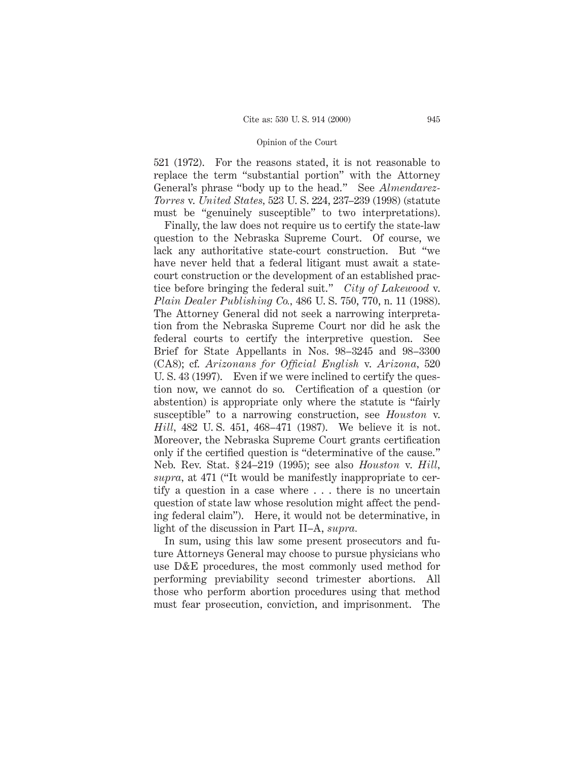521 (1972). For the reasons stated, it is not reasonable to replace the term "substantial portion" with the Attorney General's phrase "body up to the head." See *Almendarez-Torres* v. *United States,* 523 U. S. 224, 237–239 (1998) (statute must be "genuinely susceptible" to two interpretations).

Finally, the law does not require us to certify the state-law question to the Nebraska Supreme Court. Of course, we lack any authoritative state-court construction. But "we have never held that a federal litigant must await a statecourt construction or the development of an established practice before bringing the federal suit." *City of Lakewood* v. *Plain Dealer Publishing Co.,* 486 U. S. 750, 770, n. 11 (1988). The Attorney General did not seek a narrowing interpretation from the Nebraska Supreme Court nor did he ask the federal courts to certify the interpretive question. See Brief for State Appellants in Nos. 98–3245 and 98–3300 (CA8); cf. *Arizonans for Official English* v. *Arizona,* 520 U. S. 43 (1997). Even if we were inclined to certify the question now, we cannot do so. Certification of a question (or abstention) is appropriate only where the statute is "fairly susceptible" to a narrowing construction, see *Houston* v. *Hill,* 482 U. S. 451, 468–471 (1987). We believe it is not. Moreover, the Nebraska Supreme Court grants certification only if the certified question is "determinative of the cause." Neb. Rev. Stat. § 24–219 (1995); see also *Houston* v. *Hill, supra,* at 471 ("It would be manifestly inappropriate to certify a question in a case where . . . there is no uncertain question of state law whose resolution might affect the pending federal claim"). Here, it would not be determinative, in light of the discussion in Part II–A, *supra.*

In sum, using this law some present prosecutors and future Attorneys General may choose to pursue physicians who use D&E procedures, the most commonly used method for performing previability second trimester abortions. All those who perform abortion procedures using that method must fear prosecution, conviction, and imprisonment. The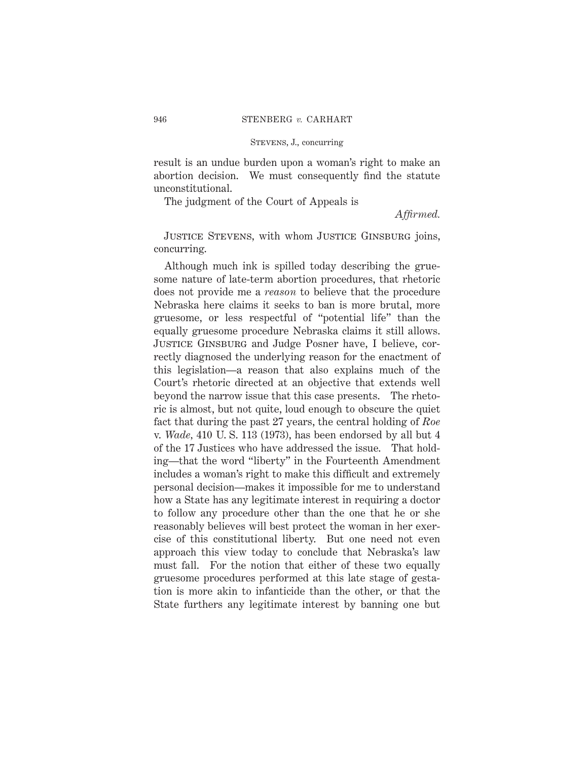## STEVENS, J., concurring

result is an undue burden upon a woman's right to make an abortion decision. We must consequently find the statute unconstitutional.

The judgment of the Court of Appeals is

*Affirmed.*

Justice Stevens, with whom Justice Ginsburg joins, concurring.

Although much ink is spilled today describing the gruesome nature of late-term abortion procedures, that rhetoric does not provide me a *reason* to believe that the procedure Nebraska here claims it seeks to ban is more brutal, more gruesome, or less respectful of "potential life" than the equally gruesome procedure Nebraska claims it still allows. Justice Ginsburg and Judge Posner have, I believe, correctly diagnosed the underlying reason for the enactment of this legislation—a reason that also explains much of the Court's rhetoric directed at an objective that extends well beyond the narrow issue that this case presents. The rhetoric is almost, but not quite, loud enough to obscure the quiet fact that during the past 27 years, the central holding of *Roe* v. *Wade,* 410 U. S. 113 (1973), has been endorsed by all but 4 of the 17 Justices who have addressed the issue. That holding—that the word "liberty" in the Fourteenth Amendment includes a woman's right to make this difficult and extremely personal decision—makes it impossible for me to understand how a State has any legitimate interest in requiring a doctor to follow any procedure other than the one that he or she reasonably believes will best protect the woman in her exercise of this constitutional liberty. But one need not even approach this view today to conclude that Nebraska's law must fall. For the notion that either of these two equally gruesome procedures performed at this late stage of gestation is more akin to infanticide than the other, or that the State furthers any legitimate interest by banning one but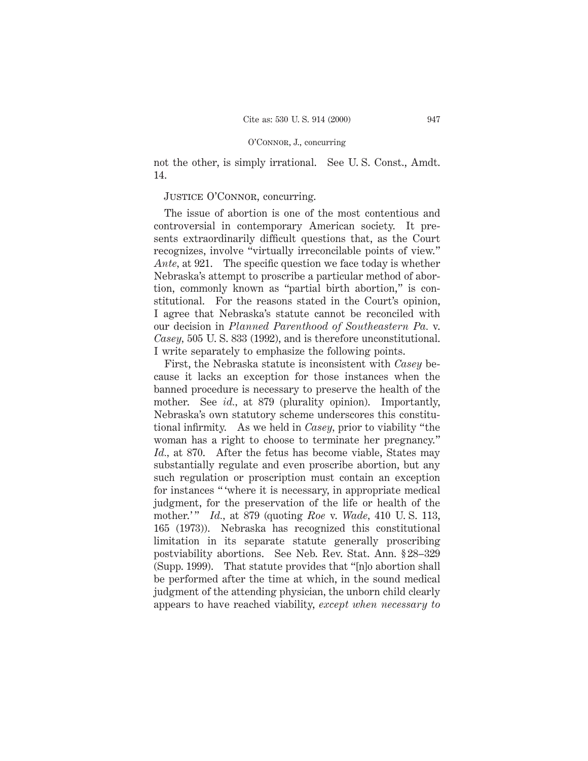## O'CONNOR, J., concurring

not the other, is simply irrational. See U. S. Const., Amdt. 14.

# JUSTICE O'CONNOR, concurring.

The issue of abortion is one of the most contentious and controversial in contemporary American society. It presents extraordinarily difficult questions that, as the Court recognizes, involve "virtually irreconcilable points of view." *Ante,* at 921. The specific question we face today is whether Nebraska's attempt to proscribe a particular method of abortion, commonly known as "partial birth abortion," is constitutional. For the reasons stated in the Court's opinion, I agree that Nebraska's statute cannot be reconciled with our decision in *Planned Parenthood of Southeastern Pa.* v. *Casey,* 505 U. S. 833 (1992), and is therefore unconstitutional. I write separately to emphasize the following points.

First, the Nebraska statute is inconsistent with *Casey* because it lacks an exception for those instances when the banned procedure is necessary to preserve the health of the mother. See *id.*, at 879 (plurality opinion). Importantly, Nebraska's own statutory scheme underscores this constitutional infirmity. As we held in *Casey,* prior to viability "the woman has a right to choose to terminate her pregnancy." *Id.,* at 870. After the fetus has become viable, States may substantially regulate and even proscribe abortion, but any such regulation or proscription must contain an exception for instances " 'where it is necessary, in appropriate medical judgment, for the preservation of the life or health of the mother.'" *Id.*, at 879 (quoting *Roe* v. *Wade*, 410 U.S. 113, 165 (1973)). Nebraska has recognized this constitutional limitation in its separate statute generally proscribing postviability abortions. See Neb. Rev. Stat. Ann. § 28–329 (Supp. 1999). That statute provides that "[n]o abortion shall be performed after the time at which, in the sound medical judgment of the attending physician, the unborn child clearly appears to have reached viability, *except when necessary to*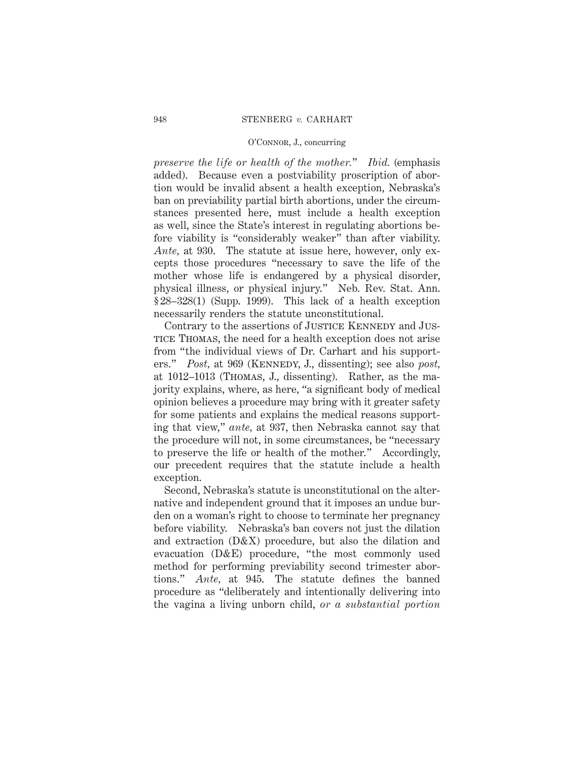## O'CONNOR, J., concurring

*preserve the life or health of the mother.*" *Ibid.* (emphasis added). Because even a postviability proscription of abortion would be invalid absent a health exception, Nebraska's ban on previability partial birth abortions, under the circumstances presented here, must include a health exception as well, since the State's interest in regulating abortions before viability is "considerably weaker" than after viability. *Ante,* at 930. The statute at issue here, however, only excepts those procedures "necessary to save the life of the mother whose life is endangered by a physical disorder, physical illness, or physical injury." Neb. Rev. Stat. Ann. § 28–328(1) (Supp. 1999). This lack of a health exception necessarily renders the statute unconstitutional.

Contrary to the assertions of JUSTICE KENNEDY and JUStice Thomas, the need for a health exception does not arise from "the individual views of Dr. Carhart and his supporters." *Post,* at 969 (Kennedy, J., dissenting); see also *post,* at 1012–1013 (Thomas, J., dissenting). Rather, as the majority explains, where, as here, "a significant body of medical opinion believes a procedure may bring with it greater safety for some patients and explains the medical reasons supporting that view," *ante,* at 937, then Nebraska cannot say that the procedure will not, in some circumstances, be "necessary to preserve the life or health of the mother." Accordingly, our precedent requires that the statute include a health exception.

Second, Nebraska's statute is unconstitutional on the alternative and independent ground that it imposes an undue burden on a woman's right to choose to terminate her pregnancy before viability. Nebraska's ban covers not just the dilation and extraction (D&X) procedure, but also the dilation and evacuation (D&E) procedure, "the most commonly used method for performing previability second trimester abortions." *Ante,* at 945. The statute defines the banned procedure as "deliberately and intentionally delivering into the vagina a living unborn child, *or a substantial portion*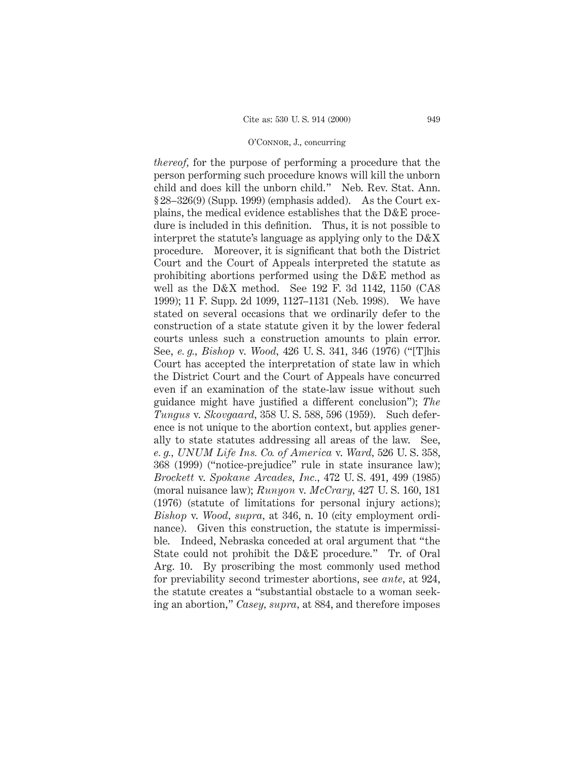## O'CONNOR, J., concurring

*thereof,* for the purpose of performing a procedure that the person performing such procedure knows will kill the unborn child and does kill the unborn child." Neb. Rev. Stat. Ann. § 28–326(9) (Supp. 1999) (emphasis added). As the Court explains, the medical evidence establishes that the D&E procedure is included in this definition. Thus, it is not possible to interpret the statute's language as applying only to the D&X procedure. Moreover, it is significant that both the District Court and the Court of Appeals interpreted the statute as prohibiting abortions performed using the D&E method as well as the D&X method. See 192 F. 3d 1142, 1150 (CA8 1999); 11 F. Supp. 2d 1099, 1127–1131 (Neb. 1998). We have stated on several occasions that we ordinarily defer to the construction of a state statute given it by the lower federal courts unless such a construction amounts to plain error. See, *e. g., Bishop* v. *Wood,* 426 U. S. 341, 346 (1976) ("[T]his Court has accepted the interpretation of state law in which the District Court and the Court of Appeals have concurred even if an examination of the state-law issue without such guidance might have justified a different conclusion"); *The Tungus* v. *Skovgaard,* 358 U. S. 588, 596 (1959). Such deference is not unique to the abortion context, but applies generally to state statutes addressing all areas of the law. See, *e. g., UNUM Life Ins. Co. of America* v. *Ward,* 526 U. S. 358, 368 (1999) ("notice-prejudice" rule in state insurance law); *Brockett* v. *Spokane Arcades, Inc.,* 472 U. S. 491, 499 (1985) (moral nuisance law); *Runyon* v. *McCrary,* 427 U. S. 160, 181 (1976) (statute of limitations for personal injury actions); *Bishop* v. *Wood, supra,* at 346, n. 10 (city employment ordinance). Given this construction, the statute is impermissible. Indeed, Nebraska conceded at oral argument that "the State could not prohibit the D&E procedure." Tr. of Oral Arg. 10. By proscribing the most commonly used method for previability second trimester abortions, see *ante,* at 924, the statute creates a "substantial obstacle to a woman seeking an abortion," *Casey, supra,* at 884, and therefore imposes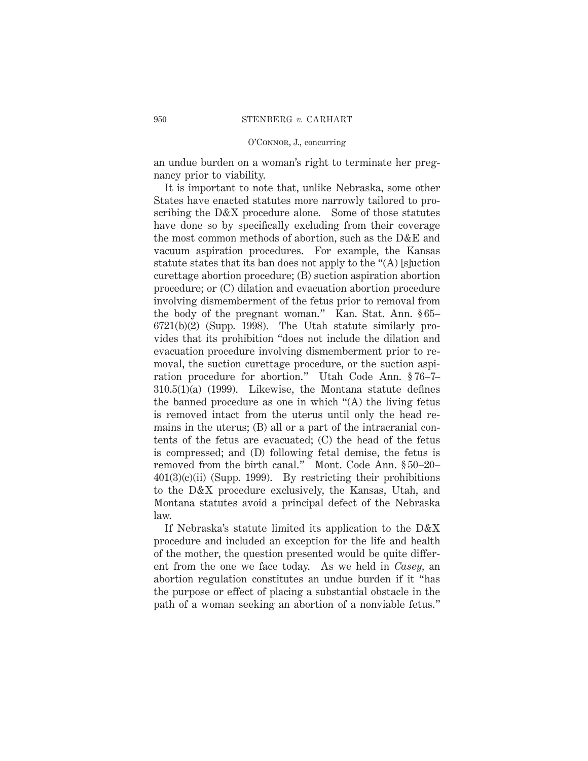#### O'CONNOR, J., concurring

an undue burden on a woman's right to terminate her pregnancy prior to viability.

It is important to note that, unlike Nebraska, some other States have enacted statutes more narrowly tailored to proscribing the D&X procedure alone. Some of those statutes have done so by specifically excluding from their coverage the most common methods of abortion, such as the D&E and vacuum aspiration procedures. For example, the Kansas statute states that its ban does not apply to the "(A) [s]uction curettage abortion procedure; (B) suction aspiration abortion procedure; or (C) dilation and evacuation abortion procedure involving dismemberment of the fetus prior to removal from the body of the pregnant woman." Kan. Stat. Ann. § 65– 6721(b)(2) (Supp. 1998). The Utah statute similarly provides that its prohibition "does not include the dilation and evacuation procedure involving dismemberment prior to removal, the suction curettage procedure, or the suction aspiration procedure for abortion." Utah Code Ann. § 76–7– 310.5(1)(a) (1999). Likewise, the Montana statute defines the banned procedure as one in which "(A) the living fetus is removed intact from the uterus until only the head remains in the uterus; (B) all or a part of the intracranial contents of the fetus are evacuated; (C) the head of the fetus is compressed; and (D) following fetal demise, the fetus is removed from the birth canal." Mont. Code Ann. § 50–20– 401(3)(c)(ii) (Supp. 1999). By restricting their prohibitions to the D&X procedure exclusively, the Kansas, Utah, and Montana statutes avoid a principal defect of the Nebraska law.

If Nebraska's statute limited its application to the D&X procedure and included an exception for the life and health of the mother, the question presented would be quite different from the one we face today. As we held in *Casey,* an abortion regulation constitutes an undue burden if it "has the purpose or effect of placing a substantial obstacle in the path of a woman seeking an abortion of a nonviable fetus."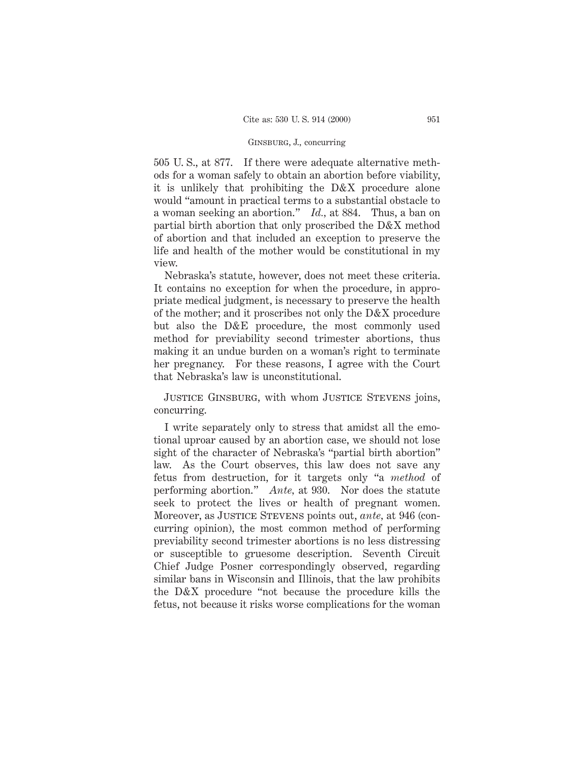#### Ginsburg, J., concurring

505 U. S., at 877. If there were adequate alternative methods for a woman safely to obtain an abortion before viability, it is unlikely that prohibiting the D&X procedure alone would "amount in practical terms to a substantial obstacle to a woman seeking an abortion." *Id.,* at 884. Thus, a ban on partial birth abortion that only proscribed the D&X method of abortion and that included an exception to preserve the life and health of the mother would be constitutional in my view.

Nebraska's statute, however, does not meet these criteria. It contains no exception for when the procedure, in appropriate medical judgment, is necessary to preserve the health of the mother; and it proscribes not only the D&X procedure but also the D&E procedure, the most commonly used method for previability second trimester abortions, thus making it an undue burden on a woman's right to terminate her pregnancy. For these reasons, I agree with the Court that Nebraska's law is unconstitutional.

Justice Ginsburg, with whom Justice Stevens joins, concurring.

I write separately only to stress that amidst all the emotional uproar caused by an abortion case, we should not lose sight of the character of Nebraska's "partial birth abortion" law. As the Court observes, this law does not save any fetus from destruction, for it targets only "a *method* of performing abortion." *Ante,* at 930. Nor does the statute seek to protect the lives or health of pregnant women. Moreover, as Justice Stevens points out, *ante,* at 946 (concurring opinion), the most common method of performing previability second trimester abortions is no less distressing or susceptible to gruesome description. Seventh Circuit Chief Judge Posner correspondingly observed, regarding similar bans in Wisconsin and Illinois, that the law prohibits the D&X procedure "not because the procedure kills the fetus, not because it risks worse complications for the woman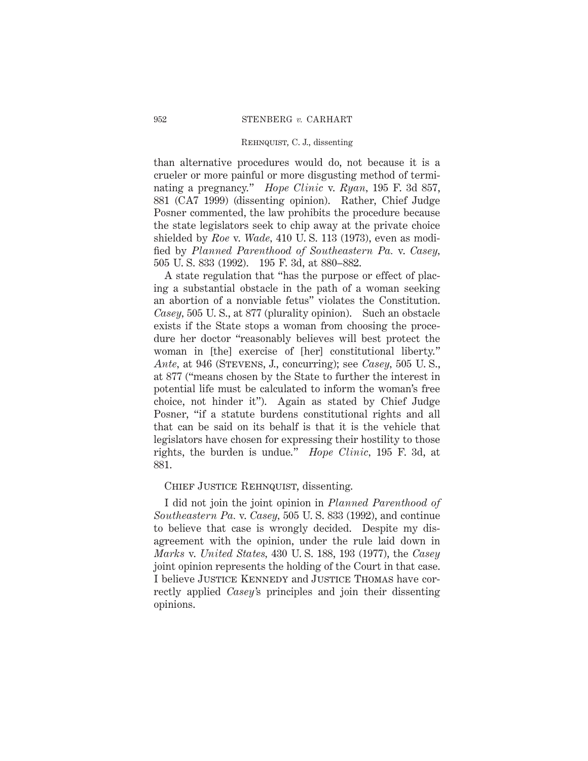### Rehnquist, C. J., dissenting

than alternative procedures would do, not because it is a crueler or more painful or more disgusting method of terminating a pregnancy." *Hope Clinic* v. *Ryan,* 195 F. 3d 857, 881 (CA7 1999) (dissenting opinion). Rather, Chief Judge Posner commented, the law prohibits the procedure because the state legislators seek to chip away at the private choice shielded by *Roe* v. *Wade,* 410 U. S. 113 (1973), even as modified by *Planned Parenthood of Southeastern Pa.* v. *Casey,* 505 U. S. 833 (1992). 195 F. 3d, at 880–882.

A state regulation that "has the purpose or effect of placing a substantial obstacle in the path of a woman seeking an abortion of a nonviable fetus" violates the Constitution. *Casey,* 505 U. S., at 877 (plurality opinion). Such an obstacle exists if the State stops a woman from choosing the procedure her doctor "reasonably believes will best protect the woman in [the] exercise of [her] constitutional liberty." *Ante,* at 946 (Stevens, J., concurring); see *Casey,* 505 U. S., at 877 ("means chosen by the State to further the interest in potential life must be calculated to inform the woman's free choice, not hinder it"). Again as stated by Chief Judge Posner, "if a statute burdens constitutional rights and all that can be said on its behalf is that it is the vehicle that legislators have chosen for expressing their hostility to those rights, the burden is undue." *Hope Clinic,* 195 F. 3d, at 881.

# CHIEF JUSTICE REHNQUIST, dissenting.

I did not join the joint opinion in *Planned Parenthood of Southeastern Pa.* v. *Casey,* 505 U. S. 833 (1992), and continue to believe that case is wrongly decided. Despite my disagreement with the opinion, under the rule laid down in *Marks* v. *United States,* 430 U. S. 188, 193 (1977), the *Casey* joint opinion represents the holding of the Court in that case. I believe Justice Kennedy and Justice Thomas have correctly applied *Casey'*s principles and join their dissenting opinions.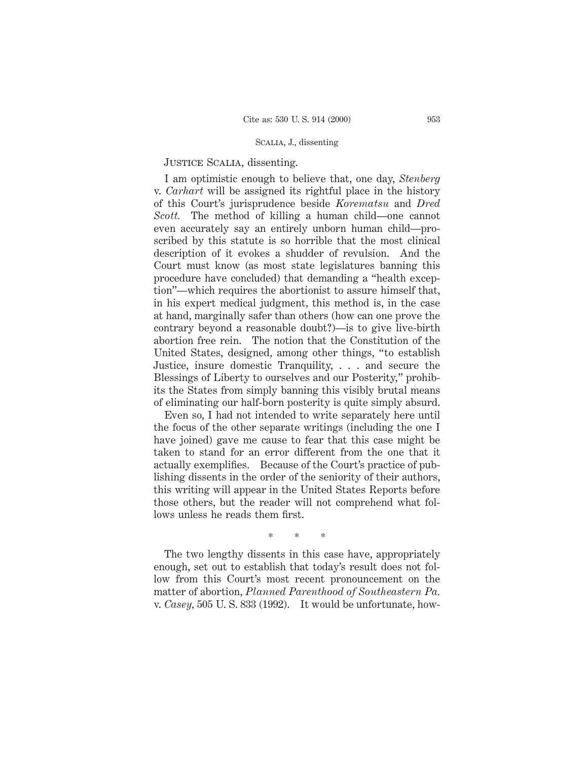#### Scalia, J., dissenting

## JUSTICE SCALIA, dissenting.

I am optimistic enough to believe that, one day, *Stenberg* v. *Carhart* will be assigned its rightful place in the history of this Court's jurisprudence beside *Korematsu* and *Dred Scott.* The method of killing a human child—one cannot even accurately say an entirely unborn human child—proscribed by this statute is so horrible that the most clinical description of it evokes a shudder of revulsion. And the Court must know (as most state legislatures banning this procedure have concluded) that demanding a "health exception"—which requires the abortionist to assure himself that, in his expert medical judgment, this method is, in the case at hand, marginally safer than others (how can one prove the contrary beyond a reasonable doubt?)—is to give live-birth abortion free rein. The notion that the Constitution of the United States, designed, among other things, "to establish Justice, insure domestic Tranquility, . . . and secure the Blessings of Liberty to ourselves and our Posterity," prohibits the States from simply banning this visibly brutal means of eliminating our half-born posterity is quite simply absurd.

Even so, I had not intended to write separately here until the focus of the other separate writings (including the one I have joined) gave me cause to fear that this case might be taken to stand for an error different from the one that it actually exemplifies. Because of the Court's practice of publishing dissents in the order of the seniority of their authors, this writing will appear in the United States Reports before those others, but the reader will not comprehend what follows unless he reads them first.

\*\*\*

The two lengthy dissents in this case have, appropriately enough, set out to establish that today's result does not follow from this Court's most recent pronouncement on the matter of abortion, *Planned Parenthood of Southeastern Pa.* v. *Casey,* 505 U. S. 833 (1992). It would be unfortunate, how-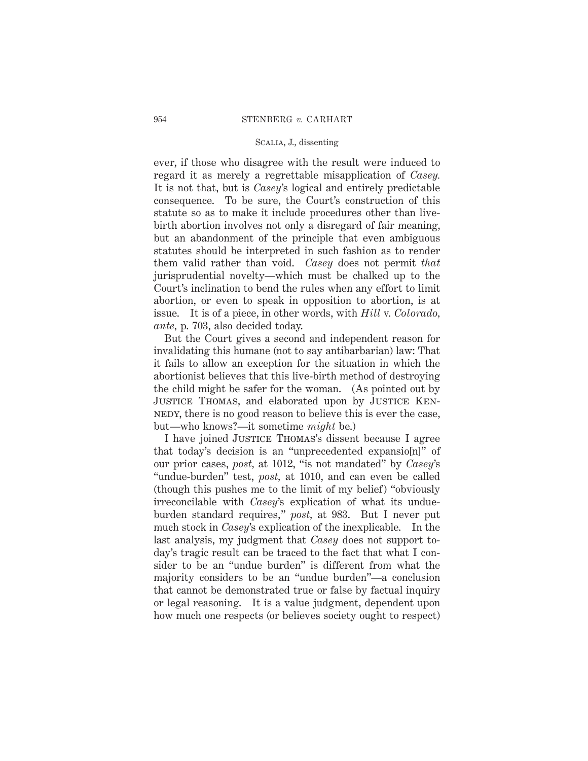### Scalia, J., dissenting

ever, if those who disagree with the result were induced to regard it as merely a regrettable misapplication of *Casey.* It is not that, but is *Casey*'s logical and entirely predictable consequence. To be sure, the Court's construction of this statute so as to make it include procedures other than livebirth abortion involves not only a disregard of fair meaning, but an abandonment of the principle that even ambiguous statutes should be interpreted in such fashion as to render them valid rather than void. *Casey* does not permit *that* jurisprudential novelty—which must be chalked up to the Court's inclination to bend the rules when any effort to limit abortion, or even to speak in opposition to abortion, is at issue. It is of a piece, in other words, with *Hill* v. *Colorado, ante,* p. 703, also decided today.

But the Court gives a second and independent reason for invalidating this humane (not to say antibarbarian) law: That it fails to allow an exception for the situation in which the abortionist believes that this live-birth method of destroying the child might be safer for the woman. (As pointed out by JUSTICE THOMAS, and elaborated upon by JUSTICE KENnedy, there is no good reason to believe this is ever the case, but—who knows?—it sometime *might* be.)

I have joined Justice Thomas's dissent because I agree that today's decision is an "unprecedented expansio[n]" of our prior cases, *post,* at 1012, "is not mandated" by *Casey*'s "undue-burden" test, *post,* at 1010, and can even be called (though this pushes me to the limit of my belief) "obviously irreconcilable with *Casey*'s explication of what its undueburden standard requires," *post,* at 983. But I never put much stock in *Casey*'s explication of the inexplicable. In the last analysis, my judgment that *Casey* does not support today's tragic result can be traced to the fact that what I consider to be an "undue burden" is different from what the majority considers to be an "undue burden"—a conclusion that cannot be demonstrated true or false by factual inquiry or legal reasoning. It is a value judgment, dependent upon how much one respects (or believes society ought to respect)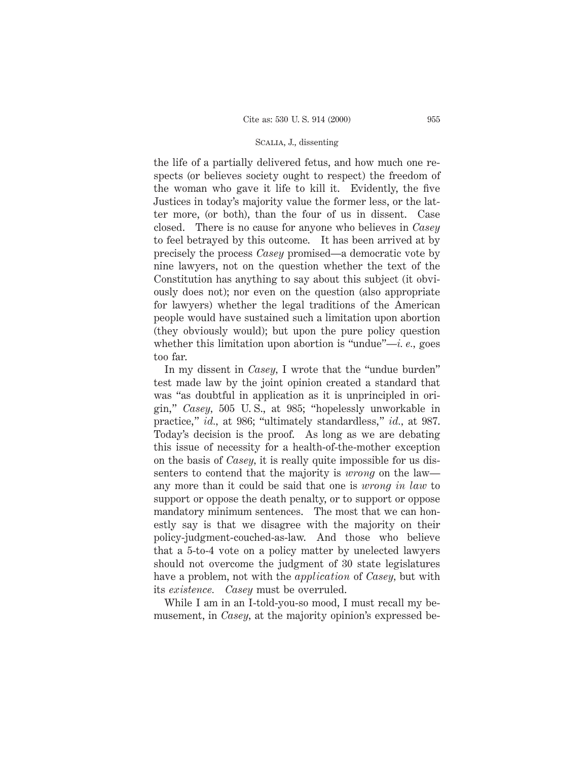### Scalia, J., dissenting

the life of a partially delivered fetus, and how much one respects (or believes society ought to respect) the freedom of the woman who gave it life to kill it. Evidently, the five Justices in today's majority value the former less, or the latter more, (or both), than the four of us in dissent. Case closed. There is no cause for anyone who believes in *Casey* to feel betrayed by this outcome. It has been arrived at by precisely the process *Casey* promised—a democratic vote by nine lawyers, not on the question whether the text of the Constitution has anything to say about this subject (it obviously does not); nor even on the question (also appropriate for lawyers) whether the legal traditions of the American people would have sustained such a limitation upon abortion (they obviously would); but upon the pure policy question whether this limitation upon abortion is "undue"—*i. e.,* goes too far.

In my dissent in *Casey,* I wrote that the "undue burden" test made law by the joint opinion created a standard that was "as doubtful in application as it is unprincipled in origin," *Casey,* 505 U. S., at 985; "hopelessly unworkable in practice," *id.,* at 986; "ultimately standardless," *id.,* at 987. Today's decision is the proof. As long as we are debating this issue of necessity for a health-of-the-mother exception on the basis of *Casey,* it is really quite impossible for us dissenters to contend that the majority is *wrong* on the law any more than it could be said that one is *wrong in law* to support or oppose the death penalty, or to support or oppose mandatory minimum sentences. The most that we can honestly say is that we disagree with the majority on their policy-judgment-couched-as-law. And those who believe that a 5-to-4 vote on a policy matter by unelected lawyers should not overcome the judgment of 30 state legislatures have a problem, not with the *application* of *Casey,* but with its *existence. Casey* must be overruled.

While I am in an I-told-you-so mood, I must recall my bemusement, in *Casey,* at the majority opinion's expressed be-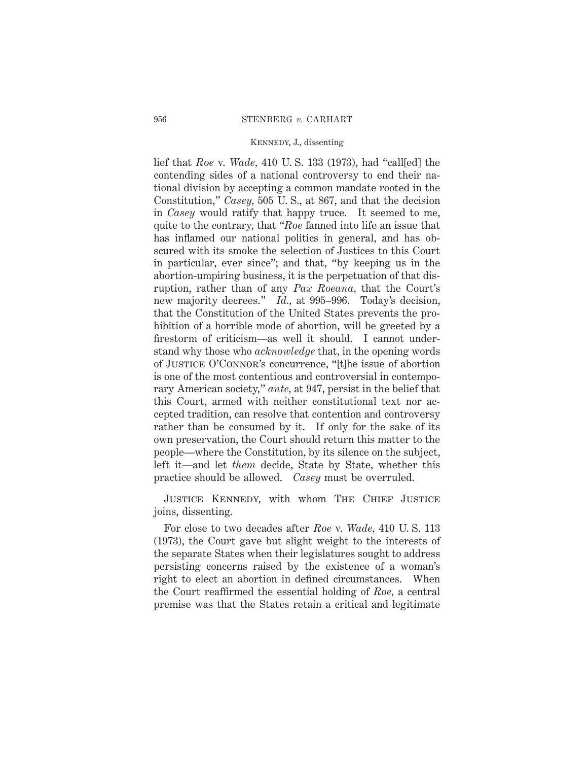lief that *Roe* v. *Wade,* 410 U. S. 133 (1973), had "call[ed] the contending sides of a national controversy to end their national division by accepting a common mandate rooted in the Constitution," *Casey,* 505 U. S., at 867, and that the decision in *Casey* would ratify that happy truce. It seemed to me, quite to the contrary, that "*Roe* fanned into life an issue that has inflamed our national politics in general, and has obscured with its smoke the selection of Justices to this Court in particular, ever since"; and that, "by keeping us in the abortion-umpiring business, it is the perpetuation of that disruption, rather than of any *Pax Roeana,* that the Court's new majority decrees." *Id.,* at 995–996. Today's decision, that the Constitution of the United States prevents the prohibition of a horrible mode of abortion, will be greeted by a firestorm of criticism—as well it should. I cannot understand why those who *acknowledge* that, in the opening words of Justice O'Connor's concurrence, "[t]he issue of abortion is one of the most contentious and controversial in contemporary American society," *ante,* at 947, persist in the belief that this Court, armed with neither constitutional text nor accepted tradition, can resolve that contention and controversy rather than be consumed by it. If only for the sake of its own preservation, the Court should return this matter to the people—where the Constitution, by its silence on the subject, left it—and let *them* decide, State by State, whether this practice should be allowed. *Casey* must be overruled.

JUSTICE KENNEDY, with whom THE CHIEF JUSTICE joins, dissenting.

For close to two decades after *Roe* v. *Wade,* 410 U. S. 113 (1973), the Court gave but slight weight to the interests of the separate States when their legislatures sought to address persisting concerns raised by the existence of a woman's right to elect an abortion in defined circumstances. When the Court reaffirmed the essential holding of *Roe,* a central premise was that the States retain a critical and legitimate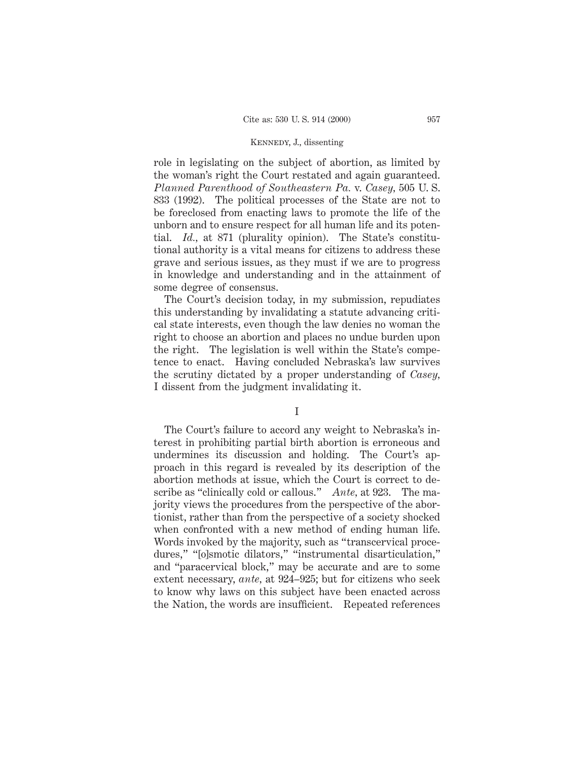role in legislating on the subject of abortion, as limited by the woman's right the Court restated and again guaranteed. *Planned Parenthood of Southeastern Pa.* v. *Casey,* 505 U. S. 833 (1992). The political processes of the State are not to be foreclosed from enacting laws to promote the life of the unborn and to ensure respect for all human life and its potential. *Id.,* at 871 (plurality opinion). The State's constitutional authority is a vital means for citizens to address these grave and serious issues, as they must if we are to progress in knowledge and understanding and in the attainment of some degree of consensus.

The Court's decision today, in my submission, repudiates this understanding by invalidating a statute advancing critical state interests, even though the law denies no woman the right to choose an abortion and places no undue burden upon the right. The legislation is well within the State's competence to enact. Having concluded Nebraska's law survives the scrutiny dictated by a proper understanding of *Casey,* I dissent from the judgment invalidating it.

I

The Court's failure to accord any weight to Nebraska's interest in prohibiting partial birth abortion is erroneous and undermines its discussion and holding. The Court's approach in this regard is revealed by its description of the abortion methods at issue, which the Court is correct to describe as "clinically cold or callous." *Ante,* at 923. The majority views the procedures from the perspective of the abortionist, rather than from the perspective of a society shocked when confronted with a new method of ending human life. Words invoked by the majority, such as "transcervical procedures," "[o]smotic dilators," "instrumental disarticulation," and "paracervical block," may be accurate and are to some extent necessary, *ante,* at 924–925; but for citizens who seek to know why laws on this subject have been enacted across the Nation, the words are insufficient. Repeated references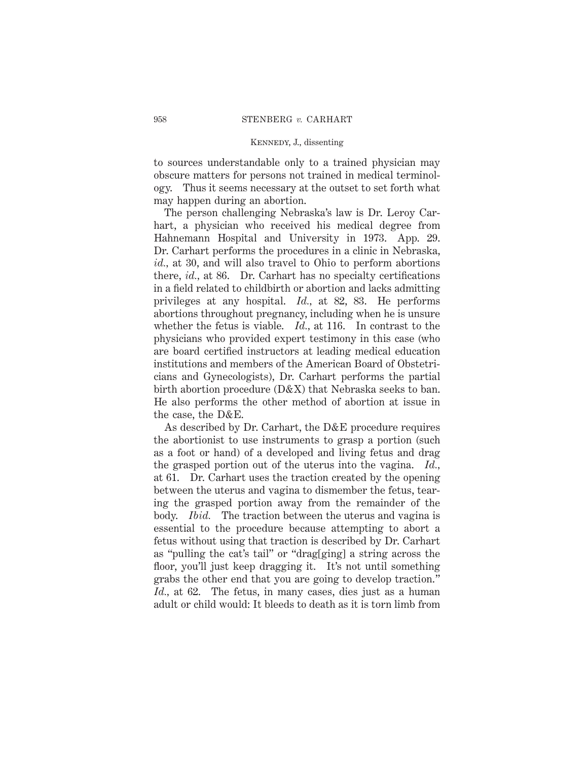to sources understandable only to a trained physician may obscure matters for persons not trained in medical terminology. Thus it seems necessary at the outset to set forth what may happen during an abortion.

The person challenging Nebraska's law is Dr. Leroy Carhart, a physician who received his medical degree from Hahnemann Hospital and University in 1973. App. 29. Dr. Carhart performs the procedures in a clinic in Nebraska, *id.,* at 30, and will also travel to Ohio to perform abortions there, *id.,* at 86. Dr. Carhart has no specialty certifications in a field related to childbirth or abortion and lacks admitting privileges at any hospital. *Id.,* at 82, 83. He performs abortions throughout pregnancy, including when he is unsure whether the fetus is viable. *Id.,* at 116. In contrast to the physicians who provided expert testimony in this case (who are board certified instructors at leading medical education institutions and members of the American Board of Obstetricians and Gynecologists), Dr. Carhart performs the partial birth abortion procedure (D&X) that Nebraska seeks to ban. He also performs the other method of abortion at issue in the case, the D&E.

As described by Dr. Carhart, the D&E procedure requires the abortionist to use instruments to grasp a portion (such as a foot or hand) of a developed and living fetus and drag the grasped portion out of the uterus into the vagina. *Id.,* at 61. Dr. Carhart uses the traction created by the opening between the uterus and vagina to dismember the fetus, tearing the grasped portion away from the remainder of the body. *Ibid.* The traction between the uterus and vagina is essential to the procedure because attempting to abort a fetus without using that traction is described by Dr. Carhart as "pulling the cat's tail" or "drag[ging] a string across the floor, you'll just keep dragging it. It's not until something grabs the other end that you are going to develop traction." *Id.,* at 62. The fetus, in many cases, dies just as a human adult or child would: It bleeds to death as it is torn limb from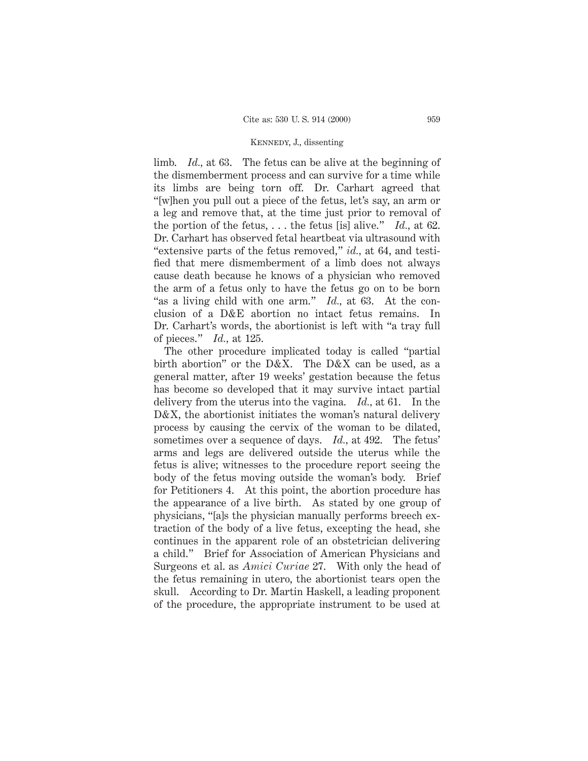limb. *Id.,* at 63. The fetus can be alive at the beginning of the dismemberment process and can survive for a time while its limbs are being torn off. Dr. Carhart agreed that "[w]hen you pull out a piece of the fetus, let's say, an arm or a leg and remove that, at the time just prior to removal of the portion of the fetus, . . . the fetus [is] alive." *Id.,* at 62. Dr. Carhart has observed fetal heartbeat via ultrasound with "extensive parts of the fetus removed," *id.,* at 64, and testified that mere dismemberment of a limb does not always cause death because he knows of a physician who removed the arm of a fetus only to have the fetus go on to be born "as a living child with one arm." *Id.*, at 63. At the conclusion of a D&E abortion no intact fetus remains. In Dr. Carhart's words, the abortionist is left with "a tray full of pieces." *Id.,* at 125.

The other procedure implicated today is called "partial birth abortion" or the D&X. The D&X can be used, as a general matter, after 19 weeks' gestation because the fetus has become so developed that it may survive intact partial delivery from the uterus into the vagina. *Id.,* at 61. In the D&X, the abortionist initiates the woman's natural delivery process by causing the cervix of the woman to be dilated, sometimes over a sequence of days. *Id.,* at 492. The fetus' arms and legs are delivered outside the uterus while the fetus is alive; witnesses to the procedure report seeing the body of the fetus moving outside the woman's body. Brief for Petitioners 4. At this point, the abortion procedure has the appearance of a live birth. As stated by one group of physicians, "[a]s the physician manually performs breech extraction of the body of a live fetus, excepting the head, she continues in the apparent role of an obstetrician delivering a child." Brief for Association of American Physicians and Surgeons et al. as *Amici Curiae* 27. With only the head of the fetus remaining in utero, the abortionist tears open the skull. According to Dr. Martin Haskell, a leading proponent of the procedure, the appropriate instrument to be used at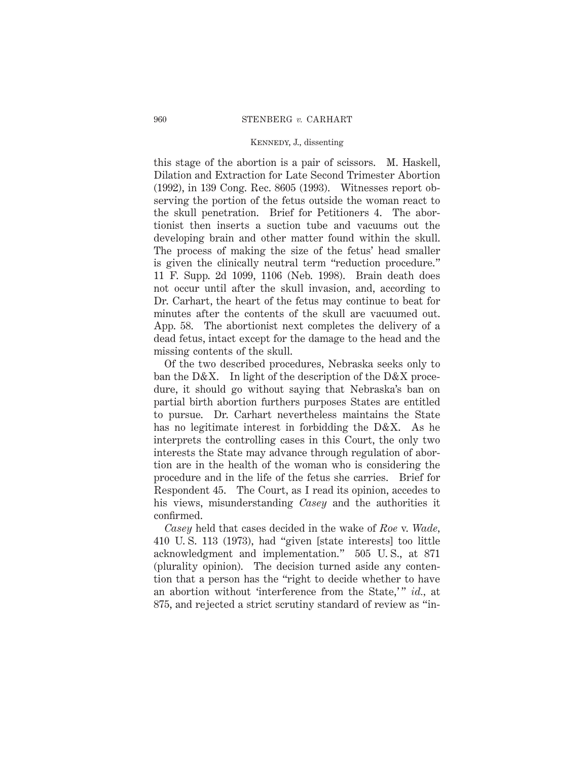this stage of the abortion is a pair of scissors. M. Haskell, Dilation and Extraction for Late Second Trimester Abortion (1992), in 139 Cong. Rec. 8605 (1993). Witnesses report observing the portion of the fetus outside the woman react to the skull penetration. Brief for Petitioners 4. The abortionist then inserts a suction tube and vacuums out the developing brain and other matter found within the skull. The process of making the size of the fetus' head smaller is given the clinically neutral term "reduction procedure." 11 F. Supp. 2d 1099, 1106 (Neb. 1998). Brain death does not occur until after the skull invasion, and, according to Dr. Carhart, the heart of the fetus may continue to beat for minutes after the contents of the skull are vacuumed out. App. 58. The abortionist next completes the delivery of a dead fetus, intact except for the damage to the head and the missing contents of the skull.

Of the two described procedures, Nebraska seeks only to ban the  $D&X$ . In light of the description of the  $D&X$  procedure, it should go without saying that Nebraska's ban on partial birth abortion furthers purposes States are entitled to pursue. Dr. Carhart nevertheless maintains the State has no legitimate interest in forbidding the D&X. As he interprets the controlling cases in this Court, the only two interests the State may advance through regulation of abortion are in the health of the woman who is considering the procedure and in the life of the fetus she carries. Brief for Respondent 45. The Court, as I read its opinion, accedes to his views, misunderstanding *Casey* and the authorities it confirmed.

*Casey* held that cases decided in the wake of *Roe* v. *Wade,* 410 U. S. 113 (1973), had "given [state interests] too little acknowledgment and implementation." 505 U. S., at 871 (plurality opinion). The decision turned aside any contention that a person has the "right to decide whether to have an abortion without 'interference from the State,'" *id.*, at 875, and rejected a strict scrutiny standard of review as "in-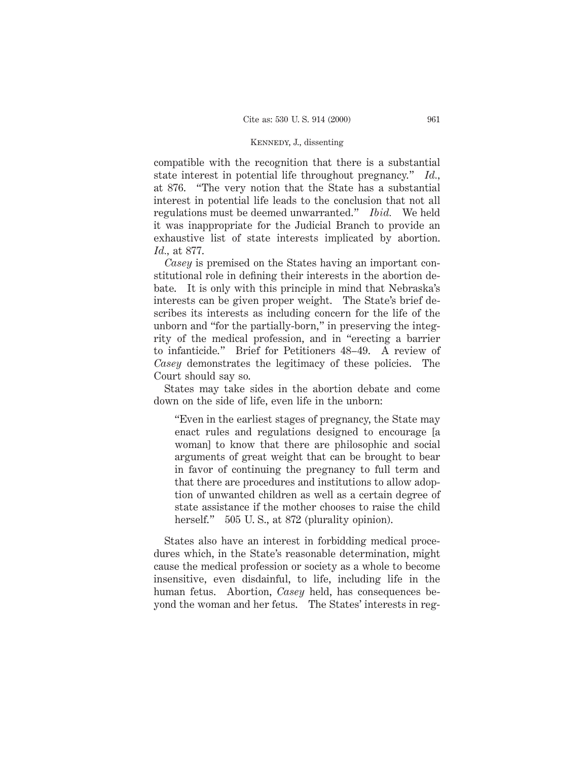compatible with the recognition that there is a substantial state interest in potential life throughout pregnancy." *Id.,* at 876. "The very notion that the State has a substantial interest in potential life leads to the conclusion that not all regulations must be deemed unwarranted." *Ibid.* We held it was inappropriate for the Judicial Branch to provide an exhaustive list of state interests implicated by abortion. *Id.,* at 877.

*Casey* is premised on the States having an important constitutional role in defining their interests in the abortion debate. It is only with this principle in mind that Nebraska's interests can be given proper weight. The State's brief describes its interests as including concern for the life of the unborn and "for the partially-born," in preserving the integrity of the medical profession, and in "erecting a barrier to infanticide." Brief for Petitioners 48–49. A review of *Casey* demonstrates the legitimacy of these policies. The Court should say so.

States may take sides in the abortion debate and come down on the side of life, even life in the unborn:

"Even in the earliest stages of pregnancy, the State may enact rules and regulations designed to encourage [a woman] to know that there are philosophic and social arguments of great weight that can be brought to bear in favor of continuing the pregnancy to full term and that there are procedures and institutions to allow adoption of unwanted children as well as a certain degree of state assistance if the mother chooses to raise the child herself." 505 U.S., at 872 (plurality opinion).

States also have an interest in forbidding medical procedures which, in the State's reasonable determination, might cause the medical profession or society as a whole to become insensitive, even disdainful, to life, including life in the human fetus. Abortion, *Casey* held, has consequences beyond the woman and her fetus. The States' interests in reg-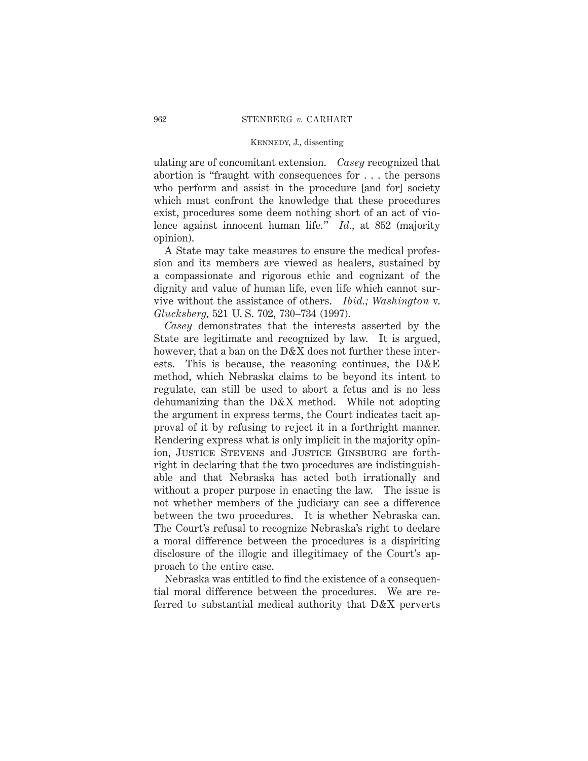ulating are of concomitant extension. *Casey* recognized that abortion is "fraught with consequences for . . . the persons who perform and assist in the procedure [and for] society which must confront the knowledge that these procedures exist, procedures some deem nothing short of an act of violence against innocent human life." *Id.,* at 852 (majority opinion).

A State may take measures to ensure the medical profession and its members are viewed as healers, sustained by a compassionate and rigorous ethic and cognizant of the dignity and value of human life, even life which cannot survive without the assistance of others. *Ibid.; Washington* v. *Glucksberg,* 521 U. S. 702, 730–734 (1997).

*Casey* demonstrates that the interests asserted by the State are legitimate and recognized by law. It is argued, however, that a ban on the D&X does not further these interests. This is because, the reasoning continues, the D&E method, which Nebraska claims to be beyond its intent to regulate, can still be used to abort a fetus and is no less dehumanizing than the D&X method. While not adopting the argument in express terms, the Court indicates tacit approval of it by refusing to reject it in a forthright manner. Rendering express what is only implicit in the majority opinion, Justice Stevens and Justice Ginsburg are forthright in declaring that the two procedures are indistinguishable and that Nebraska has acted both irrationally and without a proper purpose in enacting the law. The issue is not whether members of the judiciary can see a difference between the two procedures. It is whether Nebraska can. The Court's refusal to recognize Nebraska's right to declare a moral difference between the procedures is a dispiriting disclosure of the illogic and illegitimacy of the Court's approach to the entire case.

Nebraska was entitled to find the existence of a consequential moral difference between the procedures. We are referred to substantial medical authority that D&X perverts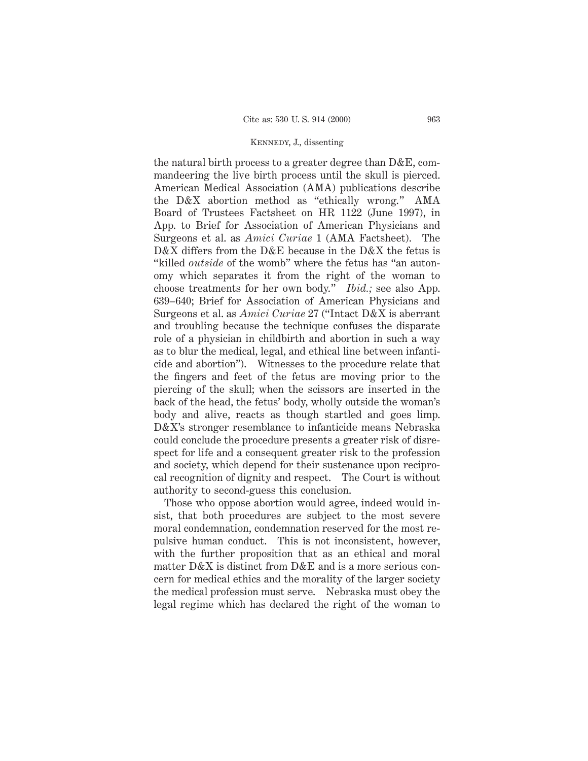the natural birth process to a greater degree than D&E, commandeering the live birth process until the skull is pierced. American Medical Association (AMA) publications describe the D&X abortion method as "ethically wrong." AMA Board of Trustees Factsheet on HR 1122 (June 1997), in App. to Brief for Association of American Physicians and Surgeons et al. as *Amici Curiae* 1 (AMA Factsheet). The D&X differs from the D&E because in the D&X the fetus is "killed *outside* of the womb" where the fetus has "an autonomy which separates it from the right of the woman to choose treatments for her own body." *Ibid.;* see also App. 639–640; Brief for Association of American Physicians and Surgeons et al. as *Amici Curiae* 27 ("Intact D&X is aberrant and troubling because the technique confuses the disparate role of a physician in childbirth and abortion in such a way as to blur the medical, legal, and ethical line between infanticide and abortion"). Witnesses to the procedure relate that the fingers and feet of the fetus are moving prior to the piercing of the skull; when the scissors are inserted in the back of the head, the fetus' body, wholly outside the woman's body and alive, reacts as though startled and goes limp. D&X's stronger resemblance to infanticide means Nebraska could conclude the procedure presents a greater risk of disrespect for life and a consequent greater risk to the profession and society, which depend for their sustenance upon reciprocal recognition of dignity and respect. The Court is without authority to second-guess this conclusion.

Those who oppose abortion would agree, indeed would insist, that both procedures are subject to the most severe moral condemnation, condemnation reserved for the most repulsive human conduct. This is not inconsistent, however, with the further proposition that as an ethical and moral matter D&X is distinct from D&E and is a more serious concern for medical ethics and the morality of the larger society the medical profession must serve. Nebraska must obey the legal regime which has declared the right of the woman to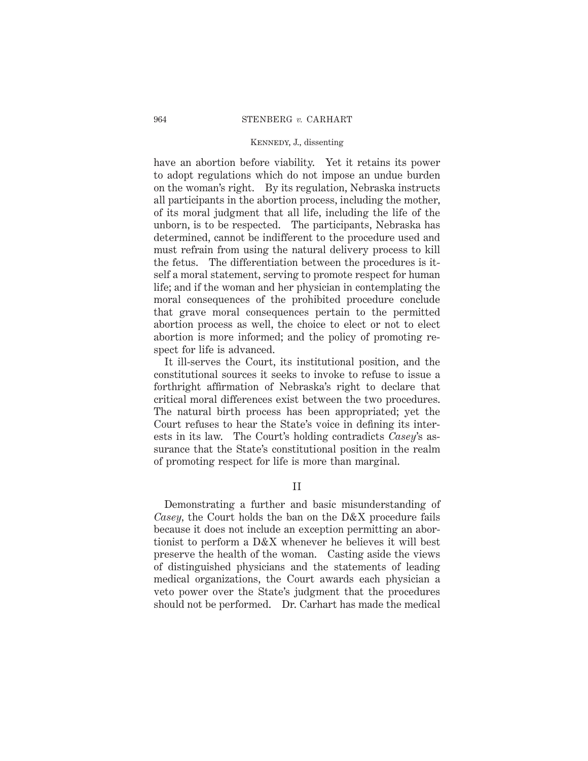have an abortion before viability. Yet it retains its power to adopt regulations which do not impose an undue burden on the woman's right. By its regulation, Nebraska instructs all participants in the abortion process, including the mother, of its moral judgment that all life, including the life of the unborn, is to be respected. The participants, Nebraska has determined, cannot be indifferent to the procedure used and must refrain from using the natural delivery process to kill the fetus. The differentiation between the procedures is itself a moral statement, serving to promote respect for human life; and if the woman and her physician in contemplating the moral consequences of the prohibited procedure conclude that grave moral consequences pertain to the permitted abortion process as well, the choice to elect or not to elect abortion is more informed; and the policy of promoting respect for life is advanced.

It ill-serves the Court, its institutional position, and the constitutional sources it seeks to invoke to refuse to issue a forthright affirmation of Nebraska's right to declare that critical moral differences exist between the two procedures. The natural birth process has been appropriated; yet the Court refuses to hear the State's voice in defining its interests in its law. The Court's holding contradicts *Casey*'s assurance that the State's constitutional position in the realm of promoting respect for life is more than marginal.

II

Demonstrating a further and basic misunderstanding of *Casey,* the Court holds the ban on the D&X procedure fails because it does not include an exception permitting an abortionist to perform a D&X whenever he believes it will best preserve the health of the woman. Casting aside the views of distinguished physicians and the statements of leading medical organizations, the Court awards each physician a veto power over the State's judgment that the procedures should not be performed. Dr. Carhart has made the medical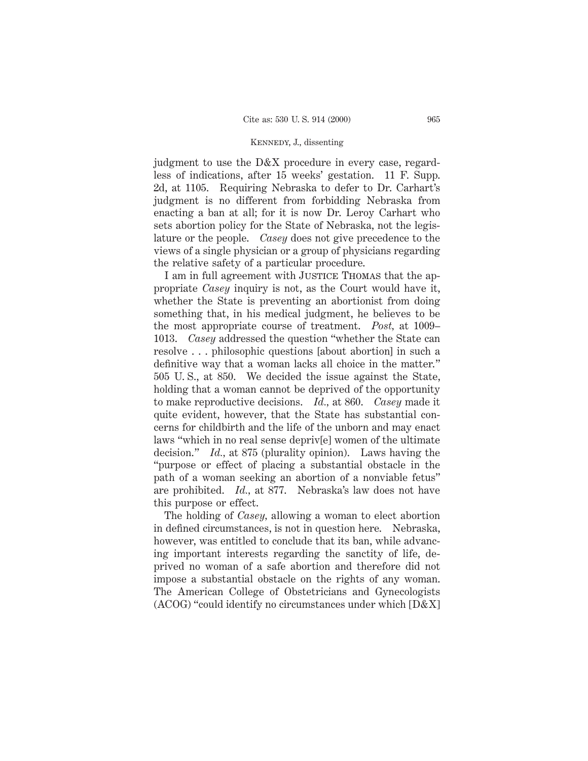judgment to use the D&X procedure in every case, regardless of indications, after 15 weeks' gestation. 11 F. Supp. 2d, at 1105. Requiring Nebraska to defer to Dr. Carhart's judgment is no different from forbidding Nebraska from enacting a ban at all; for it is now Dr. Leroy Carhart who sets abortion policy for the State of Nebraska, not the legislature or the people. *Casey* does not give precedence to the views of a single physician or a group of physicians regarding the relative safety of a particular procedure.

I am in full agreement with JUSTICE THOMAS that the appropriate *Casey* inquiry is not, as the Court would have it, whether the State is preventing an abortionist from doing something that, in his medical judgment, he believes to be the most appropriate course of treatment. *Post,* at 1009– 1013. *Casey* addressed the question "whether the State can resolve . . . philosophic questions [about abortion] in such a definitive way that a woman lacks all choice in the matter." 505 U. S., at 850. We decided the issue against the State, holding that a woman cannot be deprived of the opportunity to make reproductive decisions. *Id.,* at 860. *Casey* made it quite evident, however, that the State has substantial concerns for childbirth and the life of the unborn and may enact laws "which in no real sense depriv[e] women of the ultimate decision." *Id.,* at 875 (plurality opinion). Laws having the "purpose or effect of placing a substantial obstacle in the path of a woman seeking an abortion of a nonviable fetus" are prohibited. *Id.,* at 877. Nebraska's law does not have this purpose or effect.

The holding of *Casey,* allowing a woman to elect abortion in defined circumstances, is not in question here. Nebraska, however, was entitled to conclude that its ban, while advancing important interests regarding the sanctity of life, deprived no woman of a safe abortion and therefore did not impose a substantial obstacle on the rights of any woman. The American College of Obstetricians and Gynecologists (ACOG) "could identify no circumstances under which [D&X]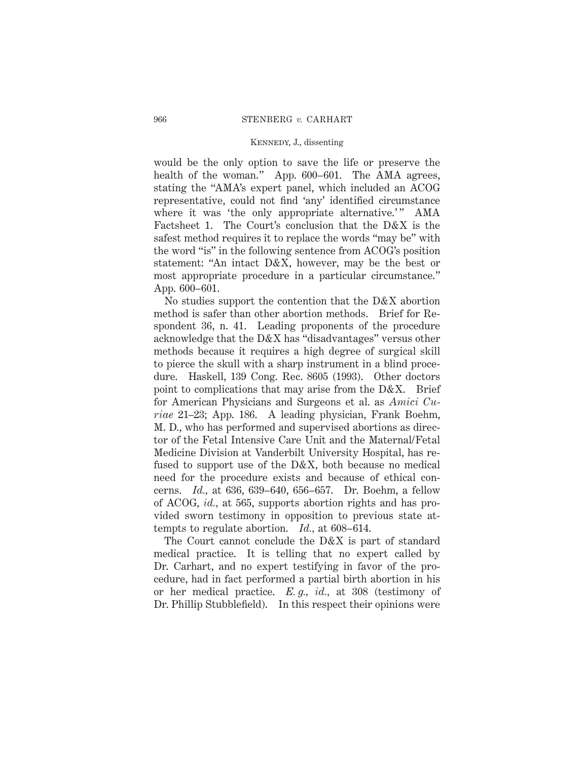would be the only option to save the life or preserve the health of the woman." App. 600–601. The AMA agrees, stating the "AMA's expert panel, which included an ACOG representative, could not find 'any' identified circumstance where it was 'the only appropriate alternative.'" AMA Factsheet 1. The Court's conclusion that the D&X is the safest method requires it to replace the words "may be" with the word "is" in the following sentence from ACOG's position statement: "An intact D&X, however, may be the best or most appropriate procedure in a particular circumstance." App. 600–601.

No studies support the contention that the D&X abortion method is safer than other abortion methods. Brief for Respondent 36, n. 41. Leading proponents of the procedure acknowledge that the D&X has "disadvantages" versus other methods because it requires a high degree of surgical skill to pierce the skull with a sharp instrument in a blind procedure. Haskell, 139 Cong. Rec. 8605 (1993). Other doctors point to complications that may arise from the D&X. Brief for American Physicians and Surgeons et al. as *Amici Curiae* 21–23; App. 186. A leading physician, Frank Boehm, M. D., who has performed and supervised abortions as director of the Fetal Intensive Care Unit and the Maternal/Fetal Medicine Division at Vanderbilt University Hospital, has refused to support use of the D&X, both because no medical need for the procedure exists and because of ethical concerns. *Id.,* at 636, 639–640, 656–657. Dr. Boehm, a fellow of ACOG, *id.,* at 565, supports abortion rights and has provided sworn testimony in opposition to previous state attempts to regulate abortion. *Id.,* at 608–614.

The Court cannot conclude the D&X is part of standard medical practice. It is telling that no expert called by Dr. Carhart, and no expert testifying in favor of the procedure, had in fact performed a partial birth abortion in his or her medical practice. *E. g., id.,* at 308 (testimony of Dr. Phillip Stubblefield). In this respect their opinions were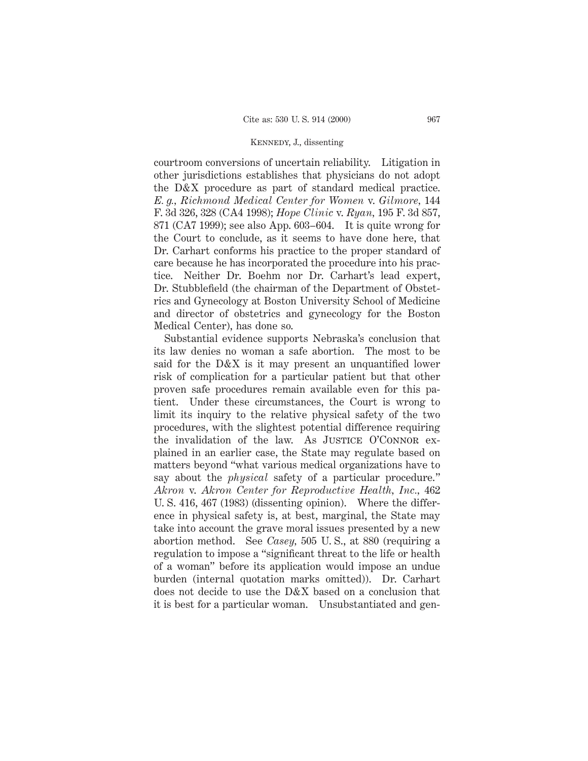courtroom conversions of uncertain reliability. Litigation in other jurisdictions establishes that physicians do not adopt the D&X procedure as part of standard medical practice. *E. g., Richmond Medical Center for Women* v. *Gilmore,* 144 F. 3d 326, 328 (CA4 1998); *Hope Clinic* v. *Ryan,* 195 F. 3d 857, 871 (CA7 1999); see also App. 603–604. It is quite wrong for the Court to conclude, as it seems to have done here, that Dr. Carhart conforms his practice to the proper standard of care because he has incorporated the procedure into his practice. Neither Dr. Boehm nor Dr. Carhart's lead expert, Dr. Stubblefield (the chairman of the Department of Obstetrics and Gynecology at Boston University School of Medicine and director of obstetrics and gynecology for the Boston Medical Center), has done so.

Substantial evidence supports Nebraska's conclusion that its law denies no woman a safe abortion. The most to be said for the D&X is it may present an unquantified lower risk of complication for a particular patient but that other proven safe procedures remain available even for this patient. Under these circumstances, the Court is wrong to limit its inquiry to the relative physical safety of the two procedures, with the slightest potential difference requiring the invalidation of the law. As JUSTICE O'CONNOR explained in an earlier case, the State may regulate based on matters beyond "what various medical organizations have to say about the *physical* safety of a particular procedure." *Akron* v. *Akron Center for Reproductive Health, Inc.,* 462 U. S. 416, 467 (1983) (dissenting opinion). Where the difference in physical safety is, at best, marginal, the State may take into account the grave moral issues presented by a new abortion method. See *Casey,* 505 U. S., at 880 (requiring a regulation to impose a "significant threat to the life or health of a woman" before its application would impose an undue burden (internal quotation marks omitted)). Dr. Carhart does not decide to use the D&X based on a conclusion that it is best for a particular woman. Unsubstantiated and gen-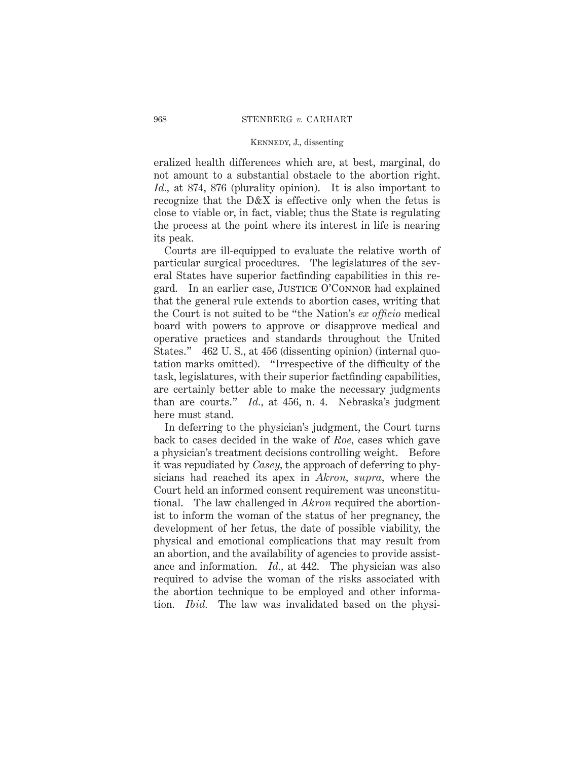eralized health differences which are, at best, marginal, do not amount to a substantial obstacle to the abortion right. *Id.,* at 874, 876 (plurality opinion). It is also important to recognize that the D&X is effective only when the fetus is close to viable or, in fact, viable; thus the State is regulating the process at the point where its interest in life is nearing its peak.

Courts are ill-equipped to evaluate the relative worth of particular surgical procedures. The legislatures of the several States have superior factfinding capabilities in this regard. In an earlier case, Justice O'Connor had explained that the general rule extends to abortion cases, writing that the Court is not suited to be "the Nation's *ex officio* medical board with powers to approve or disapprove medical and operative practices and standards throughout the United States." 462 U. S., at 456 (dissenting opinion) (internal quotation marks omitted). "Irrespective of the difficulty of the task, legislatures, with their superior factfinding capabilities, are certainly better able to make the necessary judgments than are courts." *Id.,* at 456, n. 4. Nebraska's judgment here must stand.

In deferring to the physician's judgment, the Court turns back to cases decided in the wake of *Roe,* cases which gave a physician's treatment decisions controlling weight. Before it was repudiated by *Casey,* the approach of deferring to physicians had reached its apex in *Akron, supra,* where the Court held an informed consent requirement was unconstitutional. The law challenged in *Akron* required the abortionist to inform the woman of the status of her pregnancy, the development of her fetus, the date of possible viability, the physical and emotional complications that may result from an abortion, and the availability of agencies to provide assistance and information. *Id.,* at 442. The physician was also required to advise the woman of the risks associated with the abortion technique to be employed and other information. *Ibid.* The law was invalidated based on the physi-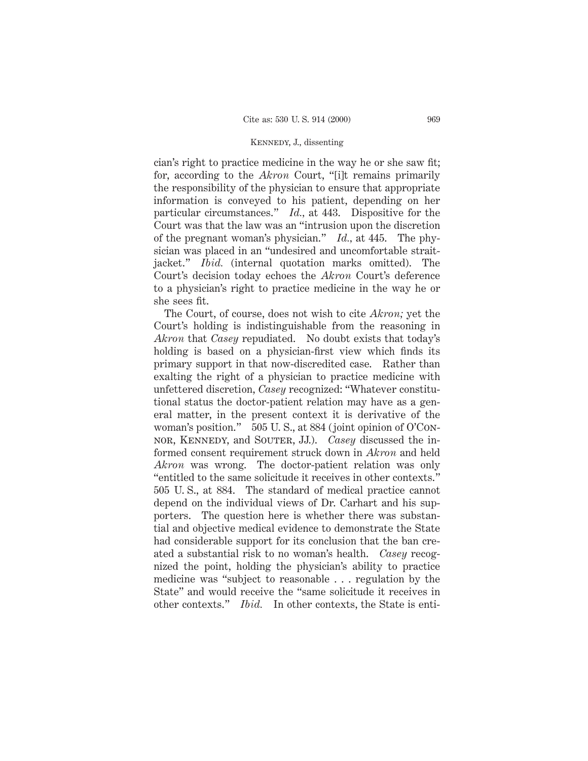cian's right to practice medicine in the way he or she saw fit; for, according to the *Akron* Court, "[i]t remains primarily the responsibility of the physician to ensure that appropriate information is conveyed to his patient, depending on her particular circumstances." *Id.,* at 443. Dispositive for the Court was that the law was an "intrusion upon the discretion of the pregnant woman's physician." *Id.,* at 445. The physician was placed in an "undesired and uncomfortable straitjacket." *Ibid.* (internal quotation marks omitted). The Court's decision today echoes the *Akron* Court's deference to a physician's right to practice medicine in the way he or she sees fit.

The Court, of course, does not wish to cite *Akron;* yet the Court's holding is indistinguishable from the reasoning in *Akron* that *Casey* repudiated. No doubt exists that today's holding is based on a physician-first view which finds its primary support in that now-discredited case. Rather than exalting the right of a physician to practice medicine with unfettered discretion, *Casey* recognized: "Whatever constitutional status the doctor-patient relation may have as a general matter, in the present context it is derivative of the woman's position." 505 U. S., at 884 (joint opinion of O'Connor, Kennedy, and Souter, JJ.). *Casey* discussed the informed consent requirement struck down in *Akron* and held *Akron* was wrong. The doctor-patient relation was only "entitled to the same solicitude it receives in other contexts." 505 U. S., at 884. The standard of medical practice cannot depend on the individual views of Dr. Carhart and his supporters. The question here is whether there was substantial and objective medical evidence to demonstrate the State had considerable support for its conclusion that the ban created a substantial risk to no woman's health. *Casey* recognized the point, holding the physician's ability to practice medicine was "subject to reasonable . . . regulation by the State" and would receive the "same solicitude it receives in other contexts." *Ibid.* In other contexts, the State is enti-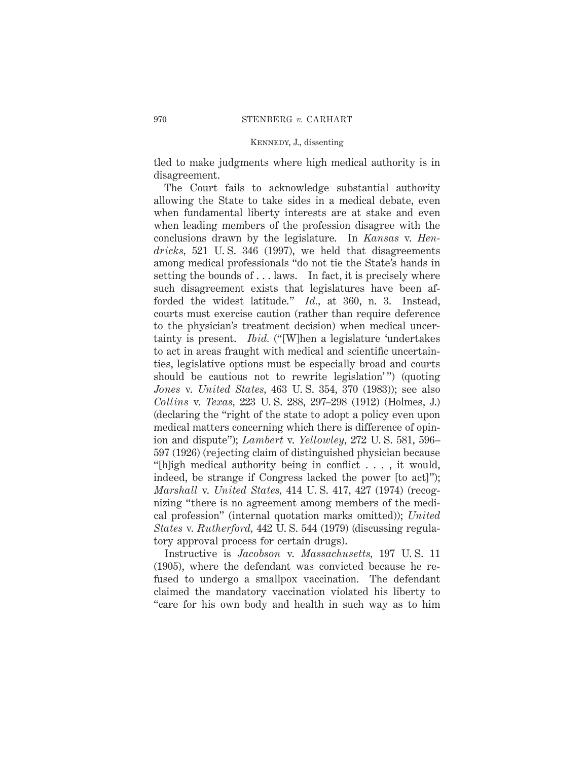tled to make judgments where high medical authority is in disagreement.

The Court fails to acknowledge substantial authority allowing the State to take sides in a medical debate, even when fundamental liberty interests are at stake and even when leading members of the profession disagree with the conclusions drawn by the legislature. In *Kansas* v. *Hendricks,* 521 U. S. 346 (1997), we held that disagreements among medical professionals "do not tie the State's hands in setting the bounds of... laws. In fact, it is precisely where such disagreement exists that legislatures have been afforded the widest latitude." *Id.,* at 360, n. 3. Instead, courts must exercise caution (rather than require deference to the physician's treatment decision) when medical uncertainty is present. *Ibid.* ("[W]hen a legislature 'undertakes to act in areas fraught with medical and scientific uncertainties, legislative options must be especially broad and courts should be cautious not to rewrite legislation'") (quoting *Jones* v. *United States,* 463 U. S. 354, 370 (1983)); see also *Collins* v. *Texas,* 223 U. S. 288, 297–298 (1912) (Holmes, J.) (declaring the "right of the state to adopt a policy even upon medical matters concerning which there is difference of opinion and dispute"); *Lambert* v. *Yellowley,* 272 U. S. 581, 596– 597 (1926) (rejecting claim of distinguished physician because "[h]igh medical authority being in conflict . . . , it would, indeed, be strange if Congress lacked the power [to act]"); *Marshall* v. *United States,* 414 U. S. 417, 427 (1974) (recognizing "there is no agreement among members of the medical profession" (internal quotation marks omitted)); *United States* v. *Rutherford,* 442 U. S. 544 (1979) (discussing regulatory approval process for certain drugs).

Instructive is *Jacobson* v. *Massachusetts,* 197 U. S. 11 (1905), where the defendant was convicted because he refused to undergo a smallpox vaccination. The defendant claimed the mandatory vaccination violated his liberty to "care for his own body and health in such way as to him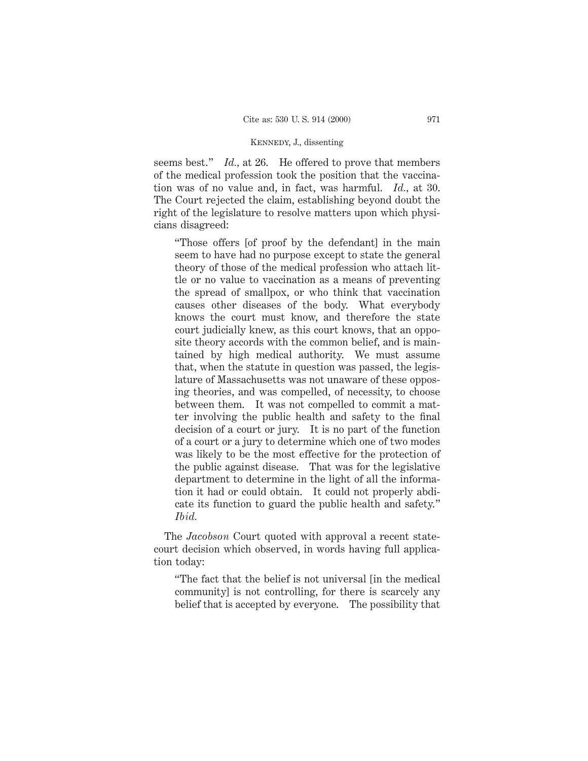seems best." *Id.,* at 26. He offered to prove that members of the medical profession took the position that the vaccination was of no value and, in fact, was harmful. *Id.,* at 30. The Court rejected the claim, establishing beyond doubt the right of the legislature to resolve matters upon which physicians disagreed:

"Those offers [of proof by the defendant] in the main seem to have had no purpose except to state the general theory of those of the medical profession who attach little or no value to vaccination as a means of preventing the spread of smallpox, or who think that vaccination causes other diseases of the body. What everybody knows the court must know, and therefore the state court judicially knew, as this court knows, that an opposite theory accords with the common belief, and is maintained by high medical authority. We must assume that, when the statute in question was passed, the legislature of Massachusetts was not unaware of these opposing theories, and was compelled, of necessity, to choose between them. It was not compelled to commit a matter involving the public health and safety to the final decision of a court or jury. It is no part of the function of a court or a jury to determine which one of two modes was likely to be the most effective for the protection of the public against disease. That was for the legislative department to determine in the light of all the information it had or could obtain. It could not properly abdicate its function to guard the public health and safety." *Ibid.*

The *Jacobson* Court quoted with approval a recent statecourt decision which observed, in words having full application today:

"The fact that the belief is not universal [in the medical community] is not controlling, for there is scarcely any belief that is accepted by everyone. The possibility that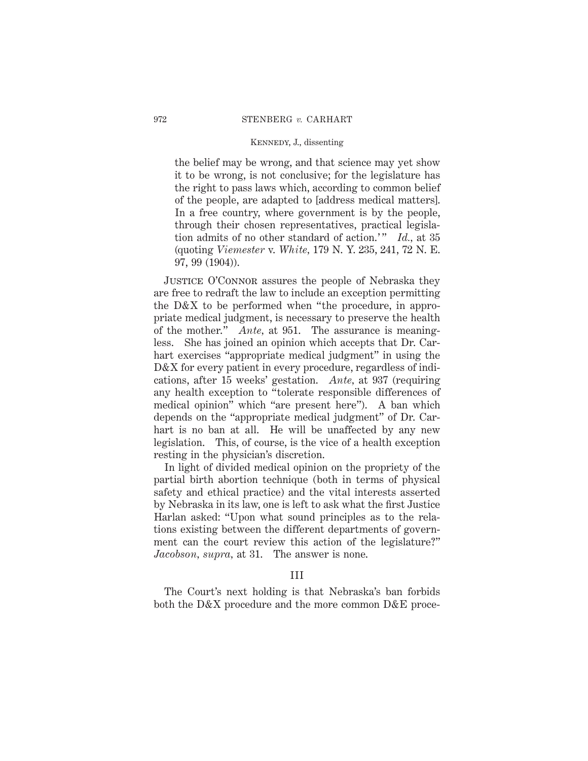the belief may be wrong, and that science may yet show it to be wrong, is not conclusive; for the legislature has the right to pass laws which, according to common belief of the people, are adapted to [address medical matters]. In a free country, where government is by the people, through their chosen representatives, practical legislation admits of no other standard of action.'" *Id.*, at 35 (quoting *Viemester* v. *White,* 179 N. Y. 235, 241, 72 N. E. 97, 99 (1904)).

Justice O'Connor assures the people of Nebraska they are free to redraft the law to include an exception permitting the D&X to be performed when "the procedure, in appropriate medical judgment, is necessary to preserve the health of the mother." *Ante,* at 951. The assurance is meaningless. She has joined an opinion which accepts that Dr. Carhart exercises "appropriate medical judgment" in using the D&X for every patient in every procedure, regardless of indications, after 15 weeks' gestation. *Ante,* at 937 (requiring any health exception to "tolerate responsible differences of medical opinion" which "are present here"). A ban which depends on the "appropriate medical judgment" of Dr. Carhart is no ban at all. He will be unaffected by any new legislation. This, of course, is the vice of a health exception resting in the physician's discretion.

In light of divided medical opinion on the propriety of the partial birth abortion technique (both in terms of physical safety and ethical practice) and the vital interests asserted by Nebraska in its law, one is left to ask what the first Justice Harlan asked: "Upon what sound principles as to the relations existing between the different departments of government can the court review this action of the legislature?" *Jacobson, supra,* at 31. The answer is none.

#### III

The Court's next holding is that Nebraska's ban forbids both the D&X procedure and the more common D&E proce-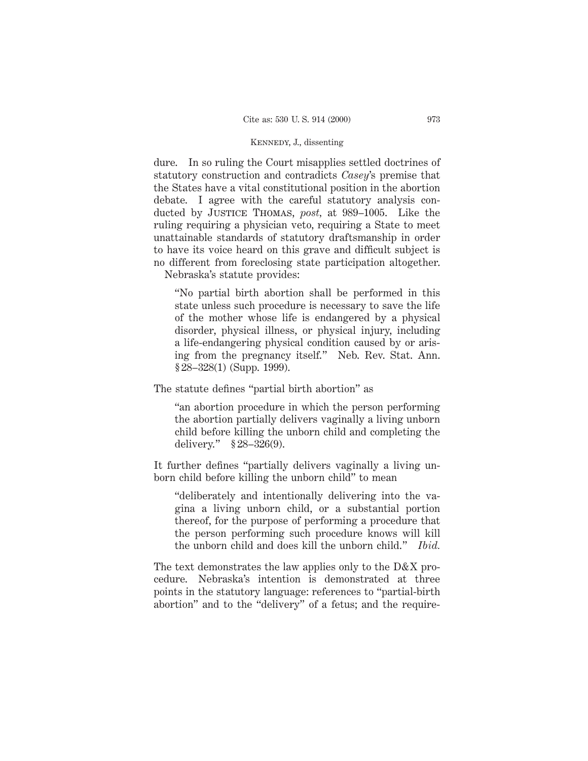dure. In so ruling the Court misapplies settled doctrines of statutory construction and contradicts *Casey*'s premise that the States have a vital constitutional position in the abortion debate. I agree with the careful statutory analysis conducted by Justice Thomas, *post,* at 989–1005. Like the ruling requiring a physician veto, requiring a State to meet unattainable standards of statutory draftsmanship in order to have its voice heard on this grave and difficult subject is no different from foreclosing state participation altogether.

Nebraska's statute provides:

"No partial birth abortion shall be performed in this state unless such procedure is necessary to save the life of the mother whose life is endangered by a physical disorder, physical illness, or physical injury, including a life-endangering physical condition caused by or arising from the pregnancy itself." Neb. Rev. Stat. Ann. § 28–328(1) (Supp. 1999).

The statute defines "partial birth abortion" as

"an abortion procedure in which the person performing the abortion partially delivers vaginally a living unborn child before killing the unborn child and completing the delivery." § 28–326(9).

It further defines "partially delivers vaginally a living unborn child before killing the unborn child" to mean

"deliberately and intentionally delivering into the vagina a living unborn child, or a substantial portion thereof, for the purpose of performing a procedure that the person performing such procedure knows will kill the unborn child and does kill the unborn child." *Ibid.*

The text demonstrates the law applies only to the D&X procedure. Nebraska's intention is demonstrated at three points in the statutory language: references to "partial-birth abortion" and to the "delivery" of a fetus; and the require-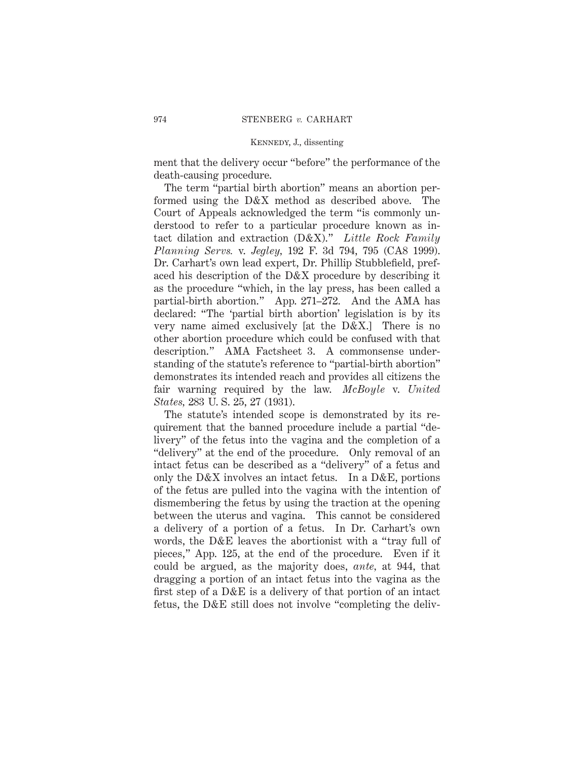ment that the delivery occur "before" the performance of the death-causing procedure.

The term "partial birth abortion" means an abortion performed using the D&X method as described above. The Court of Appeals acknowledged the term "is commonly understood to refer to a particular procedure known as intact dilation and extraction (D&X)." *Little Rock Family Planning Servs.* v. *Jegley,* 192 F. 3d 794, 795 (CA8 1999). Dr. Carhart's own lead expert, Dr. Phillip Stubblefield, prefaced his description of the D&X procedure by describing it as the procedure "which, in the lay press, has been called a partial-birth abortion." App. 271–272. And the AMA has declared: "The 'partial birth abortion' legislation is by its very name aimed exclusively [at the D&X.] There is no other abortion procedure which could be confused with that description." AMA Factsheet 3. A commonsense understanding of the statute's reference to "partial-birth abortion" demonstrates its intended reach and provides all citizens the fair warning required by the law. *McBoyle* v. *United States,* 283 U. S. 25, 27 (1931).

The statute's intended scope is demonstrated by its requirement that the banned procedure include a partial "delivery" of the fetus into the vagina and the completion of a "delivery" at the end of the procedure. Only removal of an intact fetus can be described as a "delivery" of a fetus and only the D&X involves an intact fetus. In a D&E, portions of the fetus are pulled into the vagina with the intention of dismembering the fetus by using the traction at the opening between the uterus and vagina. This cannot be considered a delivery of a portion of a fetus. In Dr. Carhart's own words, the D&E leaves the abortionist with a "tray full of pieces," App. 125, at the end of the procedure. Even if it could be argued, as the majority does, *ante,* at 944, that dragging a portion of an intact fetus into the vagina as the first step of a D&E is a delivery of that portion of an intact fetus, the D&E still does not involve "completing the deliv-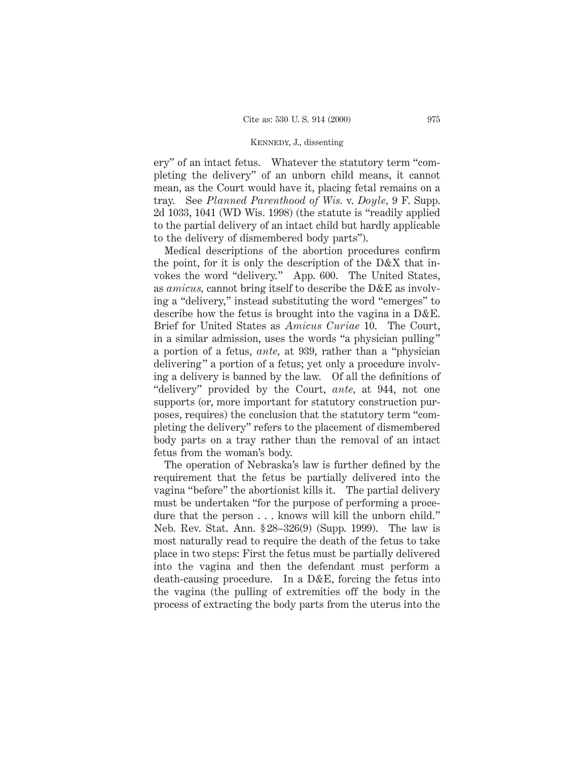ery" of an intact fetus. Whatever the statutory term "completing the delivery" of an unborn child means, it cannot mean, as the Court would have it, placing fetal remains on a tray. See *Planned Parenthood of Wis.* v. *Doyle,* 9 F. Supp. 2d 1033, 1041 (WD Wis. 1998) (the statute is "readily applied to the partial delivery of an intact child but hardly applicable to the delivery of dismembered body parts").

Medical descriptions of the abortion procedures confirm the point, for it is only the description of the D&X that invokes the word "delivery." App. 600. The United States, as *amicus,* cannot bring itself to describe the D&E as involving a "delivery," instead substituting the word "emerges" to describe how the fetus is brought into the vagina in a D&E. Brief for United States as *Amicus Curiae* 10. The Court, in a similar admission, uses the words "a physician pulling" a portion of a fetus, *ante,* at 939, rather than a "physician delivering" a portion of a fetus; yet only a procedure involving a delivery is banned by the law. Of all the definitions of "delivery" provided by the Court, *ante,* at 944, not one supports (or, more important for statutory construction purposes, requires) the conclusion that the statutory term "completing the delivery" refers to the placement of dismembered body parts on a tray rather than the removal of an intact fetus from the woman's body.

The operation of Nebraska's law is further defined by the requirement that the fetus be partially delivered into the vagina "before" the abortionist kills it. The partial delivery must be undertaken "for the purpose of performing a procedure that the person... knows will kill the unborn child." Neb. Rev. Stat. Ann. § 28–326(9) (Supp. 1999). The law is most naturally read to require the death of the fetus to take place in two steps: First the fetus must be partially delivered into the vagina and then the defendant must perform a death-causing procedure. In a D&E, forcing the fetus into the vagina (the pulling of extremities off the body in the process of extracting the body parts from the uterus into the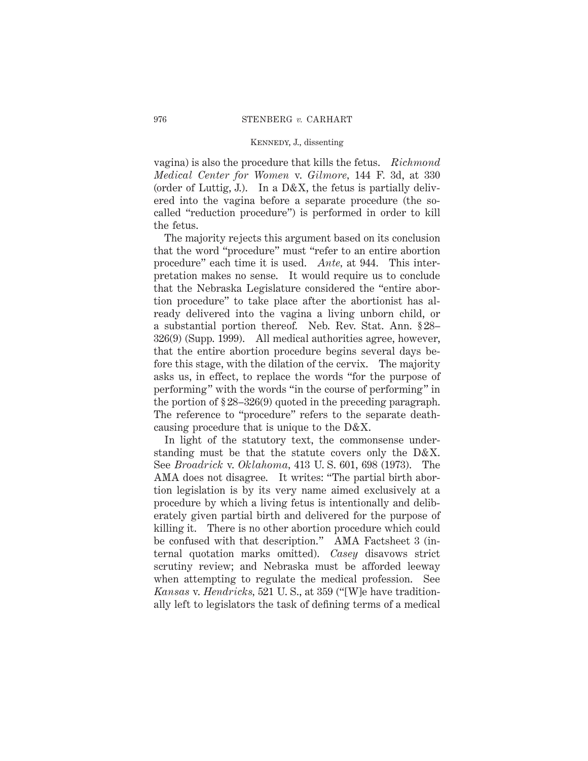vagina) is also the procedure that kills the fetus. *Richmond Medical Center for Women* v. *Gilmore,* 144 F. 3d, at 330 (order of Luttig, J.). In a D&X, the fetus is partially delivered into the vagina before a separate procedure (the socalled "reduction procedure") is performed in order to kill the fetus.

The majority rejects this argument based on its conclusion that the word "procedure" must "refer to an entire abortion procedure" each time it is used. *Ante,* at 944. This interpretation makes no sense. It would require us to conclude that the Nebraska Legislature considered the "entire abortion procedure" to take place after the abortionist has already delivered into the vagina a living unborn child, or a substantial portion thereof. Neb. Rev. Stat. Ann. § 28– 326(9) (Supp. 1999). All medical authorities agree, however, that the entire abortion procedure begins several days before this stage, with the dilation of the cervix. The majority asks us, in effect, to replace the words "for the purpose of performing" with the words "in the course of performing" in the portion of § 28–326(9) quoted in the preceding paragraph. The reference to "procedure" refers to the separate deathcausing procedure that is unique to the D&X.

In light of the statutory text, the commonsense understanding must be that the statute covers only the D&X. See *Broadrick* v. *Oklahoma,* 413 U. S. 601, 698 (1973). The AMA does not disagree. It writes: "The partial birth abortion legislation is by its very name aimed exclusively at a procedure by which a living fetus is intentionally and deliberately given partial birth and delivered for the purpose of killing it. There is no other abortion procedure which could be confused with that description." AMA Factsheet 3 (internal quotation marks omitted). *Casey* disavows strict scrutiny review; and Nebraska must be afforded leeway when attempting to regulate the medical profession. See *Kansas* v. *Hendricks,* 521 U. S., at 359 ("[W]e have traditionally left to legislators the task of defining terms of a medical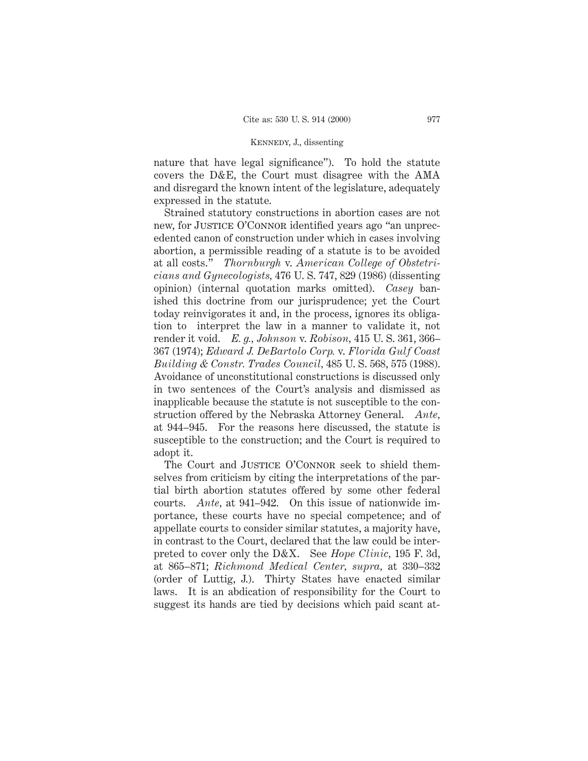nature that have legal significance"). To hold the statute covers the D&E, the Court must disagree with the AMA and disregard the known intent of the legislature, adequately expressed in the statute.

Strained statutory constructions in abortion cases are not new, for JUSTICE O'CONNOR identified years ago "an unprecedented canon of construction under which in cases involving abortion, a permissible reading of a statute is to be avoided at all costs." *Thornburgh* v. *American College of Obstetricians and Gynecologists,* 476 U. S. 747, 829 (1986) (dissenting opinion) (internal quotation marks omitted). *Casey* banished this doctrine from our jurisprudence; yet the Court today reinvigorates it and, in the process, ignores its obligation to interpret the law in a manner to validate it, not render it void. *E. g., Johnson* v. *Robison,* 415 U. S. 361, 366– 367 (1974); *Edward J. DeBartolo Corp.* v. *Florida Gulf Coast Building & Constr. Trades Council,* 485 U. S. 568, 575 (1988). Avoidance of unconstitutional constructions is discussed only in two sentences of the Court's analysis and dismissed as inapplicable because the statute is not susceptible to the construction offered by the Nebraska Attorney General. *Ante,* at 944–945. For the reasons here discussed, the statute is susceptible to the construction; and the Court is required to adopt it.

The Court and JUSTICE O'CONNOR seek to shield themselves from criticism by citing the interpretations of the partial birth abortion statutes offered by some other federal courts. *Ante,* at 941–942. On this issue of nationwide importance, these courts have no special competence; and of appellate courts to consider similar statutes, a majority have, in contrast to the Court, declared that the law could be interpreted to cover only the D&X. See *Hope Clinic,* 195 F. 3d, at 865–871; *Richmond Medical Center, supra,* at 330–332 (order of Luttig, J.). Thirty States have enacted similar laws. It is an abdication of responsibility for the Court to suggest its hands are tied by decisions which paid scant at-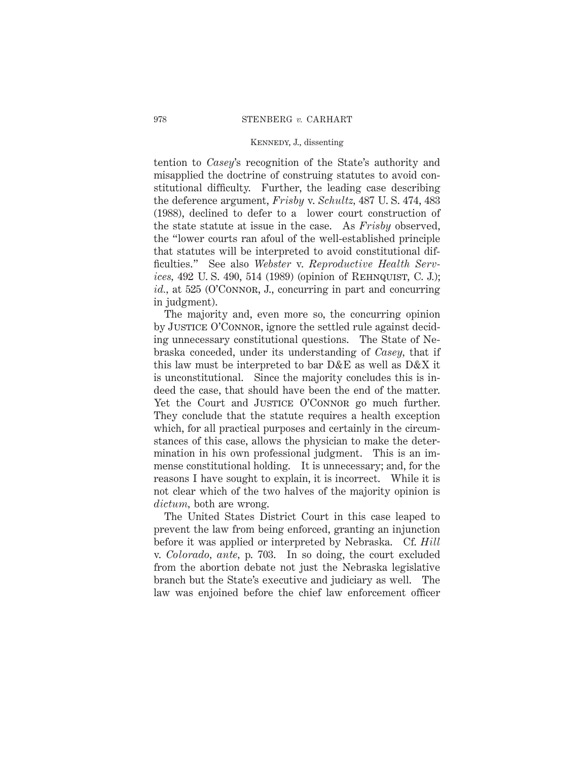tention to *Casey*'s recognition of the State's authority and misapplied the doctrine of construing statutes to avoid constitutional difficulty. Further, the leading case describing the deference argument, *Frisby* v. *Schultz,* 487 U. S. 474, 483 (1988), declined to defer to a lower court construction of the state statute at issue in the case. As *Frisby* observed, the "lower courts ran afoul of the well-established principle that statutes will be interpreted to avoid constitutional difficulties." See also *Webster* v. *Reproductive Health Services*, 492 U.S. 490, 514 (1989) (opinion of REHNQUIST, C. J.); *id.*, at 525 (O'CONNOR, J., concurring in part and concurring in judgment).

The majority and, even more so, the concurring opinion by JUSTICE O'CONNOR, ignore the settled rule against deciding unnecessary constitutional questions. The State of Nebraska conceded, under its understanding of *Casey,* that if this law must be interpreted to bar D&E as well as D&X it is unconstitutional. Since the majority concludes this is indeed the case, that should have been the end of the matter. Yet the Court and JUSTICE O'CONNOR go much further. They conclude that the statute requires a health exception which, for all practical purposes and certainly in the circumstances of this case, allows the physician to make the determination in his own professional judgment. This is an immense constitutional holding. It is unnecessary; and, for the reasons I have sought to explain, it is incorrect. While it is not clear which of the two halves of the majority opinion is *dictum,* both are wrong.

The United States District Court in this case leaped to prevent the law from being enforced, granting an injunction before it was applied or interpreted by Nebraska. Cf. *Hill* v. *Colorado, ante,* p. 703. In so doing, the court excluded from the abortion debate not just the Nebraska legislative branch but the State's executive and judiciary as well. The law was enjoined before the chief law enforcement officer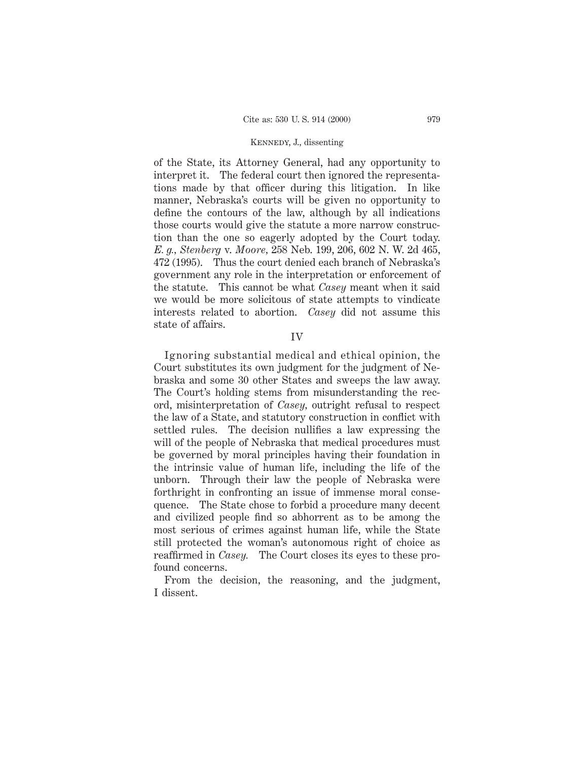of the State, its Attorney General, had any opportunity to interpret it. The federal court then ignored the representations made by that officer during this litigation. In like manner, Nebraska's courts will be given no opportunity to define the contours of the law, although by all indications those courts would give the statute a more narrow construction than the one so eagerly adopted by the Court today. *E. g., Stenberg* v. *Moore,* 258 Neb. 199, 206, 602 N. W. 2d 465, 472 (1995). Thus the court denied each branch of Nebraska's government any role in the interpretation or enforcement of the statute. This cannot be what *Casey* meant when it said we would be more solicitous of state attempts to vindicate interests related to abortion. *Casey* did not assume this state of affairs.

#### IV

Ignoring substantial medical and ethical opinion, the Court substitutes its own judgment for the judgment of Nebraska and some 30 other States and sweeps the law away. The Court's holding stems from misunderstanding the record, misinterpretation of *Casey,* outright refusal to respect the law of a State, and statutory construction in conflict with settled rules. The decision nullifies a law expressing the will of the people of Nebraska that medical procedures must be governed by moral principles having their foundation in the intrinsic value of human life, including the life of the unborn. Through their law the people of Nebraska were forthright in confronting an issue of immense moral consequence. The State chose to forbid a procedure many decent and civilized people find so abhorrent as to be among the most serious of crimes against human life, while the State still protected the woman's autonomous right of choice as reaffirmed in *Casey.* The Court closes its eyes to these profound concerns.

From the decision, the reasoning, and the judgment, I dissent.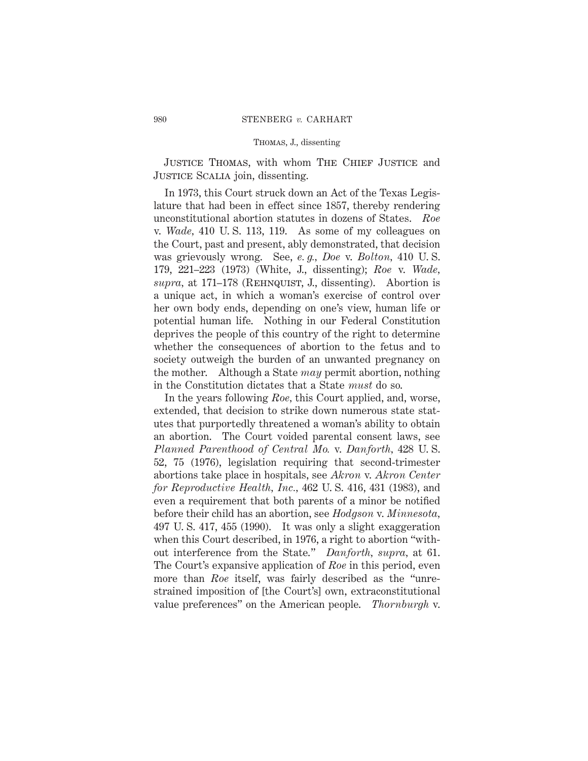JUSTICE THOMAS, with whom THE CHIEF JUSTICE and JUSTICE SCALIA join, dissenting.

In 1973, this Court struck down an Act of the Texas Legislature that had been in effect since 1857, thereby rendering unconstitutional abortion statutes in dozens of States. *Roe* v. *Wade,* 410 U. S. 113, 119. As some of my colleagues on the Court, past and present, ably demonstrated, that decision was grievously wrong. See, *e. g., Doe* v. *Bolton,* 410 U. S. 179, 221–223 (1973) (White, J., dissenting); *Roe* v. *Wade, supra*, at 171–178 (REHNQUIST, J., dissenting). Abortion is a unique act, in which a woman's exercise of control over her own body ends, depending on one's view, human life or potential human life. Nothing in our Federal Constitution deprives the people of this country of the right to determine whether the consequences of abortion to the fetus and to society outweigh the burden of an unwanted pregnancy on the mother. Although a State *may* permit abortion, nothing in the Constitution dictates that a State *must* do so.

In the years following *Roe,* this Court applied, and, worse, extended, that decision to strike down numerous state statutes that purportedly threatened a woman's ability to obtain an abortion. The Court voided parental consent laws, see *Planned Parenthood of Central Mo.* v. *Danforth,* 428 U. S. 52, 75 (1976), legislation requiring that second-trimester abortions take place in hospitals, see *Akron* v. *Akron Center for Reproductive Health, Inc.,* 462 U. S. 416, 431 (1983), and even a requirement that both parents of a minor be notified before their child has an abortion, see *Hodgson* v. *Minnesota,* 497 U. S. 417, 455 (1990). It was only a slight exaggeration when this Court described, in 1976, a right to abortion "without interference from the State." *Danforth, supra,* at 61. The Court's expansive application of *Roe* in this period, even more than *Roe* itself, was fairly described as the "unrestrained imposition of [the Court's] own, extraconstitutional value preferences" on the American people. *Thornburgh* v.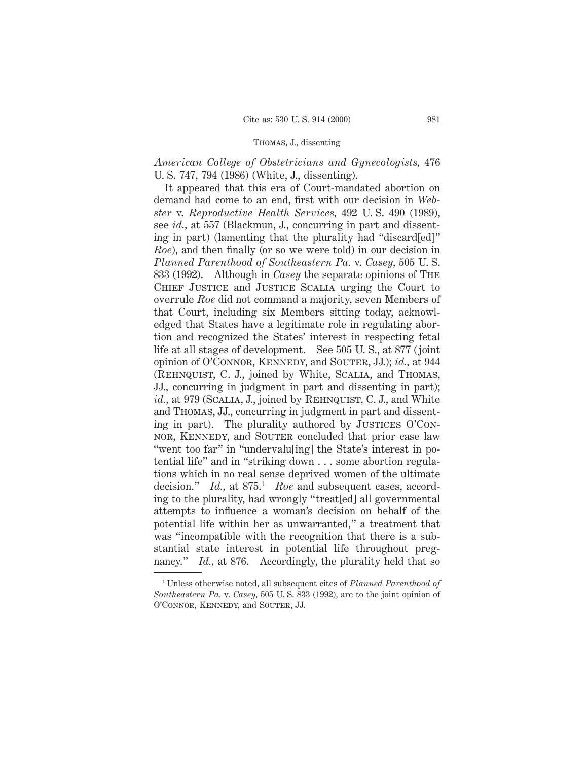### *American College of Obstetricians and Gynecologists,* 476 U. S. 747, 794 (1986) (White, J., dissenting).

It appeared that this era of Court-mandated abortion on demand had come to an end, first with our decision in *Webster* v. *Reproductive Health Services,* 492 U. S. 490 (1989), see *id.,* at 557 (Blackmun, J., concurring in part and dissenting in part) (lamenting that the plurality had "discard[ed]" *Roe*), and then finally (or so we were told) in our decision in *Planned Parenthood of Southeastern Pa.* v. *Casey,* 505 U. S. 833 (1992). Although in *Casey* the separate opinions of The CHIEF JUSTICE and JUSTICE SCALIA urging the Court to overrule *Roe* did not command a majority, seven Members of that Court, including six Members sitting today, acknowledged that States have a legitimate role in regulating abortion and recognized the States' interest in respecting fetal life at all stages of development. See 505 U. S., at 877 (joint opinion of O'Connor, Kennedy, and Souter, JJ.); *id.,* at 944 (Rehnquist, C. J., joined by White, Scalia, and Thomas, JJ., concurring in judgment in part and dissenting in part); *id.*, at 979 (SCALIA, J., joined by REHNQUIST, C. J., and White and Thomas, JJ., concurring in judgment in part and dissenting in part). The plurality authored by JUSTICES  $O'$ CONnor, Kennedy, and Souter concluded that prior case law "went too far" in "undervalu[ing] the State's interest in potential life" and in "striking down . . . some abortion regulations which in no real sense deprived women of the ultimate decision." *Id.*, at 875.<sup>1</sup> *Roe* and subsequent cases, according to the plurality, had wrongly "treat[ed] all governmental attempts to influence a woman's decision on behalf of the potential life within her as unwarranted," a treatment that was "incompatible with the recognition that there is a substantial state interest in potential life throughout pregnancy." *Id.*, at 876. Accordingly, the plurality held that so

<sup>1</sup> Unless otherwise noted, all subsequent cites of *Planned Parenthood of Southeastern Pa.* v. *Casey,* 505 U. S. 833 (1992), are to the joint opinion of O'Connor, Kennedy, and Souter, JJ.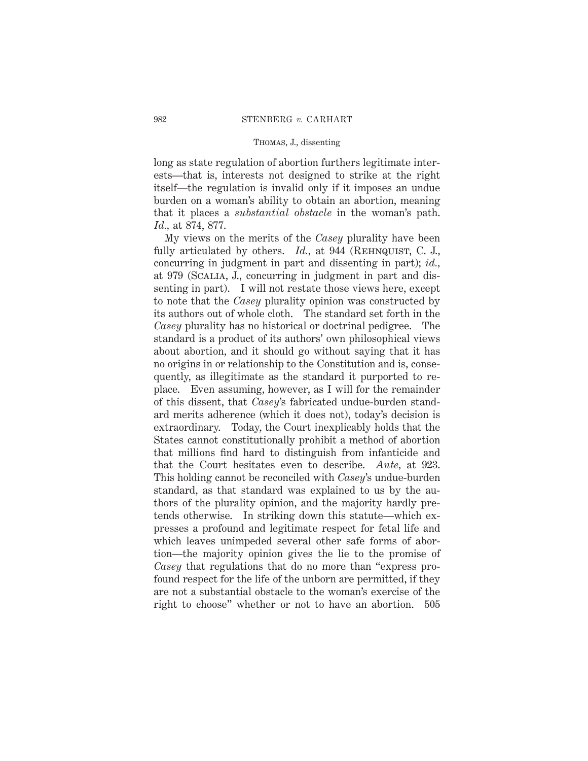long as state regulation of abortion furthers legitimate interests—that is, interests not designed to strike at the right itself—the regulation is invalid only if it imposes an undue burden on a woman's ability to obtain an abortion, meaning that it places a *substantial obstacle* in the woman's path. *Id.,* at 874, 877.

My views on the merits of the *Casey* plurality have been fully articulated by others. *Id.*, at 944 (REHNQUIST, C. J., concurring in judgment in part and dissenting in part); *id.,* at 979 (Scalia, J., concurring in judgment in part and dissenting in part). I will not restate those views here, except to note that the *Casey* plurality opinion was constructed by its authors out of whole cloth. The standard set forth in the *Casey* plurality has no historical or doctrinal pedigree. The standard is a product of its authors' own philosophical views about abortion, and it should go without saying that it has no origins in or relationship to the Constitution and is, consequently, as illegitimate as the standard it purported to replace. Even assuming, however, as I will for the remainder of this dissent, that *Casey*'s fabricated undue-burden standard merits adherence (which it does not), today's decision is extraordinary. Today, the Court inexplicably holds that the States cannot constitutionally prohibit a method of abortion that millions find hard to distinguish from infanticide and that the Court hesitates even to describe. *Ante,* at 923. This holding cannot be reconciled with *Casey*'s undue-burden standard, as that standard was explained to us by the authors of the plurality opinion, and the majority hardly pretends otherwise. In striking down this statute—which expresses a profound and legitimate respect for fetal life and which leaves unimpeded several other safe forms of abortion—the majority opinion gives the lie to the promise of *Casey* that regulations that do no more than "express profound respect for the life of the unborn are permitted, if they are not a substantial obstacle to the woman's exercise of the right to choose" whether or not to have an abortion. 505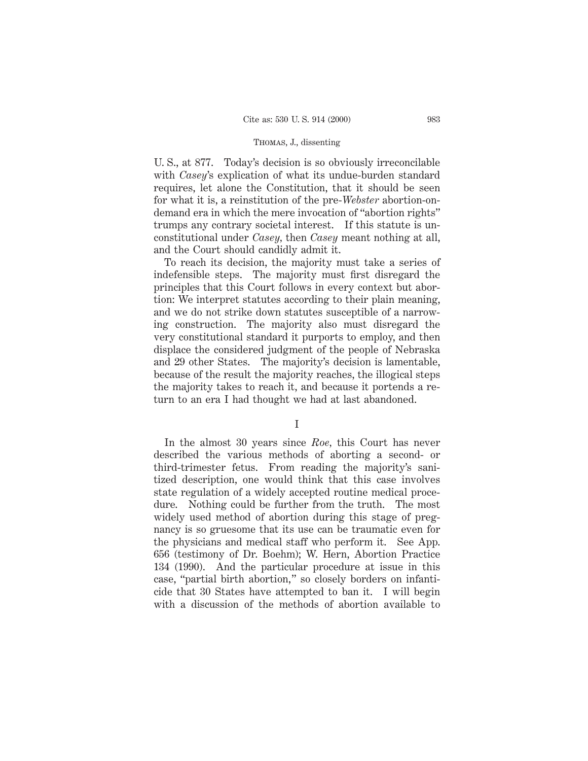U. S., at 877. Today's decision is so obviously irreconcilable with *Casey*'s explication of what its undue-burden standard requires, let alone the Constitution, that it should be seen for what it is, a reinstitution of the pre-*Webster* abortion-ondemand era in which the mere invocation of "abortion rights" trumps any contrary societal interest. If this statute is unconstitutional under *Casey,* then *Casey* meant nothing at all, and the Court should candidly admit it.

To reach its decision, the majority must take a series of indefensible steps. The majority must first disregard the principles that this Court follows in every context but abortion: We interpret statutes according to their plain meaning, and we do not strike down statutes susceptible of a narrowing construction. The majority also must disregard the very constitutional standard it purports to employ, and then displace the considered judgment of the people of Nebraska and 29 other States. The majority's decision is lamentable, because of the result the majority reaches, the illogical steps the majority takes to reach it, and because it portends a return to an era I had thought we had at last abandoned.

I

In the almost 30 years since *Roe,* this Court has never described the various methods of aborting a second- or third-trimester fetus. From reading the majority's sanitized description, one would think that this case involves state regulation of a widely accepted routine medical procedure. Nothing could be further from the truth. The most widely used method of abortion during this stage of pregnancy is so gruesome that its use can be traumatic even for the physicians and medical staff who perform it. See App. 656 (testimony of Dr. Boehm); W. Hern, Abortion Practice 134 (1990). And the particular procedure at issue in this case, "partial birth abortion," so closely borders on infanticide that 30 States have attempted to ban it. I will begin with a discussion of the methods of abortion available to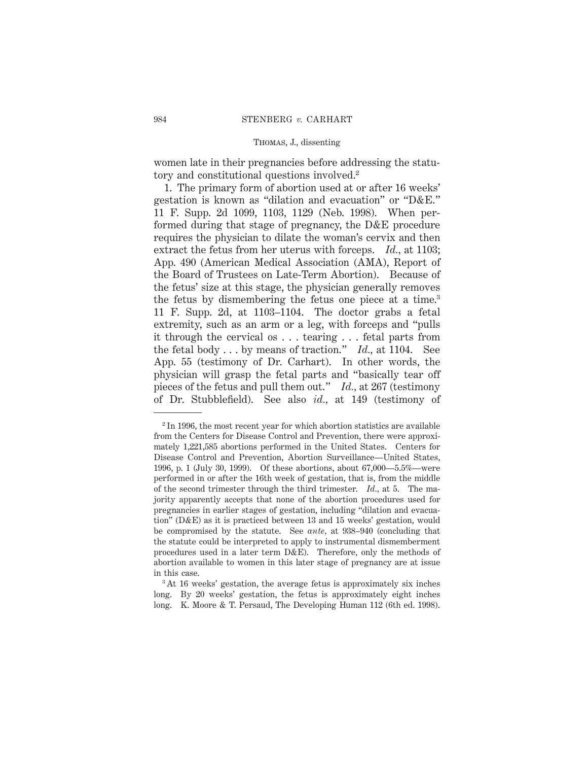women late in their pregnancies before addressing the statutory and constitutional questions involved.2

1. The primary form of abortion used at or after 16 weeks' gestation is known as "dilation and evacuation" or "D&E." 11 F. Supp. 2d 1099, 1103, 1129 (Neb. 1998). When performed during that stage of pregnancy, the D&E procedure requires the physician to dilate the woman's cervix and then extract the fetus from her uterus with forceps. *Id.,* at 1103; App. 490 (American Medical Association (AMA), Report of the Board of Trustees on Late-Term Abortion). Because of the fetus' size at this stage, the physician generally removes the fetus by dismembering the fetus one piece at a time.<sup>3</sup> 11 F. Supp. 2d, at 1103–1104. The doctor grabs a fetal extremity, such as an arm or a leg, with forceps and "pulls it through the cervical os... tearing . . . fetal parts from the fetal body . . . by means of traction." *Id.,* at 1104. See App. 55 (testimony of Dr. Carhart). In other words, the physician will grasp the fetal parts and "basically tear off pieces of the fetus and pull them out." *Id.,* at 267 (testimony of Dr. Stubblefield). See also *id.,* at 149 (testimony of

<sup>2</sup> In 1996, the most recent year for which abortion statistics are available from the Centers for Disease Control and Prevention, there were approximately 1,221,585 abortions performed in the United States. Centers for Disease Control and Prevention, Abortion Surveillance—United States, 1996, p. 1 (July 30, 1999). Of these abortions, about 67,000—5.5%—were performed in or after the 16th week of gestation, that is, from the middle of the second trimester through the third trimester. *Id.,* at 5. The majority apparently accepts that none of the abortion procedures used for pregnancies in earlier stages of gestation, including "dilation and evacuation" (D&E) as it is practiced between 13 and 15 weeks' gestation, would be compromised by the statute. See *ante,* at 938–940 (concluding that the statute could be interpreted to apply to instrumental dismemberment procedures used in a later term D&E). Therefore, only the methods of abortion available to women in this later stage of pregnancy are at issue in this case.

<sup>&</sup>lt;sup>3</sup>At 16 weeks' gestation, the average fetus is approximately six inches long. By 20 weeks' gestation, the fetus is approximately eight inches long. K. Moore & T. Persaud, The Developing Human 112 (6th ed. 1998).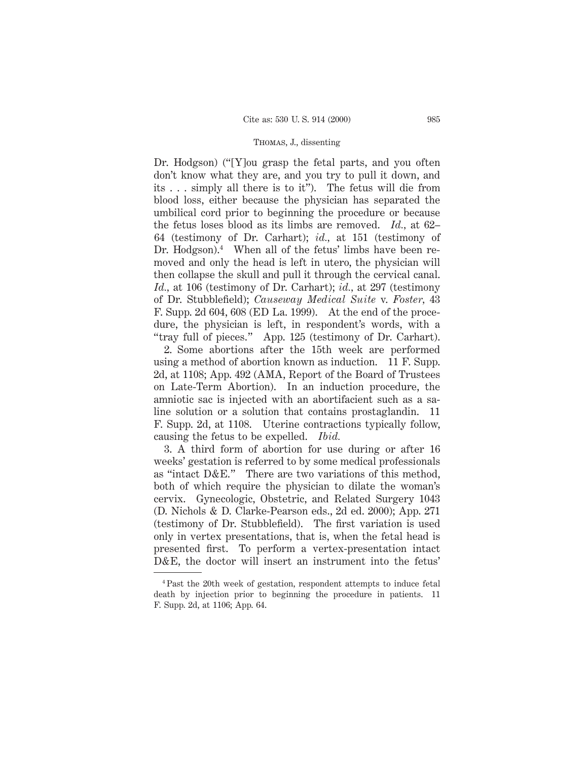Dr. Hodgson) ("[Y]ou grasp the fetal parts, and you often don't know what they are, and you try to pull it down, and its . . . simply all there is to it"). The fetus will die from blood loss, either because the physician has separated the umbilical cord prior to beginning the procedure or because the fetus loses blood as its limbs are removed. *Id.,* at 62– 64 (testimony of Dr. Carhart); *id.,* at 151 (testimony of Dr. Hodgson).<sup>4</sup> When all of the fetus' limbs have been removed and only the head is left in utero, the physician will then collapse the skull and pull it through the cervical canal. *Id.,* at 106 (testimony of Dr. Carhart); *id.,* at 297 (testimony of Dr. Stubblefield); *Causeway Medical Suite* v. *Foster,* 43 F. Supp. 2d 604, 608 (ED La. 1999). At the end of the procedure, the physician is left, in respondent's words, with a "tray full of pieces." App. 125 (testimony of Dr. Carhart).

2. Some abortions after the 15th week are performed using a method of abortion known as induction. 11 F. Supp. 2d, at 1108; App. 492 (AMA, Report of the Board of Trustees on Late-Term Abortion). In an induction procedure, the amniotic sac is injected with an abortifacient such as a saline solution or a solution that contains prostaglandin. 11 F. Supp. 2d, at 1108. Uterine contractions typically follow, causing the fetus to be expelled. *Ibid.*

3. A third form of abortion for use during or after 16 weeks' gestation is referred to by some medical professionals as "intact D&E." There are two variations of this method, both of which require the physician to dilate the woman's cervix. Gynecologic, Obstetric, and Related Surgery 1043 (D. Nichols & D. Clarke-Pearson eds., 2d ed. 2000); App. 271 (testimony of Dr. Stubblefield). The first variation is used only in vertex presentations, that is, when the fetal head is presented first. To perform a vertex-presentation intact D&E, the doctor will insert an instrument into the fetus'

<sup>4</sup> Past the 20th week of gestation, respondent attempts to induce fetal death by injection prior to beginning the procedure in patients. 11 F. Supp. 2d, at 1106; App. 64.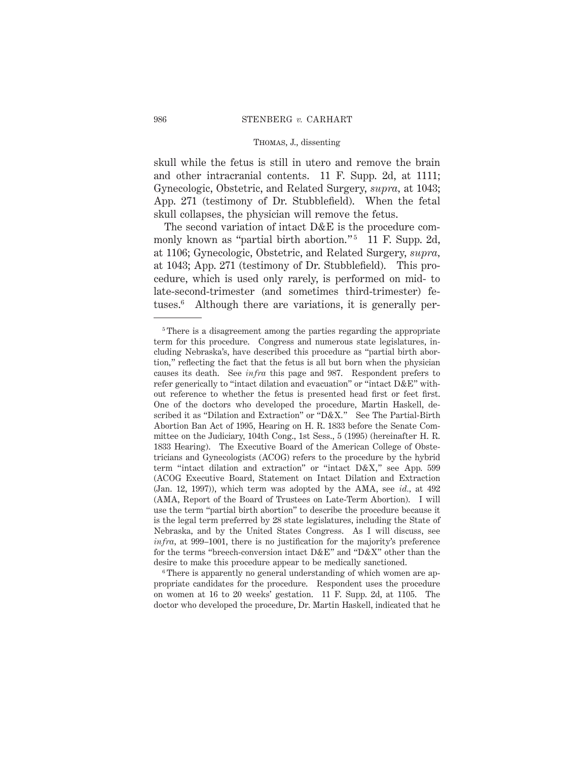skull while the fetus is still in utero and remove the brain and other intracranial contents. 11 F. Supp. 2d, at 1111; Gynecologic, Obstetric, and Related Surgery, *supra,* at 1043; App. 271 (testimony of Dr. Stubblefield). When the fetal skull collapses, the physician will remove the fetus.

The second variation of intact D&E is the procedure commonly known as "partial birth abortion."<sup>5</sup> 11 F. Supp. 2d, at 1106; Gynecologic, Obstetric, and Related Surgery, *supra,* at 1043; App. 271 (testimony of Dr. Stubblefield). This procedure, which is used only rarely, is performed on mid- to late-second-trimester (and sometimes third-trimester) fetuses.6 Although there are variations, it is generally per-

<sup>6</sup> There is apparently no general understanding of which women are appropriate candidates for the procedure. Respondent uses the procedure on women at 16 to 20 weeks' gestation. 11 F. Supp. 2d, at 1105. The doctor who developed the procedure, Dr. Martin Haskell, indicated that he

<sup>&</sup>lt;sup>5</sup>There is a disagreement among the parties regarding the appropriate term for this procedure. Congress and numerous state legislatures, including Nebraska's, have described this procedure as "partial birth abortion," reflecting the fact that the fetus is all but born when the physician causes its death. See *infra* this page and 987. Respondent prefers to refer generically to "intact dilation and evacuation" or "intact D&E" without reference to whether the fetus is presented head first or feet first. One of the doctors who developed the procedure, Martin Haskell, described it as "Dilation and Extraction" or "D&X." See The Partial-Birth Abortion Ban Act of 1995, Hearing on H. R. 1833 before the Senate Committee on the Judiciary, 104th Cong., 1st Sess., 5 (1995) (hereinafter H. R. 1833 Hearing). The Executive Board of the American College of Obstetricians and Gynecologists (ACOG) refers to the procedure by the hybrid term "intact dilation and extraction" or "intact D&X," see App. 599 (ACOG Executive Board, Statement on Intact Dilation and Extraction (Jan. 12, 1997)), which term was adopted by the AMA, see *id.,* at 492 (AMA, Report of the Board of Trustees on Late-Term Abortion). I will use the term "partial birth abortion" to describe the procedure because it is the legal term preferred by 28 state legislatures, including the State of Nebraska, and by the United States Congress. As I will discuss, see *infra,* at 999–1001, there is no justification for the majority's preference for the terms "breech-conversion intact D&E" and "D&X" other than the desire to make this procedure appear to be medically sanctioned.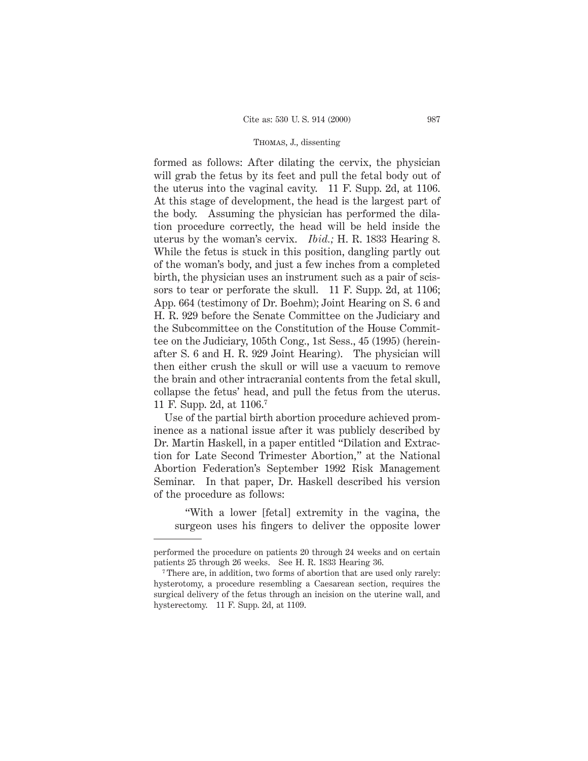formed as follows: After dilating the cervix, the physician will grab the fetus by its feet and pull the fetal body out of the uterus into the vaginal cavity. 11 F. Supp. 2d, at 1106. At this stage of development, the head is the largest part of the body. Assuming the physician has performed the dilation procedure correctly, the head will be held inside the uterus by the woman's cervix. *Ibid.;* H. R. 1833 Hearing 8. While the fetus is stuck in this position, dangling partly out of the woman's body, and just a few inches from a completed birth, the physician uses an instrument such as a pair of scissors to tear or perforate the skull. 11 F. Supp. 2d, at 1106; App. 664 (testimony of Dr. Boehm); Joint Hearing on S. 6 and H. R. 929 before the Senate Committee on the Judiciary and the Subcommittee on the Constitution of the House Committee on the Judiciary, 105th Cong., 1st Sess., 45 (1995) (hereinafter S. 6 and H. R. 929 Joint Hearing). The physician will then either crush the skull or will use a vacuum to remove the brain and other intracranial contents from the fetal skull, collapse the fetus' head, and pull the fetus from the uterus. 11 F. Supp. 2d, at 1106.7

Use of the partial birth abortion procedure achieved prominence as a national issue after it was publicly described by Dr. Martin Haskell, in a paper entitled "Dilation and Extraction for Late Second Trimester Abortion," at the National Abortion Federation's September 1992 Risk Management Seminar. In that paper, Dr. Haskell described his version of the procedure as follows:

"With a lower [fetal] extremity in the vagina, the surgeon uses his fingers to deliver the opposite lower

performed the procedure on patients 20 through 24 weeks and on certain patients 25 through 26 weeks. See H. R. 1833 Hearing 36.

<sup>&</sup>lt;sup>7</sup> There are, in addition, two forms of abortion that are used only rarely: hysterotomy, a procedure resembling a Caesarean section, requires the surgical delivery of the fetus through an incision on the uterine wall, and hysterectomy. 11 F. Supp. 2d, at 1109.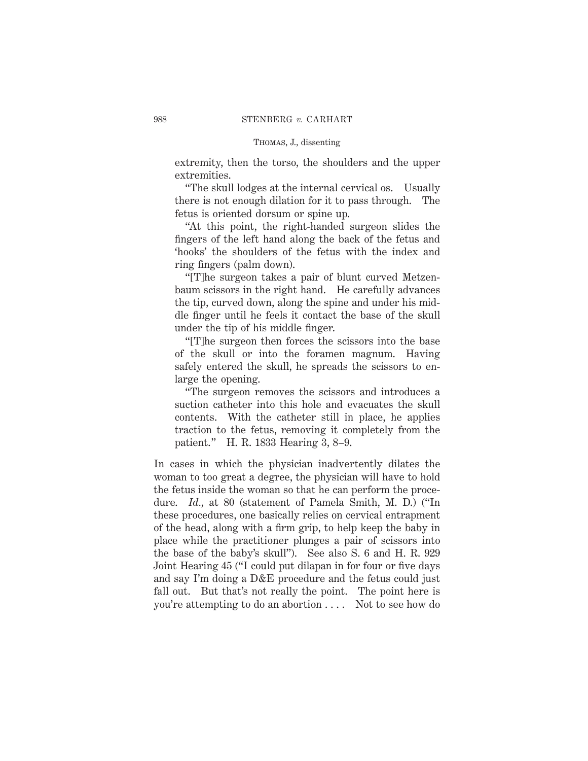extremity, then the torso, the shoulders and the upper extremities.

"The skull lodges at the internal cervical os. Usually there is not enough dilation for it to pass through. The fetus is oriented dorsum or spine up.

"At this point, the right-handed surgeon slides the fingers of the left hand along the back of the fetus and 'hooks' the shoulders of the fetus with the index and ring fingers (palm down).

"[T]he surgeon takes a pair of blunt curved Metzenbaum scissors in the right hand. He carefully advances the tip, curved down, along the spine and under his middle finger until he feels it contact the base of the skull under the tip of his middle finger.

"[T]he surgeon then forces the scissors into the base of the skull or into the foramen magnum. Having safely entered the skull, he spreads the scissors to enlarge the opening.

"The surgeon removes the scissors and introduces a suction catheter into this hole and evacuates the skull contents. With the catheter still in place, he applies traction to the fetus, removing it completely from the patient." H. R. 1833 Hearing 3, 8–9.

In cases in which the physician inadvertently dilates the woman to too great a degree, the physician will have to hold the fetus inside the woman so that he can perform the procedure. *Id.,* at 80 (statement of Pamela Smith, M. D.) ("In these procedures, one basically relies on cervical entrapment of the head, along with a firm grip, to help keep the baby in place while the practitioner plunges a pair of scissors into the base of the baby's skull"). See also S. 6 and H. R. 929 Joint Hearing 45 ("I could put dilapan in for four or five days and say I'm doing a D&E procedure and the fetus could just fall out. But that's not really the point. The point here is you're attempting to do an abortion . . . . Not to see how do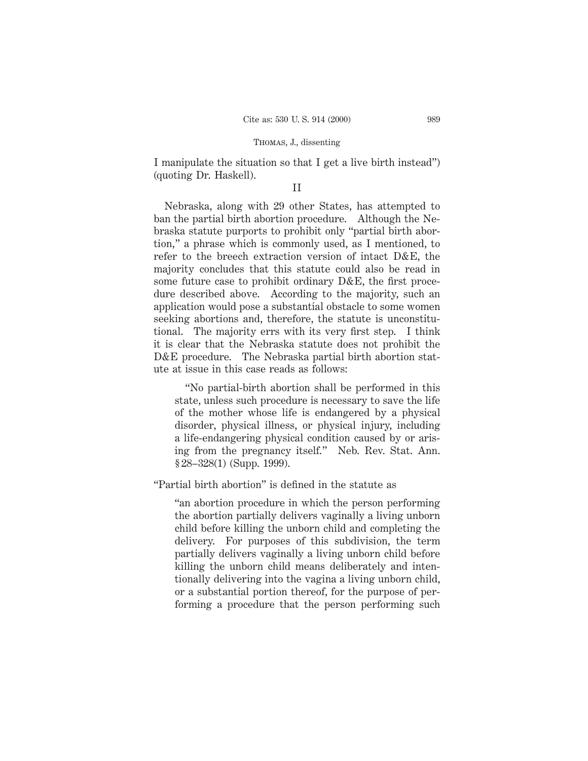I manipulate the situation so that I get a live birth instead") (quoting Dr. Haskell).

#### II

Nebraska, along with 29 other States, has attempted to ban the partial birth abortion procedure. Although the Nebraska statute purports to prohibit only "partial birth abortion," a phrase which is commonly used, as I mentioned, to refer to the breech extraction version of intact D&E, the majority concludes that this statute could also be read in some future case to prohibit ordinary D&E, the first procedure described above. According to the majority, such an application would pose a substantial obstacle to some women seeking abortions and, therefore, the statute is unconstitutional. The majority errs with its very first step. I think it is clear that the Nebraska statute does not prohibit the D&E procedure. The Nebraska partial birth abortion statute at issue in this case reads as follows:

"No partial-birth abortion shall be performed in this state, unless such procedure is necessary to save the life of the mother whose life is endangered by a physical disorder, physical illness, or physical injury, including a life-endangering physical condition caused by or arising from the pregnancy itself." Neb. Rev. Stat. Ann. § 28–328(1) (Supp. 1999).

"Partial birth abortion" is defined in the statute as

"an abortion procedure in which the person performing the abortion partially delivers vaginally a living unborn child before killing the unborn child and completing the delivery. For purposes of this subdivision, the term partially delivers vaginally a living unborn child before killing the unborn child means deliberately and intentionally delivering into the vagina a living unborn child, or a substantial portion thereof, for the purpose of performing a procedure that the person performing such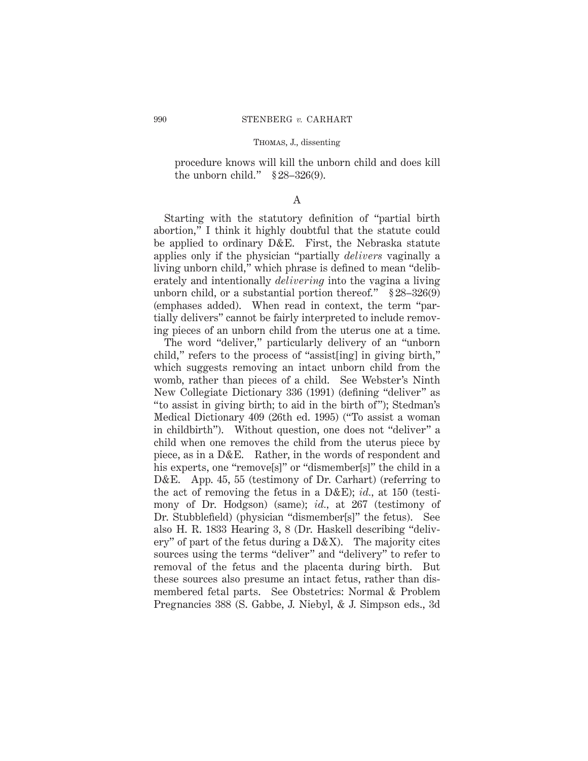procedure knows will kill the unborn child and does kill the unborn child."  $§ 28-326(9)$ .

# A

Starting with the statutory definition of "partial birth abortion," I think it highly doubtful that the statute could be applied to ordinary D&E. First, the Nebraska statute applies only if the physician "partially *delivers* vaginally a living unborn child," which phrase is defined to mean "deliberately and intentionally *delivering* into the vagina a living unborn child, or a substantial portion thereof." § 28–326(9) (emphases added). When read in context, the term "partially delivers" cannot be fairly interpreted to include removing pieces of an unborn child from the uterus one at a time.

The word "deliver," particularly delivery of an "unborn child," refers to the process of "assist[ing] in giving birth," which suggests removing an intact unborn child from the womb, rather than pieces of a child. See Webster's Ninth New Collegiate Dictionary 336 (1991) (defining "deliver" as "to assist in giving birth; to aid in the birth of"); Stedman's Medical Dictionary 409 (26th ed. 1995) ("To assist a woman in childbirth"). Without question, one does not "deliver" a child when one removes the child from the uterus piece by piece, as in a D&E. Rather, in the words of respondent and his experts, one "remove<sup>[s]"</sup> or "dismember<sup>[s]"</sup> the child in a D&E. App. 45, 55 (testimony of Dr. Carhart) (referring to the act of removing the fetus in a D&E); *id.,* at 150 (testimony of Dr. Hodgson) (same); *id.,* at 267 (testimony of Dr. Stubblefield) (physician "dismember[s]" the fetus). See also H. R. 1833 Hearing 3, 8 (Dr. Haskell describing "delivery" of part of the fetus during a  $D\&X$ ). The majority cites sources using the terms "deliver" and "delivery" to refer to removal of the fetus and the placenta during birth. But these sources also presume an intact fetus, rather than dismembered fetal parts. See Obstetrics: Normal & Problem Pregnancies 388 (S. Gabbe, J. Niebyl, & J. Simpson eds., 3d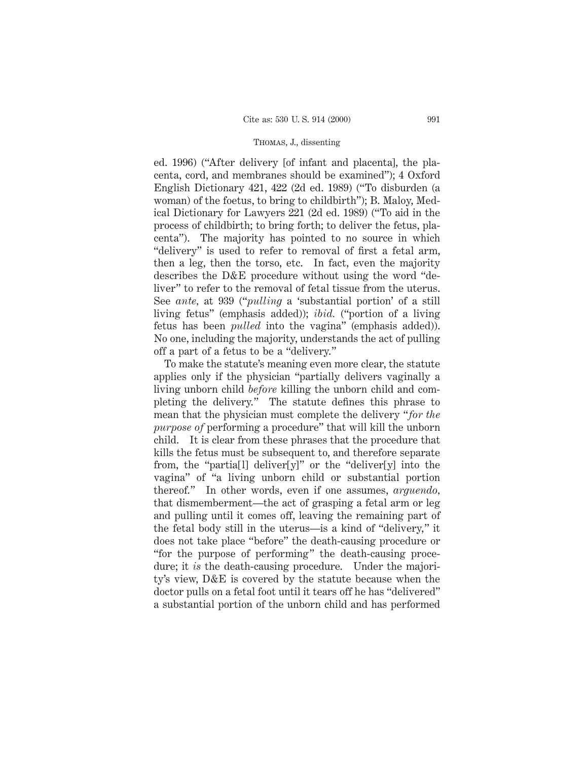ed. 1996) ("After delivery [of infant and placenta], the placenta, cord, and membranes should be examined"); 4 Oxford English Dictionary 421, 422 (2d ed. 1989) ("To disburden (a woman) of the foetus, to bring to childbirth"); B. Maloy, Medical Dictionary for Lawyers 221 (2d ed. 1989) ("To aid in the process of childbirth; to bring forth; to deliver the fetus, placenta"). The majority has pointed to no source in which "delivery" is used to refer to removal of first a fetal arm, then a leg, then the torso, etc. In fact, even the majority describes the D&E procedure without using the word "deliver" to refer to the removal of fetal tissue from the uterus. See *ante,* at 939 ("*pulling* a 'substantial portion' of a still living fetus" (emphasis added)); *ibid.* ("portion of a living fetus has been *pulled* into the vagina" (emphasis added)). No one, including the majority, understands the act of pulling off a part of a fetus to be a "delivery."

To make the statute's meaning even more clear, the statute applies only if the physician "partially delivers vaginally a living unborn child *before* killing the unborn child and completing the delivery." The statute defines this phrase to mean that the physician must complete the delivery "*for the purpose of* performing a procedure" that will kill the unborn child. It is clear from these phrases that the procedure that kills the fetus must be subsequent to, and therefore separate from, the "partia[l] deliver[y]" or the "deliver[y] into the vagina" of "a living unborn child or substantial portion thereof." In other words, even if one assumes, *arguendo,* that dismemberment—the act of grasping a fetal arm or leg and pulling until it comes off, leaving the remaining part of the fetal body still in the uterus—is a kind of "delivery," it does not take place "before" the death-causing procedure or "for the purpose of performing" the death-causing procedure; it *is* the death-causing procedure. Under the majority's view, D&E is covered by the statute because when the doctor pulls on a fetal foot until it tears off he has "delivered" a substantial portion of the unborn child and has performed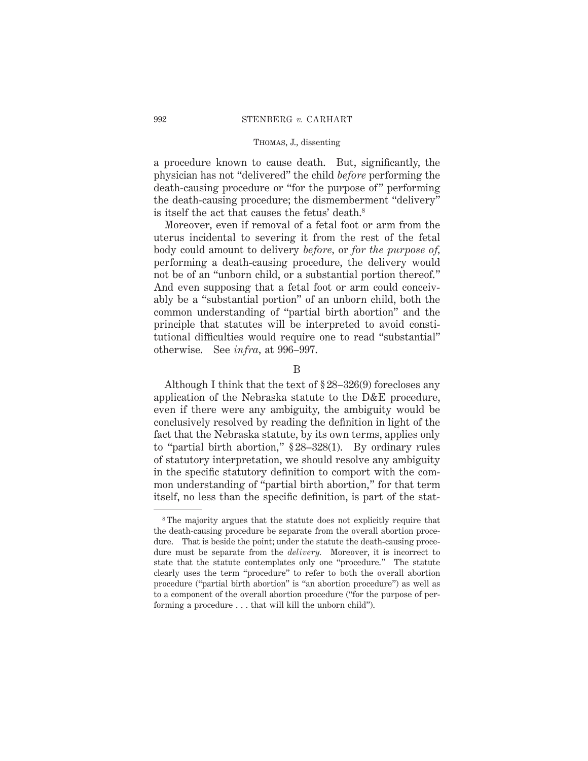a procedure known to cause death. But, significantly, the physician has not "delivered" the child *before* performing the death-causing procedure or "for the purpose of" performing the death-causing procedure; the dismemberment "delivery" is itself the act that causes the fetus' death.8

Moreover, even if removal of a fetal foot or arm from the uterus incidental to severing it from the rest of the fetal body could amount to delivery *before,* or *for the purpose of,* performing a death-causing procedure, the delivery would not be of an "unborn child, or a substantial portion thereof." And even supposing that a fetal foot or arm could conceivably be a "substantial portion" of an unborn child, both the common understanding of "partial birth abortion" and the principle that statutes will be interpreted to avoid constitutional difficulties would require one to read "substantial" otherwise. See *infra,* at 996–997.

B

Although I think that the text of § 28–326(9) forecloses any application of the Nebraska statute to the D&E procedure, even if there were any ambiguity, the ambiguity would be conclusively resolved by reading the definition in light of the fact that the Nebraska statute, by its own terms, applies only to "partial birth abortion," § 28–328(1). By ordinary rules of statutory interpretation, we should resolve any ambiguity in the specific statutory definition to comport with the common understanding of "partial birth abortion," for that term itself, no less than the specific definition, is part of the stat-

<sup>&</sup>lt;sup>8</sup>The majority argues that the statute does not explicitly require that the death-causing procedure be separate from the overall abortion procedure. That is beside the point; under the statute the death-causing procedure must be separate from the *delivery.* Moreover, it is incorrect to state that the statute contemplates only one "procedure." The statute clearly uses the term "procedure" to refer to both the overall abortion procedure ("partial birth abortion" is "an abortion procedure") as well as to a component of the overall abortion procedure ("for the purpose of performing a procedure... that will kill the unborn child").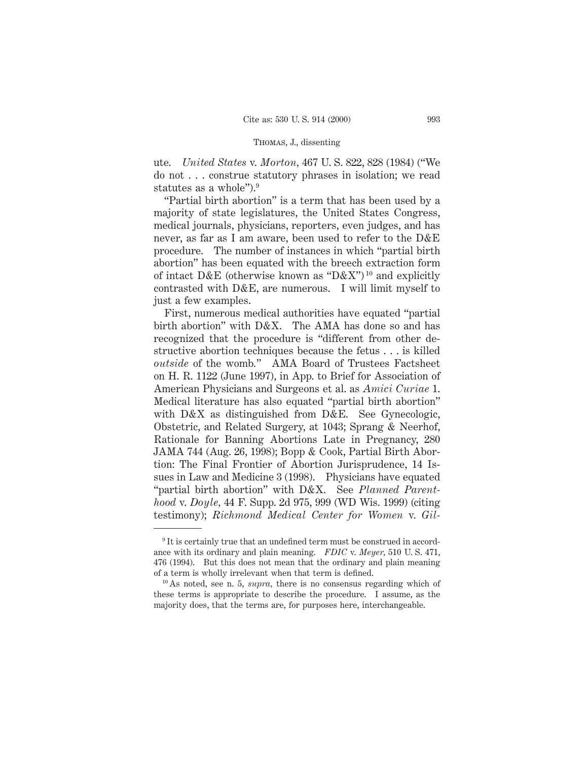ute. *United States* v. *Morton,* 467 U. S. 822, 828 (1984) ("We do not . . . construe statutory phrases in isolation; we read statutes as a whole").9

"Partial birth abortion" is a term that has been used by a majority of state legislatures, the United States Congress, medical journals, physicians, reporters, even judges, and has never, as far as I am aware, been used to refer to the D&E procedure. The number of instances in which "partial birth abortion" has been equated with the breech extraction form of intact D&E (otherwise known as "D&X")<sup>10</sup> and explicitly contrasted with D&E, are numerous. I will limit myself to just a few examples.

First, numerous medical authorities have equated "partial birth abortion" with D&X. The AMA has done so and has recognized that the procedure is "different from other destructive abortion techniques because the fetus . . . is killed *outside* of the womb." AMA Board of Trustees Factsheet on H. R. 1122 (June 1997), in App. to Brief for Association of American Physicians and Surgeons et al. as *Amici Curiae* 1. Medical literature has also equated "partial birth abortion" with  $D&X$  as distinguished from  $D&E$ . See Gynecologic, Obstetric, and Related Surgery, at 1043; Sprang & Neerhof, Rationale for Banning Abortions Late in Pregnancy, 280 JAMA 744 (Aug. 26, 1998); Bopp & Cook, Partial Birth Abortion: The Final Frontier of Abortion Jurisprudence, 14 Issues in Law and Medicine 3 (1998). Physicians have equated "partial birth abortion" with D&X. See *Planned Parenthood* v. *Doyle,* 44 F. Supp. 2d 975, 999 (WD Wis. 1999) (citing testimony); *Richmond Medical Center for Women* v. *Gil-*

<sup>9</sup> It is certainly true that an undefined term must be construed in accordance with its ordinary and plain meaning. *FDIC* v. *Meyer,* 510 U. S. 471, 476 (1994). But this does not mean that the ordinary and plain meaning of a term is wholly irrelevant when that term is defined.

<sup>10</sup> As noted, see n. 5, *supra,* there is no consensus regarding which of these terms is appropriate to describe the procedure. I assume, as the majority does, that the terms are, for purposes here, interchangeable.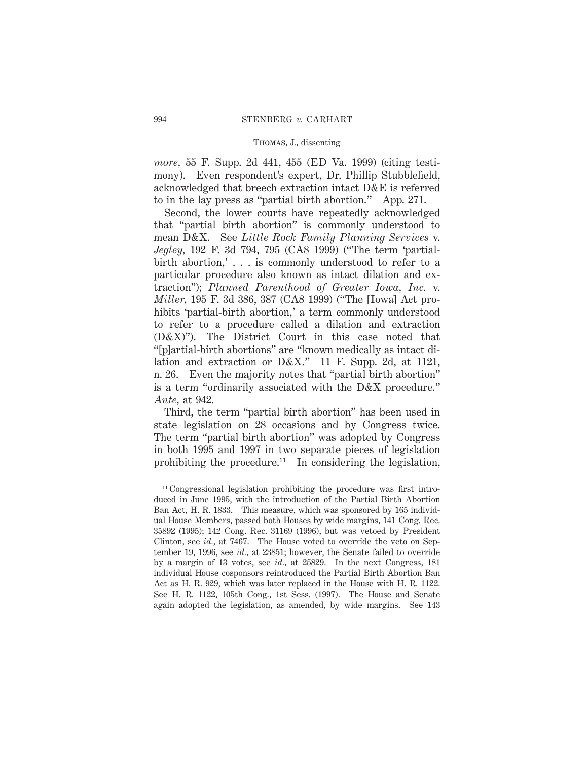*more,* 55 F. Supp. 2d 441, 455 (ED Va. 1999) (citing testimony). Even respondent's expert, Dr. Phillip Stubblefield, acknowledged that breech extraction intact D&E is referred to in the lay press as "partial birth abortion." App. 271.

Second, the lower courts have repeatedly acknowledged that "partial birth abortion" is commonly understood to mean D&X. See *Little Rock Family Planning Services* v. *Jegley,* 192 F. 3d 794, 795 (CA8 1999) ("The term 'partialbirth abortion,' . . . is commonly understood to refer to a particular procedure also known as intact dilation and extraction"); *Planned Parenthood of Greater Iowa, Inc.* v. *Miller,* 195 F. 3d 386, 387 (CA8 1999) ("The [Iowa] Act prohibits 'partial-birth abortion,' a term commonly understood to refer to a procedure called a dilation and extraction (D&X)"). The District Court in this case noted that "[p]artial-birth abortions" are "known medically as intact dilation and extraction or D&X." 11 F. Supp. 2d, at 1121, n. 26. Even the majority notes that "partial birth abortion" is a term "ordinarily associated with the D&X procedure." *Ante,* at 942.

Third, the term "partial birth abortion" has been used in state legislation on 28 occasions and by Congress twice. The term "partial birth abortion" was adopted by Congress in both 1995 and 1997 in two separate pieces of legislation prohibiting the procedure.<sup>11</sup> In considering the legislation,

<sup>11</sup> Congressional legislation prohibiting the procedure was first introduced in June 1995, with the introduction of the Partial Birth Abortion Ban Act, H. R. 1833. This measure, which was sponsored by 165 individual House Members, passed both Houses by wide margins, 141 Cong. Rec. 35892 (1995); 142 Cong. Rec. 31169 (1996), but was vetoed by President Clinton, see *id.,* at 7467. The House voted to override the veto on September 19, 1996, see *id.,* at 23851; however, the Senate failed to override by a margin of 13 votes, see *id.,* at 25829. In the next Congress, 181 individual House cosponsors reintroduced the Partial Birth Abortion Ban Act as H. R. 929, which was later replaced in the House with H. R. 1122. See H. R. 1122, 105th Cong., 1st Sess. (1997). The House and Senate again adopted the legislation, as amended, by wide margins. See 143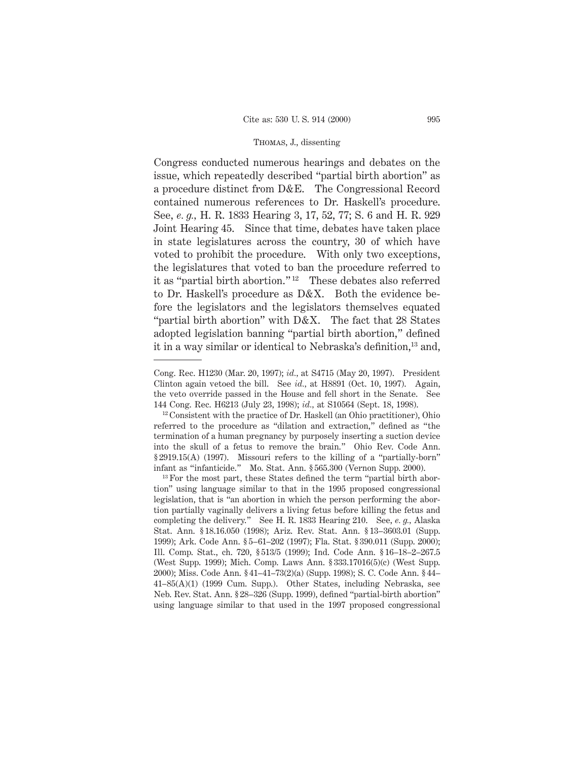Congress conducted numerous hearings and debates on the issue, which repeatedly described "partial birth abortion" as a procedure distinct from D&E. The Congressional Record contained numerous references to Dr. Haskell's procedure. See, *e. g.,* H. R. 1833 Hearing 3, 17, 52, 77; S. 6 and H. R. 929 Joint Hearing 45. Since that time, debates have taken place in state legislatures across the country, 30 of which have voted to prohibit the procedure. With only two exceptions, the legislatures that voted to ban the procedure referred to it as "partial birth abortion." <sup>12</sup> These debates also referred to Dr. Haskell's procedure as D&X. Both the evidence before the legislators and the legislators themselves equated "partial birth abortion" with D&X. The fact that 28 States adopted legislation banning "partial birth abortion," defined it in a way similar or identical to Nebraska's definition,<sup>13</sup> and,

Cong. Rec. H1230 (Mar. 20, 1997); *id.,* at S4715 (May 20, 1997). President Clinton again vetoed the bill. See *id.,* at H8891 (Oct. 10, 1997). Again, the veto override passed in the House and fell short in the Senate. See 144 Cong. Rec. H6213 (July 23, 1998); *id.,* at S10564 (Sept. 18, 1998).

<sup>12</sup> Consistent with the practice of Dr. Haskell (an Ohio practitioner), Ohio referred to the procedure as "dilation and extraction," defined as "the termination of a human pregnancy by purposely inserting a suction device into the skull of a fetus to remove the brain." Ohio Rev. Code Ann. § 2919.15(A) (1997). Missouri refers to the killing of a "partially-born" infant as "infanticide." Mo. Stat. Ann. § 565.300 (Vernon Supp. 2000).

<sup>&</sup>lt;sup>13</sup> For the most part, these States defined the term "partial birth abortion" using language similar to that in the 1995 proposed congressional legislation, that is "an abortion in which the person performing the abortion partially vaginally delivers a living fetus before killing the fetus and completing the delivery." See H. R. 1833 Hearing 210. See, *e. g.,* Alaska Stat. Ann. § 18.16.050 (1998); Ariz. Rev. Stat. Ann. § 13–3603.01 (Supp. 1999); Ark. Code Ann. § 5–61–202 (1997); Fla. Stat. § 390.011 (Supp. 2000); Ill. Comp. Stat., ch. 720, § 513/5 (1999); Ind. Code Ann. § 16–18–2–267.5 (West Supp. 1999); Mich. Comp. Laws Ann. § 333.17016(5)(c) (West Supp. 2000); Miss. Code Ann. § 41–41–73(2)(a) (Supp. 1998); S. C. Code Ann. § 44– 41–85(A)(1) (1999 Cum. Supp.). Other States, including Nebraska, see Neb. Rev. Stat. Ann. § 28–326 (Supp. 1999), defined "partial-birth abortion" using language similar to that used in the 1997 proposed congressional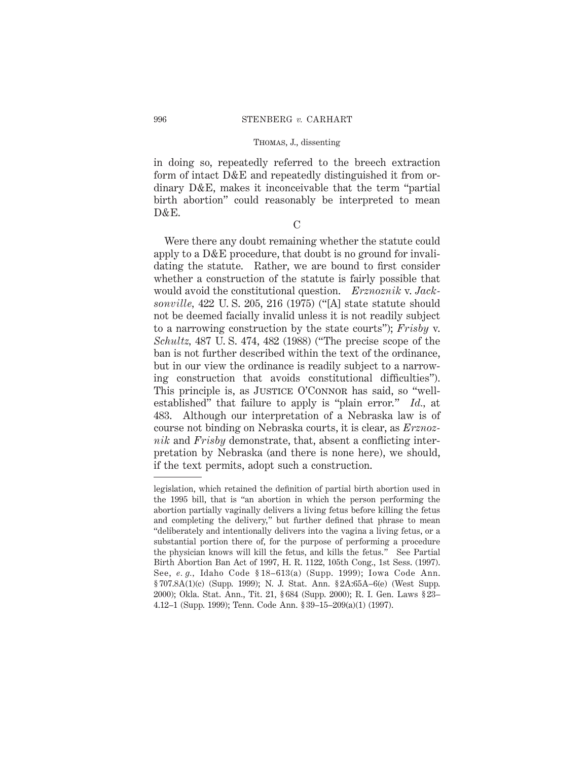in doing so, repeatedly referred to the breech extraction form of intact D&E and repeatedly distinguished it from ordinary D&E, makes it inconceivable that the term "partial birth abortion" could reasonably be interpreted to mean D&E.

 $\mathcal{C}$ 

Were there any doubt remaining whether the statute could apply to a D&E procedure, that doubt is no ground for invalidating the statute. Rather, we are bound to first consider whether a construction of the statute is fairly possible that would avoid the constitutional question. *Erznoznik* v. *Jacksonville,* 422 U. S. 205, 216 (1975) ("[A] state statute should not be deemed facially invalid unless it is not readily subject to a narrowing construction by the state courts"); *Frisby* v. *Schultz,* 487 U. S. 474, 482 (1988) ("The precise scope of the ban is not further described within the text of the ordinance, but in our view the ordinance is readily subject to a narrowing construction that avoids constitutional difficulties"). This principle is, as JUSTICE O'CONNOR has said, so "wellestablished" that failure to apply is "plain error." *Id.,* at 483. Although our interpretation of a Nebraska law is of course not binding on Nebraska courts, it is clear, as *Erznoznik* and *Frisby* demonstrate, that, absent a conflicting interpretation by Nebraska (and there is none here), we should, if the text permits, adopt such a construction.

legislation, which retained the definition of partial birth abortion used in the 1995 bill, that is "an abortion in which the person performing the abortion partially vaginally delivers a living fetus before killing the fetus and completing the delivery," but further defined that phrase to mean "deliberately and intentionally delivers into the vagina a living fetus, or a substantial portion there of, for the purpose of performing a procedure the physician knows will kill the fetus, and kills the fetus." See Partial Birth Abortion Ban Act of 1997, H. R. 1122, 105th Cong., 1st Sess. (1997). See, *e. g.,* Idaho Code § 18–613(a) (Supp. 1999); Iowa Code Ann. § 707.8A(1)(c) (Supp. 1999); N. J. Stat. Ann. § 2A:65A–6(e) (West Supp. 2000); Okla. Stat. Ann., Tit. 21, § 684 (Supp. 2000); R. I. Gen. Laws § 23– 4.12–1 (Supp. 1999); Tenn. Code Ann. § 39–15–209(a)(1) (1997).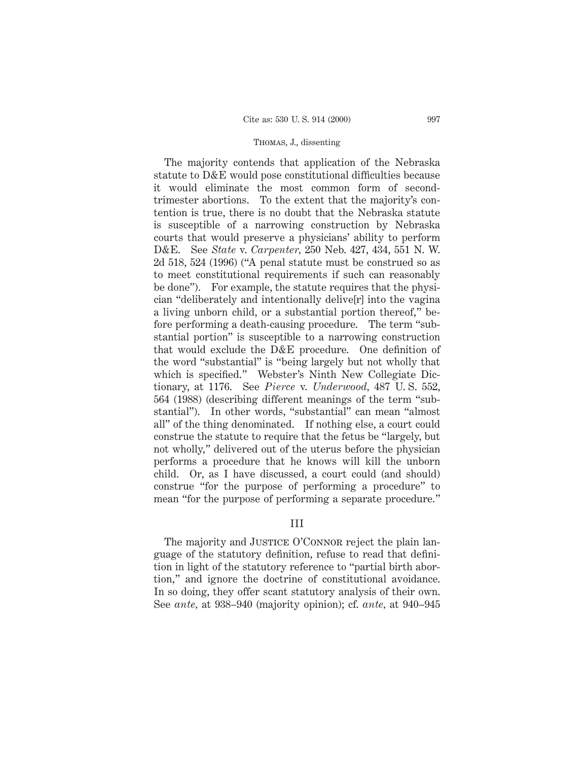The majority contends that application of the Nebraska statute to D&E would pose constitutional difficulties because it would eliminate the most common form of secondtrimester abortions. To the extent that the majority's contention is true, there is no doubt that the Nebraska statute is susceptible of a narrowing construction by Nebraska courts that would preserve a physicians' ability to perform D&E. See *State* v. *Carpenter,* 250 Neb. 427, 434, 551 N. W. 2d 518, 524 (1996) ("A penal statute must be construed so as to meet constitutional requirements if such can reasonably be done"). For example, the statute requires that the physician "deliberately and intentionally delive[r] into the vagina a living unborn child, or a substantial portion thereof," before performing a death-causing procedure. The term "substantial portion" is susceptible to a narrowing construction that would exclude the D&E procedure. One definition of the word "substantial" is "being largely but not wholly that which is specified." Webster's Ninth New Collegiate Dictionary, at 1176. See *Pierce* v. *Underwood,* 487 U. S. 552, 564 (1988) (describing different meanings of the term "substantial"). In other words, "substantial" can mean "almost all" of the thing denominated. If nothing else, a court could construe the statute to require that the fetus be "largely, but not wholly," delivered out of the uterus before the physician performs a procedure that he knows will kill the unborn child. Or, as I have discussed, a court could (and should) construe "for the purpose of performing a procedure" to mean "for the purpose of performing a separate procedure."

#### III

The majority and JUSTICE O'CONNOR reject the plain language of the statutory definition, refuse to read that definition in light of the statutory reference to "partial birth abortion," and ignore the doctrine of constitutional avoidance. In so doing, they offer scant statutory analysis of their own. See *ante,* at 938–940 (majority opinion); cf. *ante,* at 940–945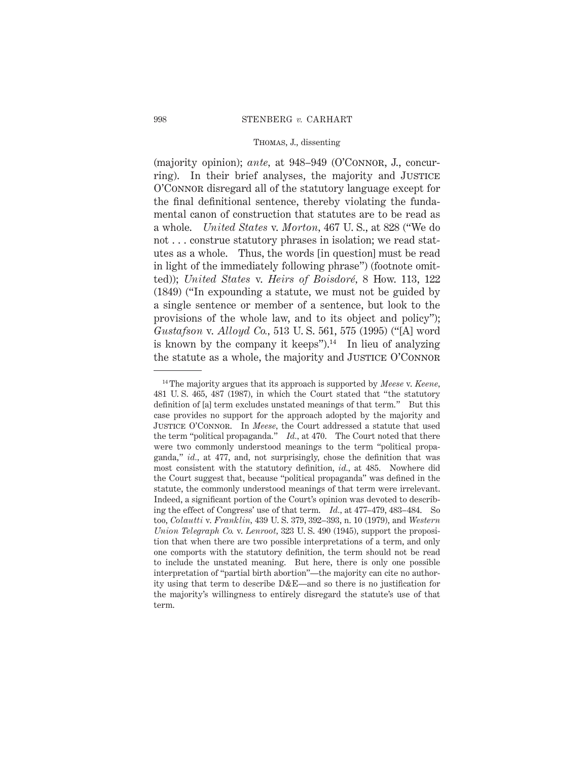(majority opinion); *ante,* at 948–949 (O'Connor, J., concurring). In their brief analyses, the majority and JUSTICE O'Connor disregard all of the statutory language except for the final definitional sentence, thereby violating the fundamental canon of construction that statutes are to be read as a whole. *United States* v. *Morton,* 467 U. S., at 828 ("We do not . . . construe statutory phrases in isolation; we read statutes as a whole. Thus, the words [in question] must be read in light of the immediately following phrase") (footnote omitted)); *United States* v. *Heirs of Boisdoré*, 8 How. 113, 122 (1849) ("In expounding a statute, we must not be guided by a single sentence or member of a sentence, but look to the provisions of the whole law, and to its object and policy"); *Gustafson* v. *Alloyd Co.,* 513 U. S. 561, 575 (1995) ("[A] word is known by the company it keeps"). $^{14}$  In lieu of analyzing the statute as a whole, the majority and JUSTICE O'CONNOR

<sup>14</sup> The majority argues that its approach is supported by *Meese* v. *Keene,* 481 U. S. 465, 487 (1987), in which the Court stated that "the statutory definition of [a] term excludes unstated meanings of that term." But this case provides no support for the approach adopted by the majority and Justice O'Connor. In *Meese,* the Court addressed a statute that used the term "political propaganda." *Id.,* at 470. The Court noted that there were two commonly understood meanings to the term "political propaganda," *id.,* at 477, and, not surprisingly, chose the definition that was most consistent with the statutory definition, *id.,* at 485. Nowhere did the Court suggest that, because "political propaganda" was defined in the statute, the commonly understood meanings of that term were irrelevant. Indeed, a significant portion of the Court's opinion was devoted to describing the effect of Congress' use of that term. *Id.,* at 477–479, 483–484. So too, *Colautti* v. *Franklin,* 439 U. S. 379, 392–393, n. 10 (1979), and *Western Union Telegraph Co.* v. *Lenroot,* 323 U. S. 490 (1945), support the proposition that when there are two possible interpretations of a term, and only one comports with the statutory definition, the term should not be read to include the unstated meaning. But here, there is only one possible interpretation of "partial birth abortion"—the majority can cite no authority using that term to describe D&E—and so there is no justification for the majority's willingness to entirely disregard the statute's use of that term.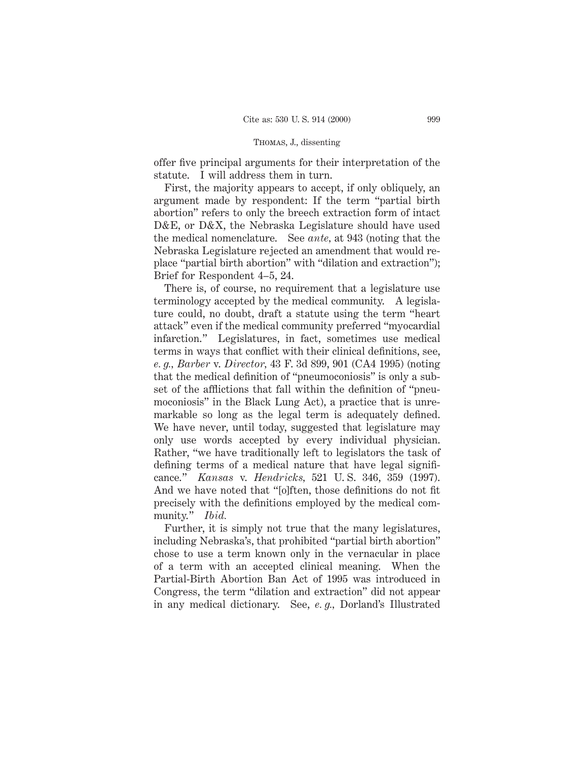offer five principal arguments for their interpretation of the statute. I will address them in turn.

First, the majority appears to accept, if only obliquely, an argument made by respondent: If the term "partial birth abortion" refers to only the breech extraction form of intact D&E, or D&X, the Nebraska Legislature should have used the medical nomenclature. See *ante,* at 943 (noting that the Nebraska Legislature rejected an amendment that would replace "partial birth abortion" with "dilation and extraction"); Brief for Respondent 4–5, 24.

There is, of course, no requirement that a legislature use terminology accepted by the medical community. A legislature could, no doubt, draft a statute using the term "heart attack" even if the medical community preferred "myocardial infarction." Legislatures, in fact, sometimes use medical terms in ways that conflict with their clinical definitions, see, *e. g., Barber* v. *Director,* 43 F. 3d 899, 901 (CA4 1995) (noting that the medical definition of "pneumoconiosis" is only a subset of the afflictions that fall within the definition of "pneumoconiosis" in the Black Lung Act), a practice that is unremarkable so long as the legal term is adequately defined. We have never, until today, suggested that legislature may only use words accepted by every individual physician. Rather, "we have traditionally left to legislators the task of defining terms of a medical nature that have legal significance." *Kansas* v. *Hendricks,* 521 U. S. 346, 359 (1997). And we have noted that "[o]ften, those definitions do not fit precisely with the definitions employed by the medical community." *Ibid.*

Further, it is simply not true that the many legislatures, including Nebraska's, that prohibited "partial birth abortion" chose to use a term known only in the vernacular in place of a term with an accepted clinical meaning. When the Partial-Birth Abortion Ban Act of 1995 was introduced in Congress, the term "dilation and extraction" did not appear in any medical dictionary. See, *e. g.,* Dorland's Illustrated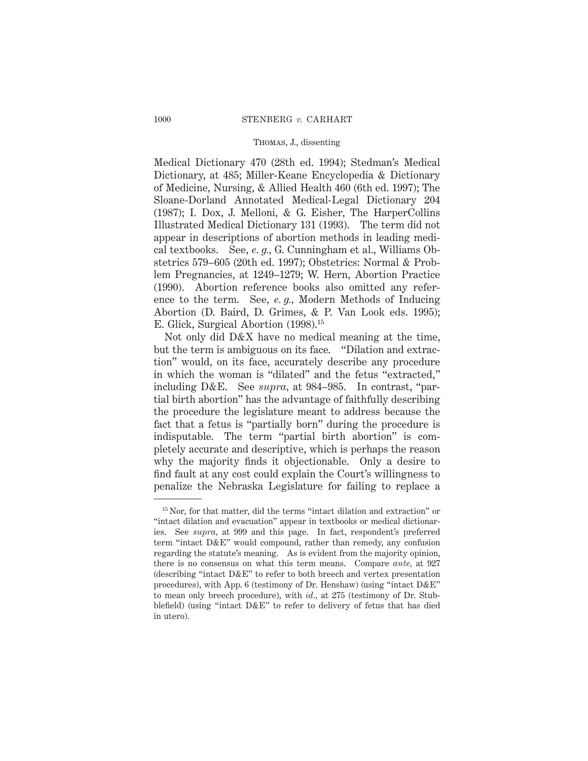Medical Dictionary 470 (28th ed. 1994); Stedman's Medical Dictionary, at 485; Miller-Keane Encyclopedia & Dictionary of Medicine, Nursing, & Allied Health 460 (6th ed. 1997); The Sloane-Dorland Annotated Medical-Legal Dictionary 204 (1987); I. Dox, J. Melloni, & G. Eisher, The HarperCollins Illustrated Medical Dictionary 131 (1993). The term did not appear in descriptions of abortion methods in leading medical textbooks. See, *e. g.,* G. Cunningham et al., Williams Obstetrics 579–605 (20th ed. 1997); Obstetrics: Normal & Problem Pregnancies, at 1249–1279; W. Hern, Abortion Practice (1990). Abortion reference books also omitted any reference to the term. See, *e. g.,* Modern Methods of Inducing Abortion (D. Baird, D. Grimes, & P. Van Look eds. 1995); E. Glick, Surgical Abortion (1998).<sup>15</sup>

Not only did D&X have no medical meaning at the time, but the term is ambiguous on its face. "Dilation and extraction" would, on its face, accurately describe any procedure in which the woman is "dilated" and the fetus "extracted," including D&E. See *supra,* at 984–985. In contrast, "partial birth abortion" has the advantage of faithfully describing the procedure the legislature meant to address because the fact that a fetus is "partially born" during the procedure is indisputable. The term "partial birth abortion" is completely accurate and descriptive, which is perhaps the reason why the majority finds it objectionable. Only a desire to find fault at any cost could explain the Court's willingness to penalize the Nebraska Legislature for failing to replace a

<sup>15</sup> Nor, for that matter, did the terms "intact dilation and extraction" or "intact dilation and evacuation" appear in textbooks or medical dictionaries. See *supra,* at 999 and this page. In fact, respondent's preferred term "intact D&E" would compound, rather than remedy, any confusion regarding the statute's meaning. As is evident from the majority opinion, there is no consensus on what this term means. Compare *ante,* at 927 (describing "intact D&E" to refer to both breech and vertex presentation procedures), with App. 6 (testimony of Dr. Henshaw) (using "intact D&E" to mean only breech procedure), with *id.,* at 275 (testimony of Dr. Stubblefield) (using "intact D&E" to refer to delivery of fetus that has died in utero).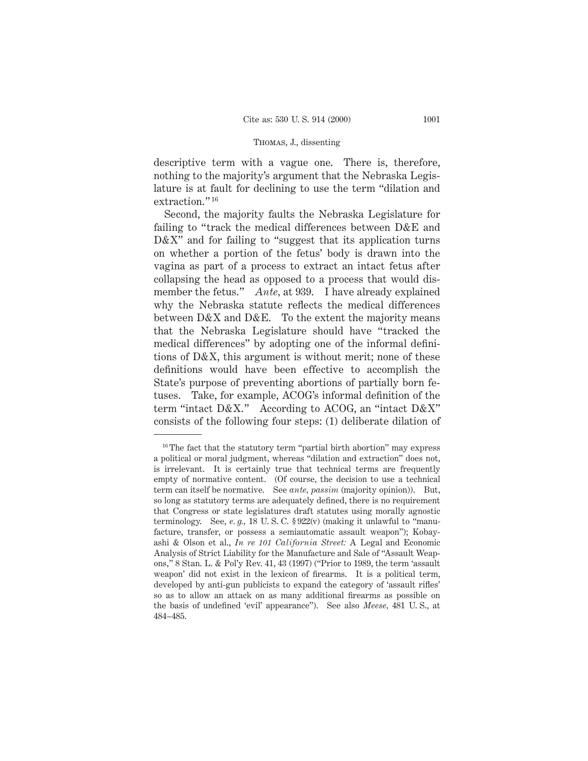descriptive term with a vague one. There is, therefore, nothing to the majority's argument that the Nebraska Legislature is at fault for declining to use the term "dilation and extraction."<sup>16</sup>

Second, the majority faults the Nebraska Legislature for failing to "track the medical differences between D&E and D&X" and for failing to "suggest that its application turns on whether a portion of the fetus' body is drawn into the vagina as part of a process to extract an intact fetus after collapsing the head as opposed to a process that would dismember the fetus." *Ante,* at 939. I have already explained why the Nebraska statute reflects the medical differences between  $D&X$  and  $D&E$ . To the extent the majority means that the Nebraska Legislature should have "tracked the medical differences" by adopting one of the informal definitions of D&X, this argument is without merit; none of these definitions would have been effective to accomplish the State's purpose of preventing abortions of partially born fetuses. Take, for example, ACOG's informal definition of the term "intact D&X." According to ACOG, an "intact D&X" consists of the following four steps: (1) deliberate dilation of

<sup>&</sup>lt;sup>16</sup> The fact that the statutory term "partial birth abortion" may express a political or moral judgment, whereas "dilation and extraction" does not, is irrelevant. It is certainly true that technical terms are frequently empty of normative content. (Of course, the decision to use a technical term can itself be normative. See *ante, passim* (majority opinion)). But, so long as statutory terms are adequately defined, there is no requirement that Congress or state legislatures draft statutes using morally agnostic terminology. See, *e. g.,* 18 U. S. C. § 922(v) (making it unlawful to "manufacture, transfer, or possess a semiautomatic assault weapon"); Kobayashi & Olson et al., *In re 101 California Street:* A Legal and Economic Analysis of Strict Liability for the Manufacture and Sale of "Assault Weapons," 8 Stan. L. & Pol'y Rev. 41, 43 (1997) ("Prior to 1989, the term 'assault weapon' did not exist in the lexicon of firearms. It is a political term, developed by anti-gun publicists to expand the category of 'assault rifles' so as to allow an attack on as many additional firearms as possible on the basis of undefined 'evil' appearance"). See also *Meese,* 481 U. S., at 484–485.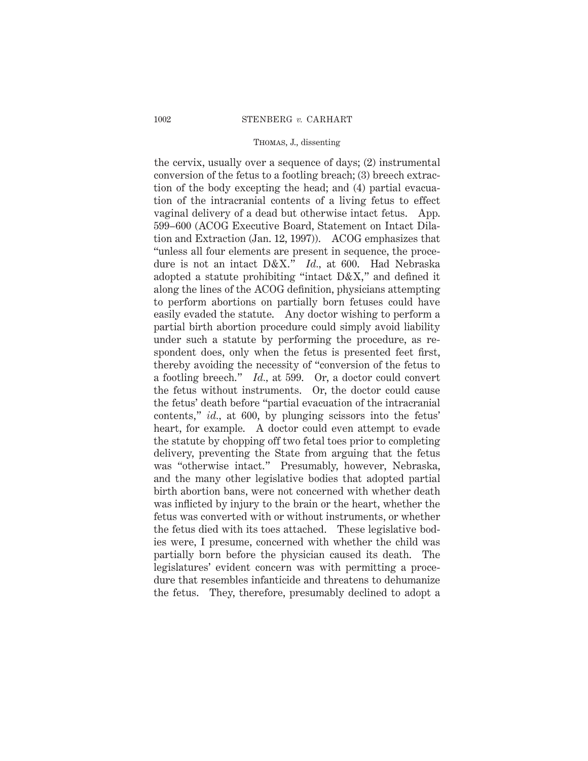the cervix, usually over a sequence of days; (2) instrumental conversion of the fetus to a footling breach; (3) breech extraction of the body excepting the head; and (4) partial evacuation of the intracranial contents of a living fetus to effect vaginal delivery of a dead but otherwise intact fetus. App. 599–600 (ACOG Executive Board, Statement on Intact Dilation and Extraction (Jan. 12, 1997)). ACOG emphasizes that "unless all four elements are present in sequence, the procedure is not an intact D&X." *Id.,* at 600. Had Nebraska adopted a statute prohibiting "intact D&X," and defined it along the lines of the ACOG definition, physicians attempting to perform abortions on partially born fetuses could have easily evaded the statute. Any doctor wishing to perform a partial birth abortion procedure could simply avoid liability under such a statute by performing the procedure, as respondent does, only when the fetus is presented feet first, thereby avoiding the necessity of "conversion of the fetus to a footling breech." *Id.,* at 599. Or, a doctor could convert the fetus without instruments. Or, the doctor could cause the fetus' death before "partial evacuation of the intracranial contents," *id.,* at 600, by plunging scissors into the fetus' heart, for example. A doctor could even attempt to evade the statute by chopping off two fetal toes prior to completing delivery, preventing the State from arguing that the fetus was "otherwise intact." Presumably, however, Nebraska, and the many other legislative bodies that adopted partial birth abortion bans, were not concerned with whether death was inflicted by injury to the brain or the heart, whether the fetus was converted with or without instruments, or whether the fetus died with its toes attached. These legislative bodies were, I presume, concerned with whether the child was partially born before the physician caused its death. The legislatures' evident concern was with permitting a procedure that resembles infanticide and threatens to dehumanize the fetus. They, therefore, presumably declined to adopt a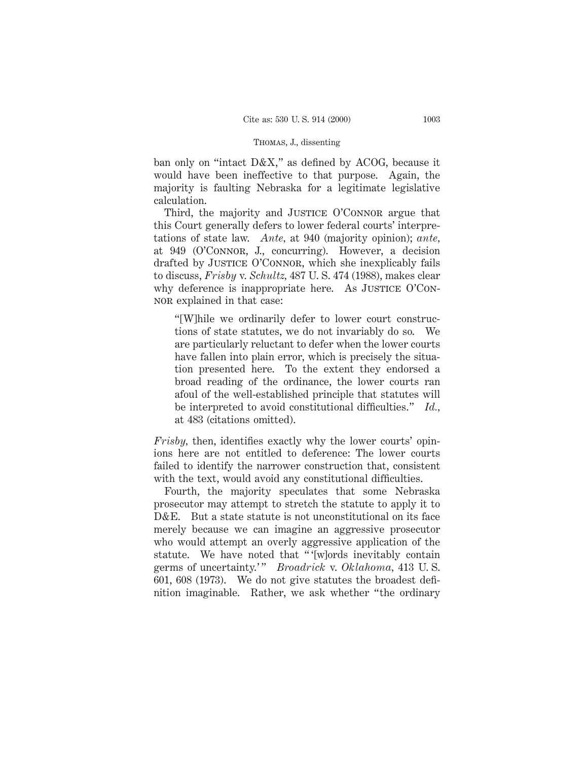ban only on "intact D&X," as defined by ACOG, because it would have been ineffective to that purpose. Again, the majority is faulting Nebraska for a legitimate legislative calculation.

Third, the majority and JUSTICE O'CONNOR argue that this Court generally defers to lower federal courts' interpretations of state law. *Ante,* at 940 (majority opinion); *ante,* at 949 (O'Connor, J., concurring). However, a decision drafted by Justice O'Connor, which she inexplicably fails to discuss, *Frisby* v. *Schultz,* 487 U. S. 474 (1988), makes clear why deference is inappropriate here. As JUSTICE O'CONnor explained in that case:

"[W]hile we ordinarily defer to lower court constructions of state statutes, we do not invariably do so. We are particularly reluctant to defer when the lower courts have fallen into plain error, which is precisely the situation presented here. To the extent they endorsed a broad reading of the ordinance, the lower courts ran afoul of the well-established principle that statutes will be interpreted to avoid constitutional difficulties." *Id.,* at 483 (citations omitted).

*Frisby,* then, identifies exactly why the lower courts' opinions here are not entitled to deference: The lower courts failed to identify the narrower construction that, consistent with the text, would avoid any constitutional difficulties.

Fourth, the majority speculates that some Nebraska prosecutor may attempt to stretch the statute to apply it to D&E. But a state statute is not unconstitutional on its face merely because we can imagine an aggressive prosecutor who would attempt an overly aggressive application of the statute. We have noted that " '[w]ords inevitably contain germs of uncertainty.' " *Broadrick* v. *Oklahoma,* 413 U. S. 601, 608 (1973). We do not give statutes the broadest definition imaginable. Rather, we ask whether "the ordinary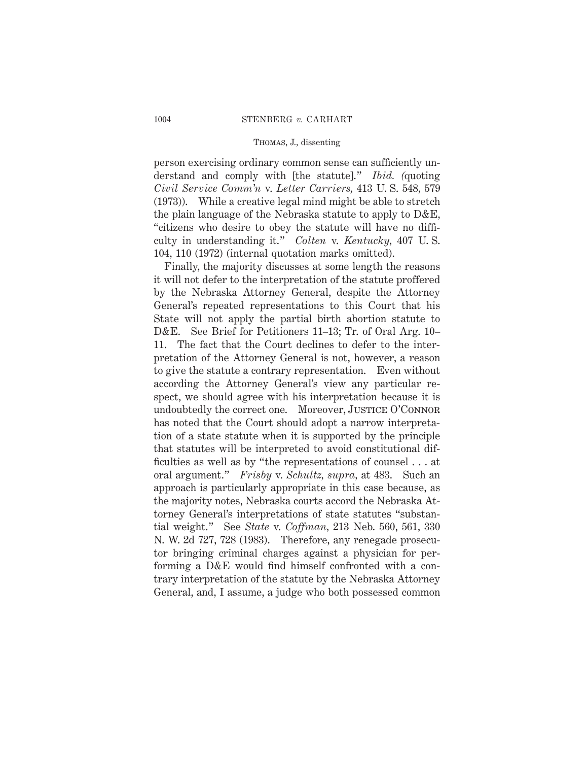person exercising ordinary common sense can sufficiently understand and comply with [the statute]." *Ibid. (*quoting *Civil Service Comm'n* v. *Letter Carriers,* 413 U. S. 548, 579 (1973)). While a creative legal mind might be able to stretch the plain language of the Nebraska statute to apply to D&E, "citizens who desire to obey the statute will have no difficulty in understanding it." *Colten* v. *Kentucky,* 407 U. S. 104, 110 (1972) (internal quotation marks omitted).

Finally, the majority discusses at some length the reasons it will not defer to the interpretation of the statute proffered by the Nebraska Attorney General, despite the Attorney General's repeated representations to this Court that his State will not apply the partial birth abortion statute to D&E. See Brief for Petitioners 11–13; Tr. of Oral Arg. 10– 11. The fact that the Court declines to defer to the interpretation of the Attorney General is not, however, a reason to give the statute a contrary representation. Even without according the Attorney General's view any particular respect, we should agree with his interpretation because it is undoubtedly the correct one. Moreover, JUSTICE O'CONNOR has noted that the Court should adopt a narrow interpretation of a state statute when it is supported by the principle that statutes will be interpreted to avoid constitutional difficulties as well as by "the representations of counsel . . . at oral argument." *Frisby* v. *Schultz, supra,* at 483. Such an approach is particularly appropriate in this case because, as the majority notes, Nebraska courts accord the Nebraska Attorney General's interpretations of state statutes "substantial weight." See *State* v. *Coffman,* 213 Neb. 560, 561, 330 N. W. 2d 727, 728 (1983). Therefore, any renegade prosecutor bringing criminal charges against a physician for performing a D&E would find himself confronted with a contrary interpretation of the statute by the Nebraska Attorney General, and, I assume, a judge who both possessed common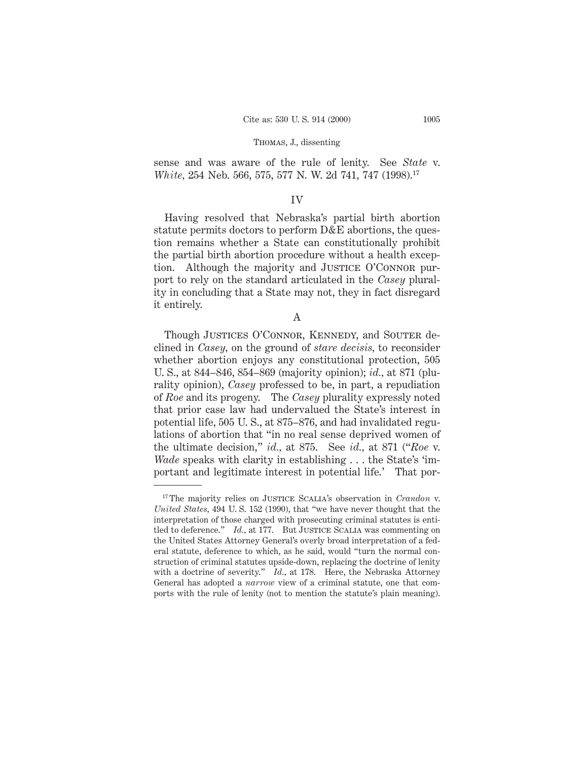sense and was aware of the rule of lenity. See *State* v. *White,* 254 Neb. 566, 575, 577 N. W. 2d 741, 747 (1998).<sup>17</sup>

#### IV

Having resolved that Nebraska's partial birth abortion statute permits doctors to perform D&E abortions, the question remains whether a State can constitutionally prohibit the partial birth abortion procedure without a health exception. Although the majority and JUSTICE O'CONNOR purport to rely on the standard articulated in the *Casey* plurality in concluding that a State may not, they in fact disregard it entirely.

A

Though JUSTICES O'CONNOR, KENNEDY, and SOUTER declined in *Casey,* on the ground of *stare decisis,* to reconsider whether abortion enjoys any constitutional protection, 505 U. S., at 844–846, 854–869 (majority opinion); *id.,* at 871 (plurality opinion), *Casey* professed to be, in part, a repudiation of *Roe* and its progeny. The *Casey* plurality expressly noted that prior case law had undervalued the State's interest in potential life, 505 U. S., at 875–876, and had invalidated regulations of abortion that "in no real sense deprived women of the ultimate decision," *id.,* at 875. See *id.,* at 871 ("*Roe* v. *Wade* speaks with clarity in establishing . . . the State's 'important and legitimate interest in potential life.' That por-

<sup>&</sup>lt;sup>17</sup> The majority relies on JUSTICE SCALIA's observation in *Crandon* v. *United States,* 494 U. S. 152 (1990), that "we have never thought that the interpretation of those charged with prosecuting criminal statutes is entitled to deference." *Id.,* at 177. But Justice Scalia was commenting on the United States Attorney General's overly broad interpretation of a federal statute, deference to which, as he said, would "turn the normal construction of criminal statutes upside-down, replacing the doctrine of lenity with a doctrine of severity." *Id.,* at 178. Here, the Nebraska Attorney General has adopted a *narrow* view of a criminal statute, one that comports with the rule of lenity (not to mention the statute's plain meaning).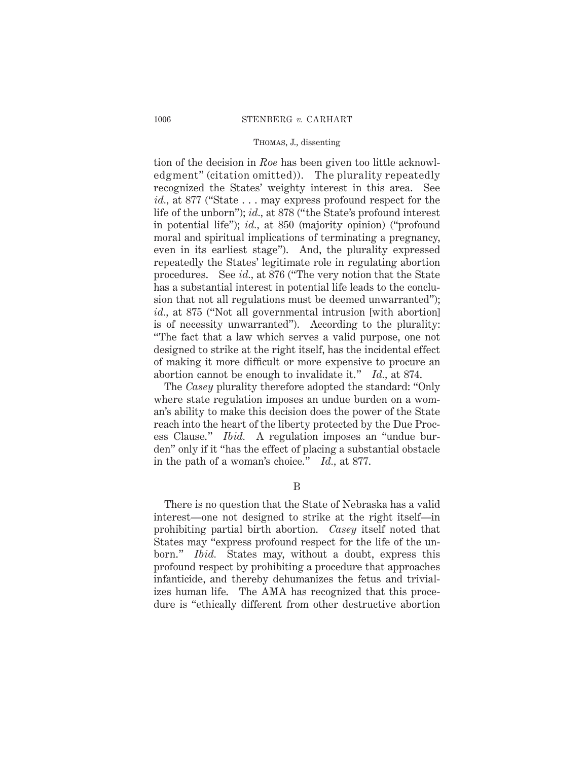tion of the decision in *Roe* has been given too little acknowledgment" (citation omitted)). The plurality repeatedly recognized the States' weighty interest in this area. See *id.,* at 877 ("State . . . may express profound respect for the life of the unborn"); *id.,* at 878 ("the State's profound interest in potential life"); *id.,* at 850 (majority opinion) ("profound moral and spiritual implications of terminating a pregnancy, even in its earliest stage"). And, the plurality expressed repeatedly the States' legitimate role in regulating abortion procedures. See *id.,* at 876 ("The very notion that the State has a substantial interest in potential life leads to the conclusion that not all regulations must be deemed unwarranted"); *id.,* at 875 ("Not all governmental intrusion [with abortion] is of necessity unwarranted"). According to the plurality: "The fact that a law which serves a valid purpose, one not designed to strike at the right itself, has the incidental effect of making it more difficult or more expensive to procure an abortion cannot be enough to invalidate it." *Id.,* at 874.

The *Casey* plurality therefore adopted the standard: "Only where state regulation imposes an undue burden on a woman's ability to make this decision does the power of the State reach into the heart of the liberty protected by the Due Process Clause." *Ibid.* A regulation imposes an "undue burden" only if it "has the effect of placing a substantial obstacle in the path of a woman's choice." *Id.,* at 877.

B

There is no question that the State of Nebraska has a valid interest—one not designed to strike at the right itself—in prohibiting partial birth abortion. *Casey* itself noted that States may "express profound respect for the life of the unborn." *Ibid.* States may, without a doubt, express this profound respect by prohibiting a procedure that approaches infanticide, and thereby dehumanizes the fetus and trivializes human life. The AMA has recognized that this procedure is "ethically different from other destructive abortion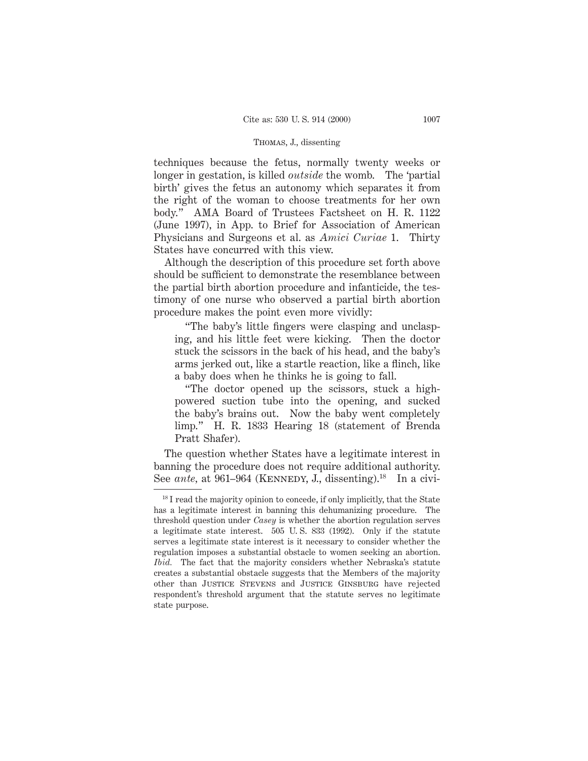techniques because the fetus, normally twenty weeks or longer in gestation, is killed *outside* the womb. The 'partial birth' gives the fetus an autonomy which separates it from the right of the woman to choose treatments for her own body." AMA Board of Trustees Factsheet on H. R. 1122 (June 1997), in App. to Brief for Association of American Physicians and Surgeons et al. as *Amici Curiae* 1. Thirty States have concurred with this view.

Although the description of this procedure set forth above should be sufficient to demonstrate the resemblance between the partial birth abortion procedure and infanticide, the testimony of one nurse who observed a partial birth abortion procedure makes the point even more vividly:

"The baby's little fingers were clasping and unclasping, and his little feet were kicking. Then the doctor stuck the scissors in the back of his head, and the baby's arms jerked out, like a startle reaction, like a flinch, like a baby does when he thinks he is going to fall.

"The doctor opened up the scissors, stuck a highpowered suction tube into the opening, and sucked the baby's brains out. Now the baby went completely limp." H. R. 1833 Hearing 18 (statement of Brenda Pratt Shafer).

The question whether States have a legitimate interest in banning the procedure does not require additional authority. See *ante*, at 961–964 (KENNEDY, J., dissenting).<sup>18</sup> In a civi-

 $18$  I read the majority opinion to concede, if only implicitly, that the State has a legitimate interest in banning this dehumanizing procedure. The threshold question under *Casey* is whether the abortion regulation serves a legitimate state interest. 505 U. S. 833 (1992). Only if the statute serves a legitimate state interest is it necessary to consider whether the regulation imposes a substantial obstacle to women seeking an abortion. *Ibid.* The fact that the majority considers whether Nebraska's statute creates a substantial obstacle suggests that the Members of the majority other than Justice Stevens and Justice Ginsburg have rejected respondent's threshold argument that the statute serves no legitimate state purpose.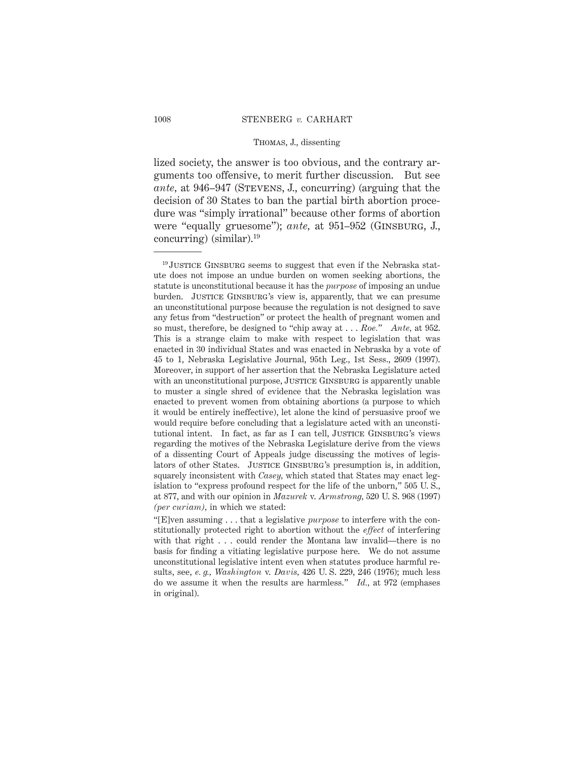lized society, the answer is too obvious, and the contrary arguments too offensive, to merit further discussion. But see *ante*, at 946–947 (STEVENS, J., concurring) (arguing that the decision of 30 States to ban the partial birth abortion procedure was "simply irrational" because other forms of abortion were "equally gruesome"); *ante,* at 951–952 (Ginsburg, J., concurring) (similar).19

<sup>&</sup>lt;sup>19</sup> JUSTICE GINSBURG seems to suggest that even if the Nebraska statute does not impose an undue burden on women seeking abortions, the statute is unconstitutional because it has the *purpose* of imposing an undue burden. JUSTICE GINSBURG's view is, apparently, that we can presume an unconstitutional purpose because the regulation is not designed to save any fetus from "destruction" or protect the health of pregnant women and so must, therefore, be designed to "chip away at . . . *Roe.*" *Ante,* at 952. This is a strange claim to make with respect to legislation that was enacted in 30 individual States and was enacted in Nebraska by a vote of 45 to 1, Nebraska Legislative Journal, 95th Leg., 1st Sess., 2609 (1997). Moreover, in support of her assertion that the Nebraska Legislature acted with an unconstitutional purpose, JUSTICE GINSBURG is apparently unable to muster a single shred of evidence that the Nebraska legislation was enacted to prevent women from obtaining abortions (a purpose to which it would be entirely ineffective), let alone the kind of persuasive proof we would require before concluding that a legislature acted with an unconstitutional intent. In fact, as far as I can tell, Justice Ginsburg's views regarding the motives of the Nebraska Legislature derive from the views of a dissenting Court of Appeals judge discussing the motives of legislators of other States. JUSTICE GINSBURG's presumption is, in addition, squarely inconsistent with *Casey,* which stated that States may enact legislation to "express profound respect for the life of the unborn," 505 U. S., at 877, and with our opinion in *Mazurek* v. *Armstrong,* 520 U. S. 968 (1997) *(per curiam),* in which we stated:

<sup>&</sup>quot;[E]ven assuming... that a legislative *purpose* to interfere with the constitutionally protected right to abortion without the *effect* of interfering with that right . . . could render the Montana law invalid—there is no basis for finding a vitiating legislative purpose here. We do not assume unconstitutional legislative intent even when statutes produce harmful results, see, *e. g., Washington* v. *Davis,* 426 U. S. 229, 246 (1976); much less do we assume it when the results are harmless." *Id.,* at 972 (emphases in original).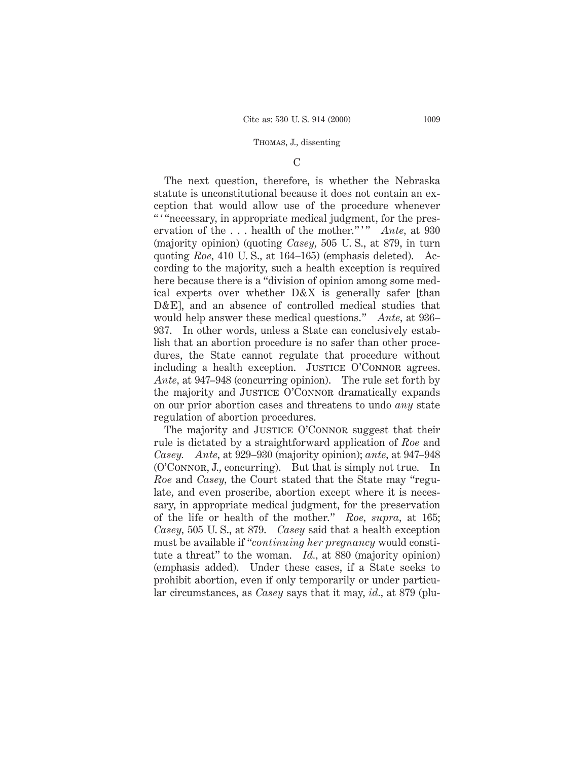#### C

The next question, therefore, is whether the Nebraska statute is unconstitutional because it does not contain an exception that would allow use of the procedure whenever " "necessary, in appropriate medical judgment, for the preservation of the ... health of the mother."" Ante, at 930 (majority opinion) (quoting *Casey,* 505 U. S., at 879, in turn quoting *Roe,* 410 U. S., at 164–165) (emphasis deleted). According to the majority, such a health exception is required here because there is a "division of opinion among some medical experts over whether D&X is generally safer [than D&E], and an absence of controlled medical studies that would help answer these medical questions." *Ante,* at 936– 937. In other words, unless a State can conclusively establish that an abortion procedure is no safer than other procedures, the State cannot regulate that procedure without including a health exception. JUSTICE O'CONNOR agrees. *Ante,* at 947–948 (concurring opinion). The rule set forth by the majority and Justice O'Connor dramatically expands on our prior abortion cases and threatens to undo *any* state regulation of abortion procedures.

The majority and JUSTICE O'CONNOR suggest that their rule is dictated by a straightforward application of *Roe* and *Casey. Ante,* at 929–930 (majority opinion); *ante,* at 947–948 (O'Connor, J., concurring). But that is simply not true. In *Roe* and *Casey,* the Court stated that the State may "regulate, and even proscribe, abortion except where it is necessary, in appropriate medical judgment, for the preservation of the life or health of the mother." *Roe, supra,* at 165; *Casey,* 505 U. S., at 879. *Casey* said that a health exception must be available if "*continuing her pregnancy* would constitute a threat" to the woman. *Id.,* at 880 (majority opinion) (emphasis added). Under these cases, if a State seeks to prohibit abortion, even if only temporarily or under particular circumstances, as *Casey* says that it may, *id.,* at 879 (plu-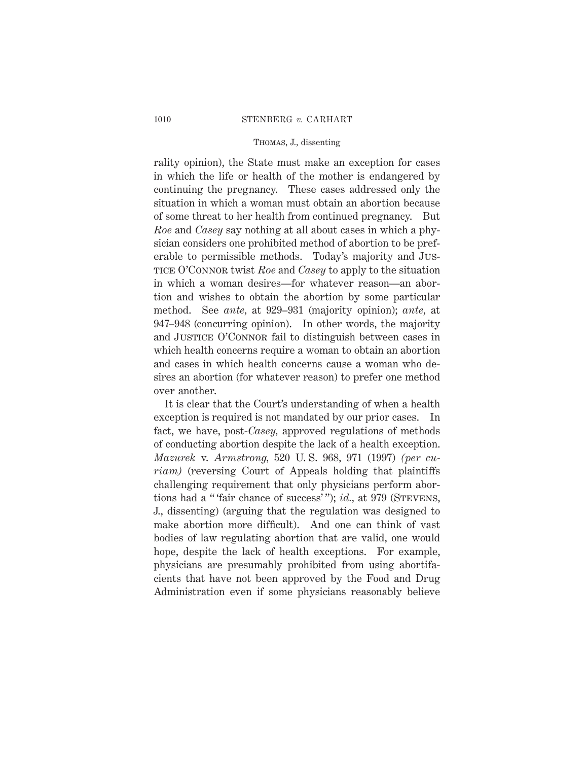rality opinion), the State must make an exception for cases in which the life or health of the mother is endangered by continuing the pregnancy. These cases addressed only the situation in which a woman must obtain an abortion because of some threat to her health from continued pregnancy. But *Roe* and *Casey* say nothing at all about cases in which a physician considers one prohibited method of abortion to be preferable to permissible methods. Today's majority and Justice O'Connor twist *Roe* and *Casey* to apply to the situation in which a woman desires—for whatever reason—an abortion and wishes to obtain the abortion by some particular method. See *ante,* at 929–931 (majority opinion); *ante,* at 947–948 (concurring opinion). In other words, the majority and JUSTICE O'CONNOR fail to distinguish between cases in which health concerns require a woman to obtain an abortion and cases in which health concerns cause a woman who desires an abortion (for whatever reason) to prefer one method over another.

It is clear that the Court's understanding of when a health exception is required is not mandated by our prior cases. In fact, we have, post-*Casey,* approved regulations of methods of conducting abortion despite the lack of a health exception. *Mazurek* v. *Armstrong,* 520 U. S. 968, 971 (1997) *(per curiam)* (reversing Court of Appeals holding that plaintiffs challenging requirement that only physicians perform abortions had a "'fair chance of success'"); *id.*, at 979 (STEVENS, J., dissenting) (arguing that the regulation was designed to make abortion more difficult). And one can think of vast bodies of law regulating abortion that are valid, one would hope, despite the lack of health exceptions. For example, physicians are presumably prohibited from using abortifacients that have not been approved by the Food and Drug Administration even if some physicians reasonably believe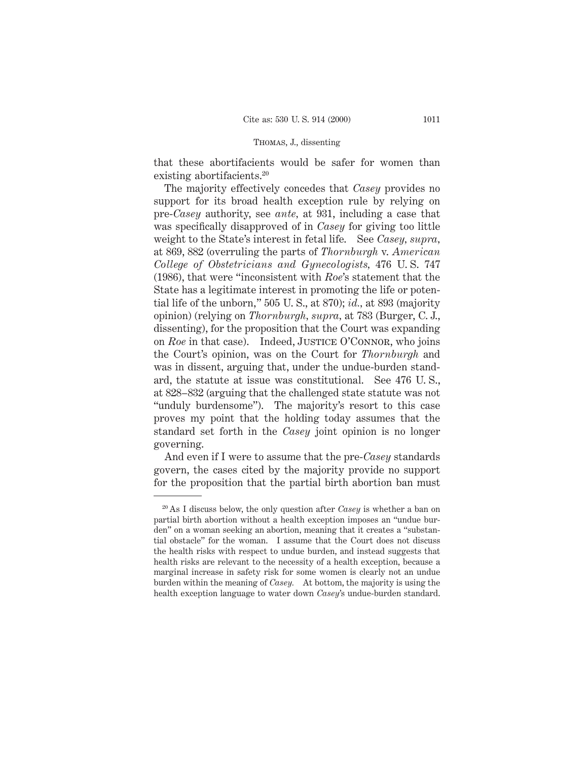that these abortifacients would be safer for women than existing abortifacients.<sup>20</sup>

The majority effectively concedes that *Casey* provides no support for its broad health exception rule by relying on pre-*Casey* authority, see *ante,* at 931, including a case that was specifically disapproved of in *Casey* for giving too little weight to the State's interest in fetal life. See *Casey, supra,* at 869, 882 (overruling the parts of *Thornburgh* v. *American College of Obstetricians and Gynecologists,* 476 U. S. 747 (1986), that were "inconsistent with *Roe*'s statement that the State has a legitimate interest in promoting the life or potential life of the unborn," 505 U. S., at 870); *id.,* at 893 (majority opinion) (relying on *Thornburgh, supra,* at 783 (Burger, C. J., dissenting), for the proposition that the Court was expanding on *Roe* in that case). Indeed, Justice O'Connor, who joins the Court's opinion, was on the Court for *Thornburgh* and was in dissent, arguing that, under the undue-burden standard, the statute at issue was constitutional. See 476 U. S., at 828–832 (arguing that the challenged state statute was not "unduly burdensome"). The majority's resort to this case proves my point that the holding today assumes that the standard set forth in the *Casey* joint opinion is no longer governing.

And even if I were to assume that the pre-*Casey* standards govern, the cases cited by the majority provide no support for the proposition that the partial birth abortion ban must

<sup>20</sup> As I discuss below, the only question after *Casey* is whether a ban on partial birth abortion without a health exception imposes an "undue burden" on a woman seeking an abortion, meaning that it creates a "substantial obstacle" for the woman. I assume that the Court does not discuss the health risks with respect to undue burden, and instead suggests that health risks are relevant to the necessity of a health exception, because a marginal increase in safety risk for some women is clearly not an undue burden within the meaning of *Casey.* At bottom, the majority is using the health exception language to water down *Casey*'s undue-burden standard.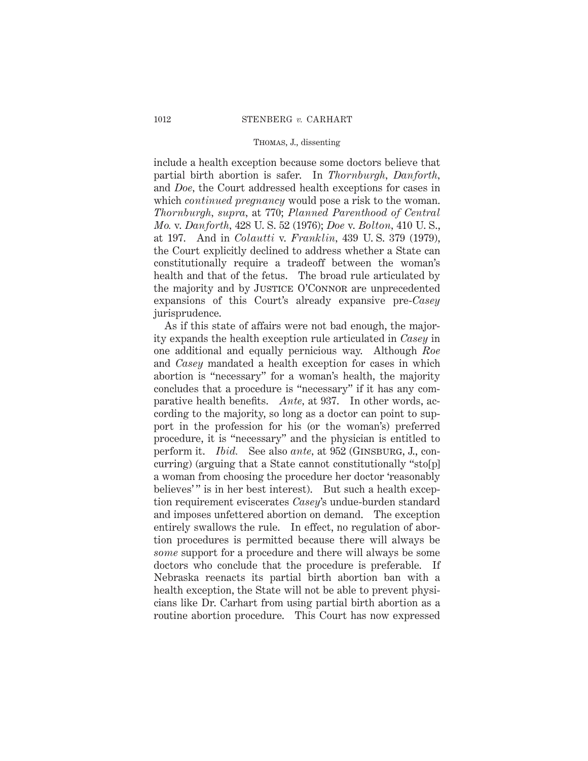include a health exception because some doctors believe that partial birth abortion is safer. In *Thornburgh, Danforth,* and *Doe,* the Court addressed health exceptions for cases in which *continued pregnancy* would pose a risk to the woman. *Thornburgh, supra,* at 770; *Planned Parenthood of Central Mo.* v. *Danforth,* 428 U. S. 52 (1976); *Doe* v. *Bolton,* 410 U. S., at 197. And in *Colautti* v. *Franklin,* 439 U. S. 379 (1979), the Court explicitly declined to address whether a State can constitutionally require a tradeoff between the woman's health and that of the fetus. The broad rule articulated by the majority and by JUSTICE O'CONNOR are unprecedented expansions of this Court's already expansive pre-*Casey* jurisprudence.

As if this state of affairs were not bad enough, the majority expands the health exception rule articulated in *Casey* in one additional and equally pernicious way. Although *Roe* and *Casey* mandated a health exception for cases in which abortion is "necessary" for a woman's health, the majority concludes that a procedure is "necessary" if it has any comparative health benefits. *Ante,* at 937. In other words, according to the majority, so long as a doctor can point to support in the profession for his (or the woman's) preferred procedure, it is "necessary" and the physician is entitled to perform it. *Ibid.* See also *ante,* at 952 (Ginsburg, J., concurring) (arguing that a State cannot constitutionally "sto[p] a woman from choosing the procedure her doctor 'reasonably believes'" is in her best interest). But such a health exception requirement eviscerates *Casey*'s undue-burden standard and imposes unfettered abortion on demand. The exception entirely swallows the rule. In effect, no regulation of abortion procedures is permitted because there will always be *some* support for a procedure and there will always be some doctors who conclude that the procedure is preferable. If Nebraska reenacts its partial birth abortion ban with a health exception, the State will not be able to prevent physicians like Dr. Carhart from using partial birth abortion as a routine abortion procedure. This Court has now expressed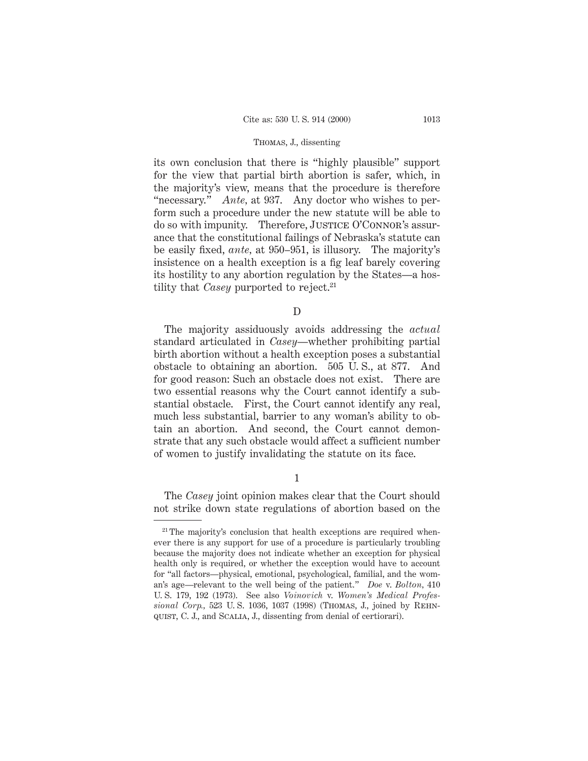its own conclusion that there is "highly plausible" support for the view that partial birth abortion is safer, which, in the majority's view, means that the procedure is therefore "necessary." *Ante,* at 937. Any doctor who wishes to perform such a procedure under the new statute will be able to do so with impunity. Therefore, JUSTICE O'CONNOR's assurance that the constitutional failings of Nebraska's statute can be easily fixed, *ante,* at 950–951, is illusory. The majority's insistence on a health exception is a fig leaf barely covering its hostility to any abortion regulation by the States—a hostility that *Casey* purported to reject.<sup>21</sup>

D

The majority assiduously avoids addressing the *actual* standard articulated in *Casey*—whether prohibiting partial birth abortion without a health exception poses a substantial obstacle to obtaining an abortion. 505 U. S., at 877. And for good reason: Such an obstacle does not exist. There are two essential reasons why the Court cannot identify a substantial obstacle. First, the Court cannot identify any real, much less substantial, barrier to any woman's ability to obtain an abortion. And second, the Court cannot demonstrate that any such obstacle would affect a sufficient number of women to justify invalidating the statute on its face.

1

The *Casey* joint opinion makes clear that the Court should not strike down state regulations of abortion based on the

 $21$  The majority's conclusion that health exceptions are required whenever there is any support for use of a procedure is particularly troubling because the majority does not indicate whether an exception for physical health only is required, or whether the exception would have to account for "all factors—physical, emotional, psychological, familial, and the woman's age—relevant to the well being of the patient." *Doe* v. *Bolton,* 410 U. S. 179, 192 (1973). See also *Voinovich* v. *Women's Medical Professional Corp.,* 523 U. S. 1036, 1037 (1998) (Thomas, J., joined by Rehnquist, C. J., and Scalia, J., dissenting from denial of certiorari).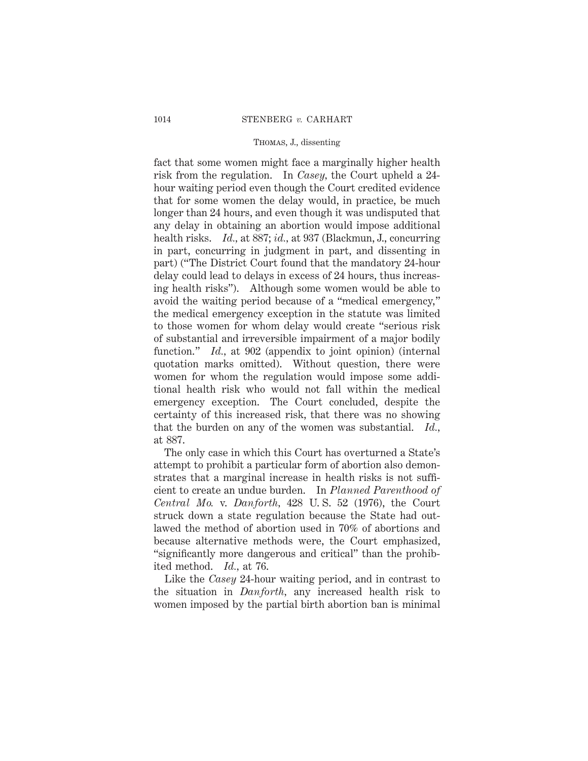fact that some women might face a marginally higher health risk from the regulation. In *Casey,* the Court upheld a 24 hour waiting period even though the Court credited evidence that for some women the delay would, in practice, be much longer than 24 hours, and even though it was undisputed that any delay in obtaining an abortion would impose additional health risks. *Id.,* at 887; *id.,* at 937 (Blackmun, J., concurring in part, concurring in judgment in part, and dissenting in part) ("The District Court found that the mandatory 24-hour delay could lead to delays in excess of 24 hours, thus increasing health risks"). Although some women would be able to avoid the waiting period because of a "medical emergency," the medical emergency exception in the statute was limited to those women for whom delay would create "serious risk of substantial and irreversible impairment of a major bodily function." *Id.*, at 902 (appendix to joint opinion) (internal quotation marks omitted). Without question, there were women for whom the regulation would impose some additional health risk who would not fall within the medical emergency exception. The Court concluded, despite the certainty of this increased risk, that there was no showing that the burden on any of the women was substantial. *Id.,* at 887.

The only case in which this Court has overturned a State's attempt to prohibit a particular form of abortion also demonstrates that a marginal increase in health risks is not sufficient to create an undue burden. In *Planned Parenthood of Central Mo.* v. *Danforth,* 428 U. S. 52 (1976), the Court struck down a state regulation because the State had outlawed the method of abortion used in 70% of abortions and because alternative methods were, the Court emphasized, "significantly more dangerous and critical" than the prohibited method. *Id.,* at 76.

Like the *Casey* 24-hour waiting period, and in contrast to the situation in *Danforth,* any increased health risk to women imposed by the partial birth abortion ban is minimal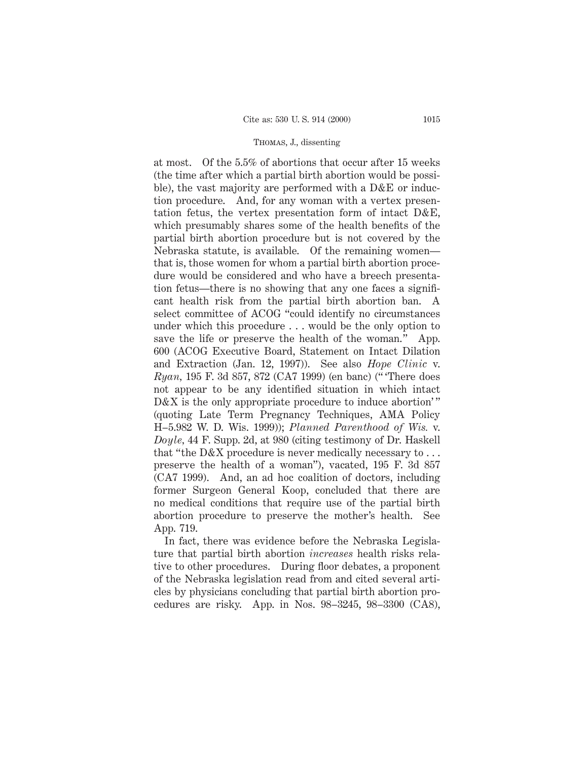at most. Of the 5.5% of abortions that occur after 15 weeks (the time after which a partial birth abortion would be possible), the vast majority are performed with a D&E or induction procedure. And, for any woman with a vertex presentation fetus, the vertex presentation form of intact D&E, which presumably shares some of the health benefits of the partial birth abortion procedure but is not covered by the Nebraska statute, is available. Of the remaining women that is, those women for whom a partial birth abortion procedure would be considered and who have a breech presentation fetus—there is no showing that any one faces a significant health risk from the partial birth abortion ban. A select committee of ACOG "could identify no circumstances under which this procedure . . . would be the only option to save the life or preserve the health of the woman." App. 600 (ACOG Executive Board, Statement on Intact Dilation and Extraction (Jan. 12, 1997)). See also *Hope Clinic* v. *Ryan,* 195 F. 3d 857, 872 (CA7 1999) (en banc) (" 'There does not appear to be any identified situation in which intact D&X is the only appropriate procedure to induce abortion'" (quoting Late Term Pregnancy Techniques, AMA Policy H–5.982 W. D. Wis. 1999)); *Planned Parenthood of Wis.* v. *Doyle,* 44 F. Supp. 2d, at 980 (citing testimony of Dr. Haskell that "the  $D&X$  procedure is never medically necessary to  $\dots$ preserve the health of a woman"), vacated, 195 F. 3d 857 (CA7 1999). And, an ad hoc coalition of doctors, including former Surgeon General Koop, concluded that there are no medical conditions that require use of the partial birth abortion procedure to preserve the mother's health. See App. 719.

In fact, there was evidence before the Nebraska Legislature that partial birth abortion *increases* health risks relative to other procedures. During floor debates, a proponent of the Nebraska legislation read from and cited several articles by physicians concluding that partial birth abortion procedures are risky. App. in Nos. 98–3245, 98–3300 (CA8),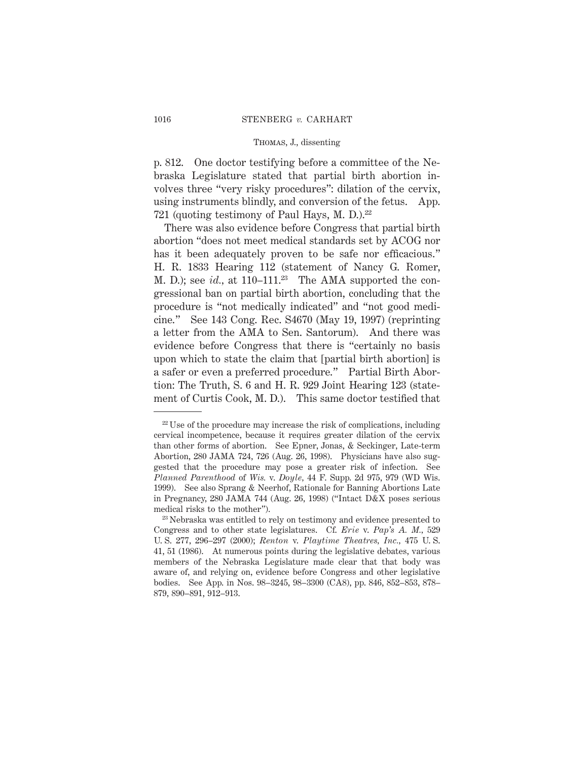p. 812. One doctor testifying before a committee of the Nebraska Legislature stated that partial birth abortion involves three "very risky procedures": dilation of the cervix, using instruments blindly, and conversion of the fetus. App. 721 (quoting testimony of Paul Hays, M. D.).22

There was also evidence before Congress that partial birth abortion "does not meet medical standards set by ACOG nor has it been adequately proven to be safe nor efficacious." H. R. 1833 Hearing 112 (statement of Nancy G. Romer, M. D.); see *id.*, at 110–111.<sup>23</sup> The AMA supported the congressional ban on partial birth abortion, concluding that the procedure is "not medically indicated" and "not good medicine." See 143 Cong. Rec. S4670 (May 19, 1997) (reprinting a letter from the AMA to Sen. Santorum). And there was evidence before Congress that there is "certainly no basis upon which to state the claim that [partial birth abortion] is a safer or even a preferred procedure." Partial Birth Abortion: The Truth, S. 6 and H. R. 929 Joint Hearing 123 (statement of Curtis Cook, M. D.). This same doctor testified that

<sup>22</sup> Use of the procedure may increase the risk of complications, including cervical incompetence, because it requires greater dilation of the cervix than other forms of abortion. See Epner, Jonas, & Seckinger, Late-term Abortion, 280 JAMA 724, 726 (Aug. 26, 1998). Physicians have also suggested that the procedure may pose a greater risk of infection. See *Planned Parenthood* of *Wis.* v. *Doyle,* 44 F. Supp. 2d 975, 979 (WD Wis. 1999). See also Sprang & Neerhof, Rationale for Banning Abortions Late in Pregnancy, 280 JAMA 744 (Aug. 26, 1998) ("Intact D&X poses serious medical risks to the mother").

<sup>23</sup> Nebraska was entitled to rely on testimony and evidence presented to Congress and to other state legislatures. Cf. *Erie* v. *Pap's A. M.,* 529 U. S. 277, 296–297 (2000); *Renton* v. *Playtime Theatres, Inc.,* 475 U. S. 41, 51 (1986). At numerous points during the legislative debates, various members of the Nebraska Legislature made clear that that body was aware of, and relying on, evidence before Congress and other legislative bodies. See App. in Nos. 98–3245, 98–3300 (CA8), pp. 846, 852–853, 878– 879, 890–891, 912–913.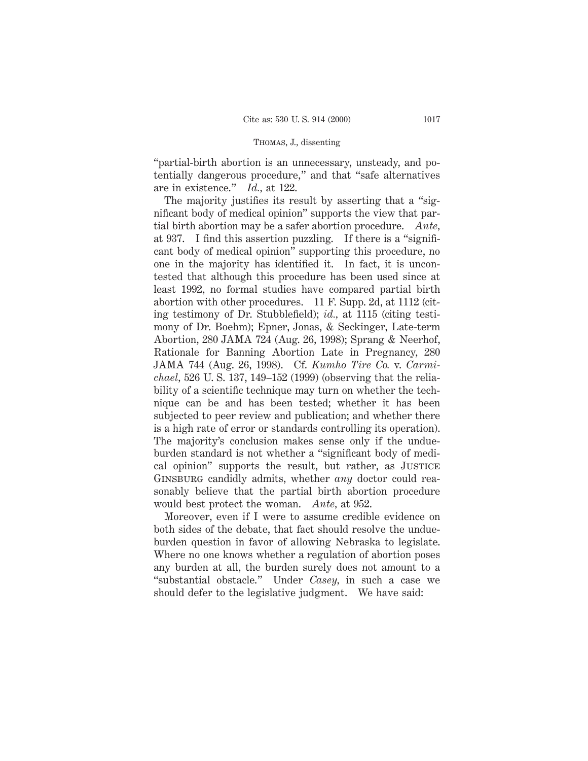"partial-birth abortion is an unnecessary, unsteady, and potentially dangerous procedure," and that "safe alternatives are in existence." *Id.,* at 122.

The majority justifies its result by asserting that a "significant body of medical opinion" supports the view that partial birth abortion may be a safer abortion procedure. *Ante,* at 937. I find this assertion puzzling. If there is a "significant body of medical opinion" supporting this procedure, no one in the majority has identified it. In fact, it is uncontested that although this procedure has been used since at least 1992, no formal studies have compared partial birth abortion with other procedures. 11 F. Supp. 2d, at 1112 (citing testimony of Dr. Stubblefield); *id.,* at 1115 (citing testimony of Dr. Boehm); Epner, Jonas, & Seckinger, Late-term Abortion, 280 JAMA 724 (Aug. 26, 1998); Sprang & Neerhof, Rationale for Banning Abortion Late in Pregnancy, 280 JAMA 744 (Aug. 26, 1998). Cf. *Kumho Tire Co.* v. *Carmichael,* 526 U. S. 137, 149–152 (1999) (observing that the reliability of a scientific technique may turn on whether the technique can be and has been tested; whether it has been subjected to peer review and publication; and whether there is a high rate of error or standards controlling its operation). The majority's conclusion makes sense only if the undueburden standard is not whether a "significant body of medical opinion" supports the result, but rather, as JUSTICE Ginsburg candidly admits, whether *any* doctor could reasonably believe that the partial birth abortion procedure would best protect the woman. *Ante,* at 952.

Moreover, even if I were to assume credible evidence on both sides of the debate, that fact should resolve the undueburden question in favor of allowing Nebraska to legislate. Where no one knows whether a regulation of abortion poses any burden at all, the burden surely does not amount to a "substantial obstacle." Under *Casey,* in such a case we should defer to the legislative judgment. We have said: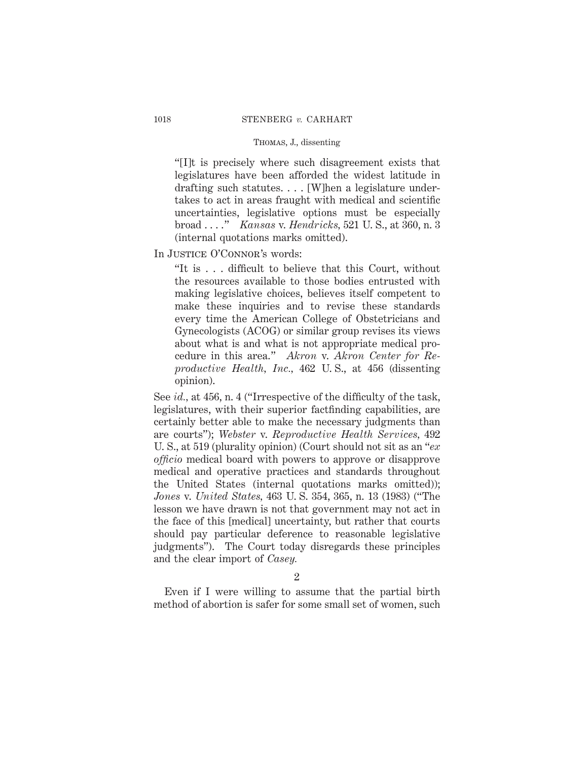"[I]t is precisely where such disagreement exists that legislatures have been afforded the widest latitude in drafting such statutes. . . . [W]hen a legislature undertakes to act in areas fraught with medical and scientific uncertainties, legislative options must be especially broad . . . ." *Kansas* v. *Hendricks,* 521 U. S., at 360, n. 3 (internal quotations marks omitted).

In Justice O'Connor's words:

"It is . . . difficult to believe that this Court, without the resources available to those bodies entrusted with making legislative choices, believes itself competent to make these inquiries and to revise these standards every time the American College of Obstetricians and Gynecologists (ACOG) or similar group revises its views about what is and what is not appropriate medical procedure in this area." *Akron* v. *Akron Center for Reproductive Health, Inc.,* 462 U. S., at 456 (dissenting opinion).

See *id.,* at 456, n. 4 ("Irrespective of the difficulty of the task, legislatures, with their superior factfinding capabilities, are certainly better able to make the necessary judgments than are courts"); *Webster* v. *Reproductive Health Services,* 492 U. S., at 519 (plurality opinion) (Court should not sit as an "*ex officio* medical board with powers to approve or disapprove medical and operative practices and standards throughout the United States (internal quotations marks omitted)); *Jones* v. *United States,* 463 U. S. 354, 365, n. 13 (1983) ("The lesson we have drawn is not that government may not act in the face of this [medical] uncertainty, but rather that courts should pay particular deference to reasonable legislative judgments"). The Court today disregards these principles and the clear import of *Casey.*

Even if I were willing to assume that the partial birth method of abortion is safer for some small set of women, such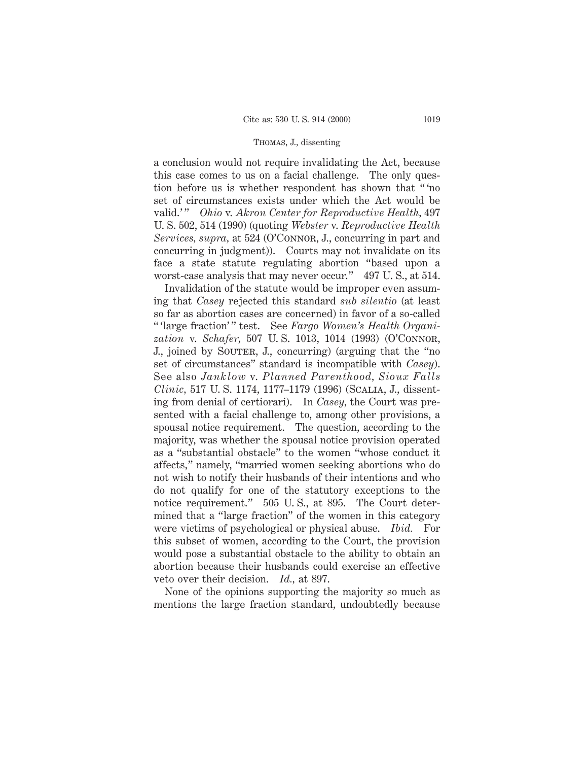a conclusion would not require invalidating the Act, because this case comes to us on a facial challenge. The only question before us is whether respondent has shown that " 'no set of circumstances exists under which the Act would be valid.'" Ohio v. Akron Center for Reproductive Health, 497 U. S. 502, 514 (1990) (quoting *Webster* v. *Reproductive Health Services, supra,* at 524 (O'Connor, J., concurring in part and concurring in judgment)). Courts may not invalidate on its face a state statute regulating abortion "based upon a worst-case analysis that may never occur." 497 U. S., at 514.

Invalidation of the statute would be improper even assuming that *Casey* rejected this standard *sub silentio* (at least so far as abortion cases are concerned) in favor of a so-called " 'large fraction' " test. See *Fargo Women's Health Organization* v. *Schafer,* 507 U. S. 1013, 1014 (1993) (O'Connor, J., joined by SOUTER, J., concurring) (arguing that the "no set of circumstances" standard is incompatible with *Casey*). See also *Janklow* v. *Planned Parenthood, Sioux Falls Clinic,* 517 U. S. 1174, 1177–1179 (1996) (Scalia, J., dissenting from denial of certiorari). In *Casey,* the Court was presented with a facial challenge to, among other provisions, a spousal notice requirement. The question, according to the majority, was whether the spousal notice provision operated as a "substantial obstacle" to the women "whose conduct it affects," namely, "married women seeking abortions who do not wish to notify their husbands of their intentions and who do not qualify for one of the statutory exceptions to the notice requirement." 505 U. S., at 895. The Court determined that a "large fraction" of the women in this category were victims of psychological or physical abuse. *Ibid.* For this subset of women, according to the Court, the provision would pose a substantial obstacle to the ability to obtain an abortion because their husbands could exercise an effective veto over their decision. *Id.,* at 897.

None of the opinions supporting the majority so much as mentions the large fraction standard, undoubtedly because